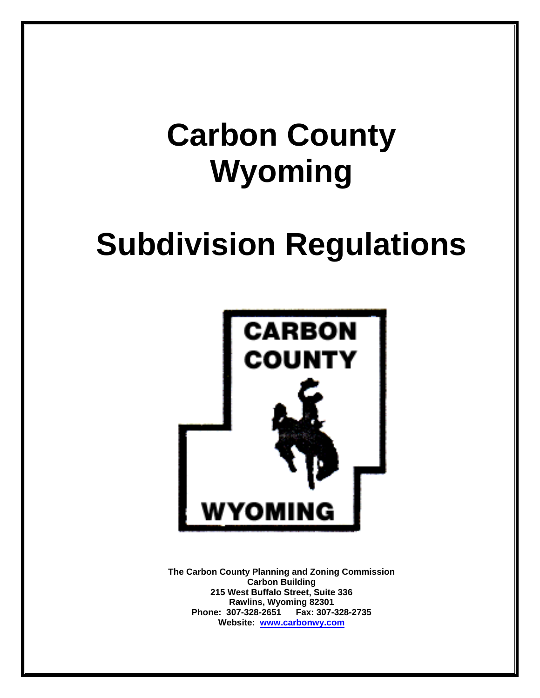# **Carbon County Wyoming**

# **Subdivision Regulations**



**The Carbon County Planning and Zoning Commission Carbon Building 215 West Buffalo Street, Suite 336 Rawlins, Wyoming 82301 Phone: 307-328-2651 Fax: 307-328-2735 Website: [www.carbonwy.com](http://www.carbonwy.com/)**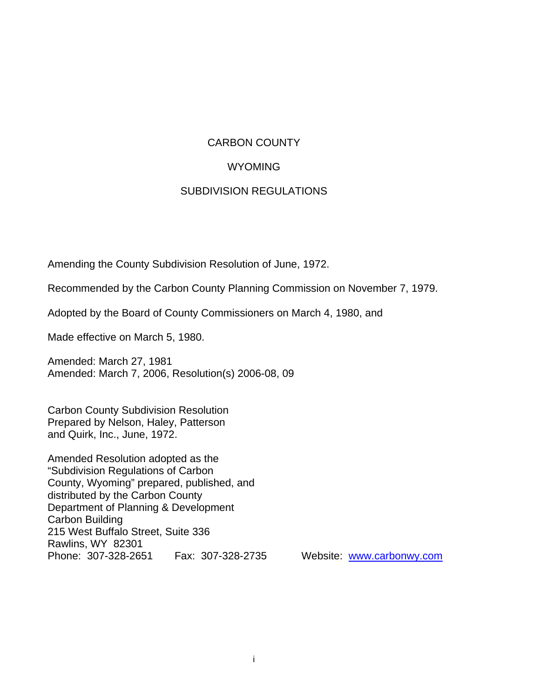#### CARBON COUNTY

#### **WYOMING**

#### SUBDIVISION REGULATIONS

Amending the County Subdivision Resolution of June, 1972.

Recommended by the Carbon County Planning Commission on November 7, 1979.

Adopted by the Board of County Commissioners on March 4, 1980, and

Made effective on March 5, 1980.

Amended: March 27, 1981 Amended: March 7, 2006, Resolution(s) 2006-08, 09

Carbon County Subdivision Resolution Prepared by Nelson, Haley, Patterson and Quirk, Inc., June, 1972.

Amended Resolution adopted as the "Subdivision Regulations of Carbon County, Wyoming" prepared, published, and distributed by the Carbon County Department of Planning & Development Carbon Building 215 West Buffalo Street, Suite 336 Rawlins, WY 82301 Phone: 307-328-2651 Fax: 307-328-2735 Website: [www.carbonwy.com](http://www.carbonwy.com/)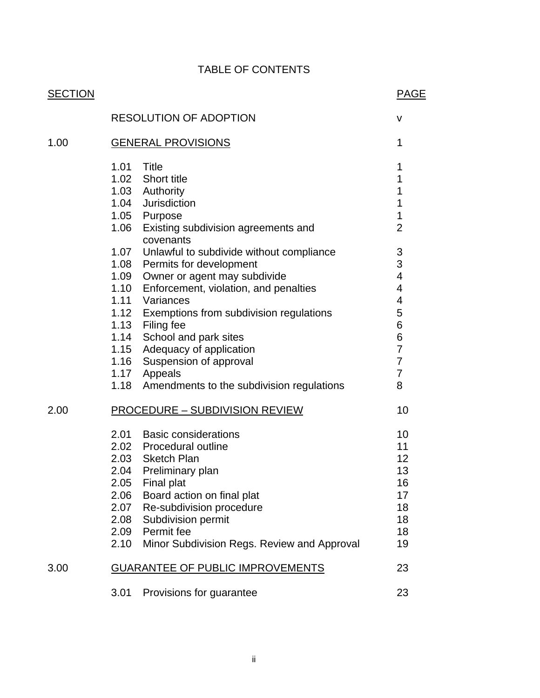# TABLE OF CONTENTS

| <b>SECTION</b> |                                       |                                                  | <b>PAGE</b>    |
|----------------|---------------------------------------|--------------------------------------------------|----------------|
|                |                                       | <b>RESOLUTION OF ADOPTION</b>                    | $\mathsf{V}$   |
| 1.00           | <b>GENERAL PROVISIONS</b>             |                                                  |                |
|                | 1.01                                  | Title                                            | 1              |
|                |                                       | 1.02 Short title                                 | 1              |
|                |                                       | 1.03 Authority                                   | 1              |
|                |                                       | 1.04 Jurisdiction                                | 1              |
|                |                                       | 1.05 Purpose                                     | 1              |
|                | 1.06                                  | Existing subdivision agreements and<br>covenants | $\overline{2}$ |
|                |                                       | 1.07 Unlawful to subdivide without compliance    | 3              |
|                |                                       | 1.08 Permits for development                     | 3              |
|                |                                       | 1.09 Owner or agent may subdivide                | 4              |
|                |                                       | 1.10 Enforcement, violation, and penalties       | 4              |
|                |                                       | 1.11 Variances                                   | 4              |
|                |                                       | 1.12 Exemptions from subdivision regulations     | 5<br>6         |
|                |                                       | 1.13 Filing fee<br>1.14 School and park sites    | 6              |
|                |                                       | 1.15 Adequacy of application                     | $\overline{7}$ |
|                |                                       | 1.16 Suspension of approval                      | $\overline{7}$ |
|                |                                       | 1.17 Appeals                                     | $\overline{7}$ |
|                |                                       | 1.18 Amendments to the subdivision regulations   | 8              |
| 2.00           | <b>PROCEDURE - SUBDIVISION REVIEW</b> |                                                  | 10             |
|                |                                       | 2.01 Basic considerations                        | 10             |
|                |                                       | 2.02 Procedural outline                          | 11             |
|                |                                       | 2.03 Sketch Plan                                 | 12             |
|                |                                       | 2.04 Preliminary plan                            | 13             |
|                | 2.05                                  | Final plat                                       | 16             |
|                | 2.06                                  | Board action on final plat                       | 17             |
|                | 2.07                                  | Re-subdivision procedure                         | 18             |
|                | 2.08                                  | Subdivision permit                               | 18             |
|                | 2.09                                  | Permit fee                                       | 18             |
|                | 2.10                                  | Minor Subdivision Regs. Review and Approval      | 19             |
| 3.00           |                                       | <b>GUARANTEE OF PUBLIC IMPROVEMENTS</b>          | 23             |
|                | 3.01                                  | Provisions for guarantee                         | 23             |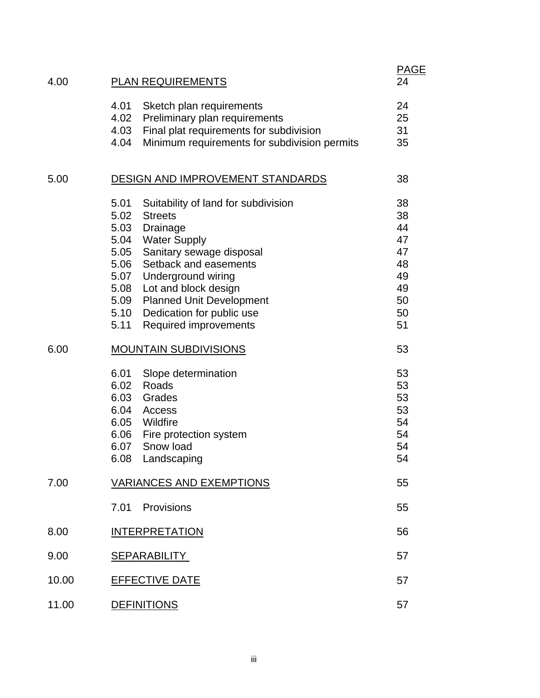| 4.00  | <b>PLAN REQUIREMENTS</b>                                                                                                                                                                                                                                                                                                                                  | <b>PAGE</b><br>24                                              |  |
|-------|-----------------------------------------------------------------------------------------------------------------------------------------------------------------------------------------------------------------------------------------------------------------------------------------------------------------------------------------------------------|----------------------------------------------------------------|--|
|       | 4.01<br>Sketch plan requirements<br>4.02<br>Preliminary plan requirements<br>Final plat requirements for subdivision<br>4.03<br>4.04<br>Minimum requirements for subdivision permits                                                                                                                                                                      | 24<br>25<br>31<br>35                                           |  |
| 5.00  | DESIGN AND IMPROVEMENT STANDARDS                                                                                                                                                                                                                                                                                                                          | 38                                                             |  |
|       | 5.01<br>Suitability of land for subdivision<br>5.02<br><b>Streets</b><br>5.03<br>Drainage<br>5.04<br><b>Water Supply</b><br>5.05<br>Sanitary sewage disposal<br>Setback and easements<br>5.06<br>5.07 Underground wiring<br>5.08 Lot and block design<br>5.09 Planned Unit Development<br>5.10 Dedication for public use<br>Required improvements<br>5.11 | 38<br>38<br>44<br>47<br>47<br>48<br>49<br>49<br>50<br>50<br>51 |  |
| 6.00  | <b>MOUNTAIN SUBDIVISIONS</b>                                                                                                                                                                                                                                                                                                                              | 53                                                             |  |
|       | 6.01<br>Slope determination<br>6.02<br>Roads<br>6.03<br>Grades<br>6.04<br>Access<br>6.05 Wildfire<br>6.06 Fire protection system<br>Snow load<br>6.07<br>6.08 Landscaping                                                                                                                                                                                 | 53<br>53<br>53<br>53<br>54<br>54<br>54<br>54                   |  |
| 7.00  | <b>VARIANCES AND EXEMPTIONS</b>                                                                                                                                                                                                                                                                                                                           |                                                                |  |
|       | 7.01<br>Provisions                                                                                                                                                                                                                                                                                                                                        | 55                                                             |  |
| 8.00  | <b>INTERPRETATION</b>                                                                                                                                                                                                                                                                                                                                     | 56                                                             |  |
| 9.00  | <b>SEPARABILITY</b><br>57                                                                                                                                                                                                                                                                                                                                 |                                                                |  |
| 10.00 | <b>EFFECTIVE DATE</b><br>57                                                                                                                                                                                                                                                                                                                               |                                                                |  |
| 11.00 | <b>DEFINITIONS</b>                                                                                                                                                                                                                                                                                                                                        |                                                                |  |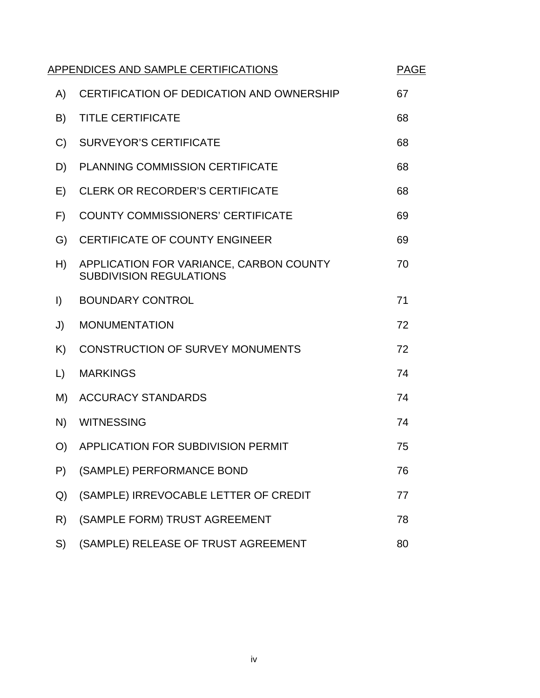|               | APPENDICES AND SAMPLE CERTIFICATIONS<br><b>PAGE</b>                       |    |  |
|---------------|---------------------------------------------------------------------------|----|--|
| A)            | CERTIFICATION OF DEDICATION AND OWNERSHIP                                 | 67 |  |
| B)            | <b>TITLE CERTIFICATE</b>                                                  | 68 |  |
| $\mathcal{C}$ | <b>SURVEYOR'S CERTIFICATE</b>                                             | 68 |  |
| D)            | PLANNING COMMISSION CERTIFICATE                                           | 68 |  |
| E)            | <b>CLERK OR RECORDER'S CERTIFICATE</b>                                    | 68 |  |
| F)            | <b>COUNTY COMMISSIONERS' CERTIFICATE</b>                                  | 69 |  |
| G)            | <b>CERTIFICATE OF COUNTY ENGINEER</b>                                     | 69 |  |
| H)            | APPLICATION FOR VARIANCE, CARBON COUNTY<br><b>SUBDIVISION REGULATIONS</b> | 70 |  |
| $\vert$       | <b>BOUNDARY CONTROL</b>                                                   | 71 |  |
| J)            | <b>MONUMENTATION</b>                                                      | 72 |  |
| K)            | <b>CONSTRUCTION OF SURVEY MONUMENTS</b>                                   | 72 |  |
| $\Box$        | <b>MARKINGS</b>                                                           | 74 |  |
| M)            | <b>ACCURACY STANDARDS</b>                                                 | 74 |  |
| N)            | <b>WITNESSING</b>                                                         | 74 |  |
| O             | APPLICATION FOR SUBDIVISION PERMIT                                        | 75 |  |
| P)            | (SAMPLE) PERFORMANCE BOND                                                 | 76 |  |
| Q)            | (SAMPLE) IRREVOCABLE LETTER OF CREDIT                                     | 77 |  |
| R)            | (SAMPLE FORM) TRUST AGREEMENT                                             | 78 |  |
| S)            | (SAMPLE) RELEASE OF TRUST AGREEMENT                                       | 80 |  |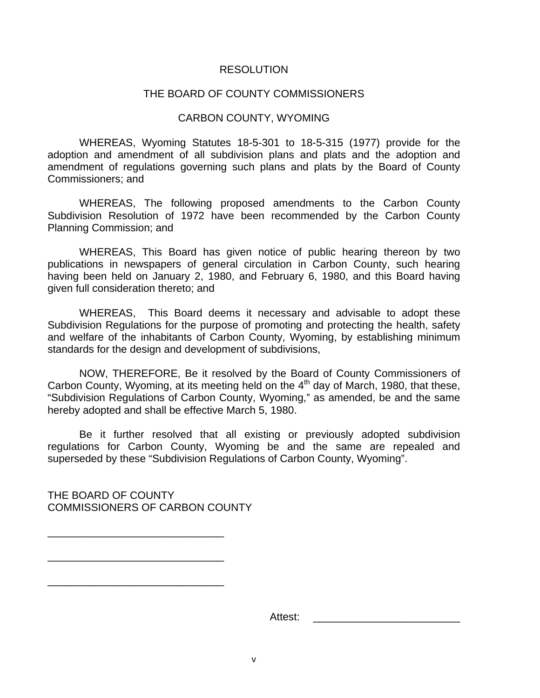#### RESOLUTION

#### THE BOARD OF COUNTY COMMISSIONERS

#### CARBON COUNTY, WYOMING

 WHEREAS, Wyoming Statutes 18-5-301 to 18-5-315 (1977) provide for the adoption and amendment of all subdivision plans and plats and the adoption and amendment of regulations governing such plans and plats by the Board of County Commissioners; and

 WHEREAS, The following proposed amendments to the Carbon County Subdivision Resolution of 1972 have been recommended by the Carbon County Planning Commission; and

 WHEREAS, This Board has given notice of public hearing thereon by two publications in newspapers of general circulation in Carbon County, such hearing having been held on January 2, 1980, and February 6, 1980, and this Board having given full consideration thereto; and

 WHEREAS, This Board deems it necessary and advisable to adopt these Subdivision Regulations for the purpose of promoting and protecting the health, safety and welfare of the inhabitants of Carbon County, Wyoming, by establishing minimum standards for the design and development of subdivisions,

 NOW, THEREFORE, Be it resolved by the Board of County Commissioners of Carbon County, Wyoming, at its meeting held on the 4<sup>th</sup> day of March, 1980, that these, "Subdivision Regulations of Carbon County, Wyoming," as amended, be and the same hereby adopted and shall be effective March 5, 1980.

 Be it further resolved that all existing or previously adopted subdivision regulations for Carbon County, Wyoming be and the same are repealed and superseded by these "Subdivision Regulations of Carbon County, Wyoming".

THE BOARD OF COUNTY COMMISSIONERS OF CARBON COUNTY

\_\_\_\_\_\_\_\_\_\_\_\_\_\_\_\_\_\_\_\_\_\_\_\_\_\_\_\_\_\_

\_\_\_\_\_\_\_\_\_\_\_\_\_\_\_\_\_\_\_\_\_\_\_\_\_\_\_\_\_\_

\_\_\_\_\_\_\_\_\_\_\_\_\_\_\_\_\_\_\_\_\_\_\_\_\_\_\_\_\_\_

Attest: \_\_\_\_\_\_\_\_\_\_\_\_\_\_\_\_\_\_\_\_\_\_\_\_\_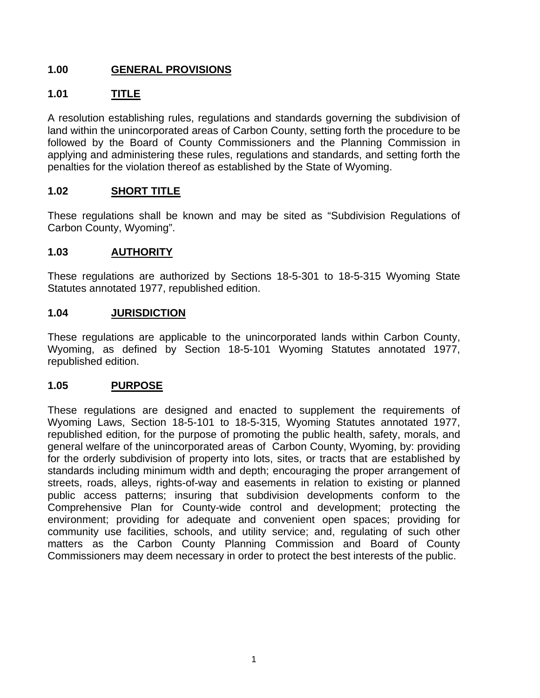## **1.00 GENERAL PROVISIONS**

## **1.01 TITLE**

A resolution establishing rules, regulations and standards governing the subdivision of land within the unincorporated areas of Carbon County, setting forth the procedure to be followed by the Board of County Commissioners and the Planning Commission in applying and administering these rules, regulations and standards, and setting forth the penalties for the violation thereof as established by the State of Wyoming.

#### **1.02 SHORT TITLE**

These regulations shall be known and may be sited as "Subdivision Regulations of Carbon County, Wyoming".

#### **1.03 AUTHORITY**

These regulations are authorized by Sections 18-5-301 to 18-5-315 Wyoming State Statutes annotated 1977, republished edition.

#### **1.04 JURISDICTION**

These regulations are applicable to the unincorporated lands within Carbon County, Wyoming, as defined by Section 18-5-101 Wyoming Statutes annotated 1977, republished edition.

#### **1.05 PURPOSE**

These regulations are designed and enacted to supplement the requirements of Wyoming Laws, Section 18-5-101 to 18-5-315, Wyoming Statutes annotated 1977, republished edition, for the purpose of promoting the public health, safety, morals, and general welfare of the unincorporated areas of Carbon County, Wyoming, by: providing for the orderly subdivision of property into lots, sites, or tracts that are established by standards including minimum width and depth; encouraging the proper arrangement of streets, roads, alleys, rights-of-way and easements in relation to existing or planned public access patterns; insuring that subdivision developments conform to the Comprehensive Plan for County-wide control and development; protecting the environment; providing for adequate and convenient open spaces; providing for community use facilities, schools, and utility service; and, regulating of such other matters as the Carbon County Planning Commission and Board of County Commissioners may deem necessary in order to protect the best interests of the public.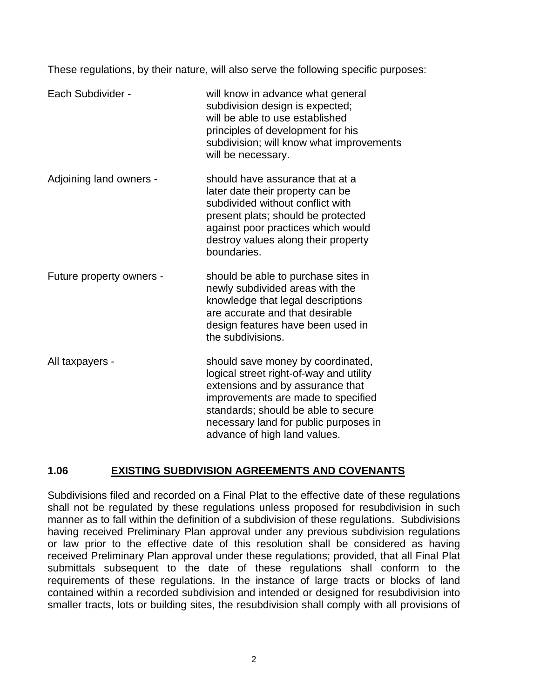These regulations, by their nature, will also serve the following specific purposes:

| Each Subdivider -        | will know in advance what general<br>subdivision design is expected;<br>will be able to use established<br>principles of development for his<br>subdivision; will know what improvements<br>will be necessary.                                                         |
|--------------------------|------------------------------------------------------------------------------------------------------------------------------------------------------------------------------------------------------------------------------------------------------------------------|
| Adjoining land owners -  | should have assurance that at a<br>later date their property can be<br>subdivided without conflict with<br>present plats; should be protected<br>against poor practices which would<br>destroy values along their property<br>boundaries.                              |
| Future property owners - | should be able to purchase sites in<br>newly subdivided areas with the<br>knowledge that legal descriptions<br>are accurate and that desirable<br>design features have been used in<br>the subdivisions.                                                               |
| All taxpayers -          | should save money by coordinated,<br>logical street right-of-way and utility<br>extensions and by assurance that<br>improvements are made to specified<br>standards; should be able to secure<br>necessary land for public purposes in<br>advance of high land values. |

# **1.06 EXISTING SUBDIVISION AGREEMENTS AND COVENANTS**

Subdivisions filed and recorded on a Final Plat to the effective date of these regulations shall not be regulated by these regulations unless proposed for resubdivision in such manner as to fall within the definition of a subdivision of these regulations. Subdivisions having received Preliminary Plan approval under any previous subdivision regulations or law prior to the effective date of this resolution shall be considered as having received Preliminary Plan approval under these regulations; provided, that all Final Plat submittals subsequent to the date of these regulations shall conform to the requirements of these regulations. In the instance of large tracts or blocks of land contained within a recorded subdivision and intended or designed for resubdivision into smaller tracts, lots or building sites, the resubdivision shall comply with all provisions of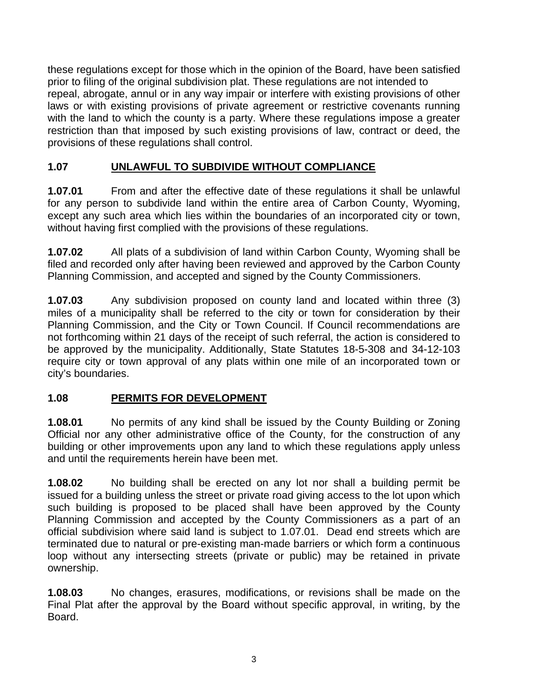these regulations except for those which in the opinion of the Board, have been satisfied prior to filing of the original subdivision plat. These regulations are not intended to repeal, abrogate, annul or in any way impair or interfere with existing provisions of other laws or with existing provisions of private agreement or restrictive covenants running with the land to which the county is a party. Where these regulations impose a greater restriction than that imposed by such existing provisions of law, contract or deed, the provisions of these regulations shall control.

# **1.07 UNLAWFUL TO SUBDIVIDE WITHOUT COMPLIANCE**

**1.07.01** From and after the effective date of these regulations it shall be unlawful for any person to subdivide land within the entire area of Carbon County, Wyoming, except any such area which lies within the boundaries of an incorporated city or town, without having first complied with the provisions of these regulations.

**1.07.02** All plats of a subdivision of land within Carbon County, Wyoming shall be filed and recorded only after having been reviewed and approved by the Carbon County Planning Commission, and accepted and signed by the County Commissioners.

**1.07.03** Any subdivision proposed on county land and located within three (3) miles of a municipality shall be referred to the city or town for consideration by their Planning Commission, and the City or Town Council. If Council recommendations are not forthcoming within 21 days of the receipt of such referral, the action is considered to be approved by the municipality. Additionally, State Statutes 18-5-308 and 34-12-103 require city or town approval of any plats within one mile of an incorporated town or city's boundaries.

# **1.08 PERMITS FOR DEVELOPMENT**

**1.08.01** No permits of any kind shall be issued by the County Building or Zoning Official nor any other administrative office of the County, for the construction of any building or other improvements upon any land to which these regulations apply unless and until the requirements herein have been met.

**1.08.02** No building shall be erected on any lot nor shall a building permit be issued for a building unless the street or private road giving access to the lot upon which such building is proposed to be placed shall have been approved by the County Planning Commission and accepted by the County Commissioners as a part of an official subdivision where said land is subject to 1.07.01. Dead end streets which are terminated due to natural or pre-existing man-made barriers or which form a continuous loop without any intersecting streets (private or public) may be retained in private ownership.

**1.08.03** No changes, erasures, modifications, or revisions shall be made on the Final Plat after the approval by the Board without specific approval, in writing, by the Board.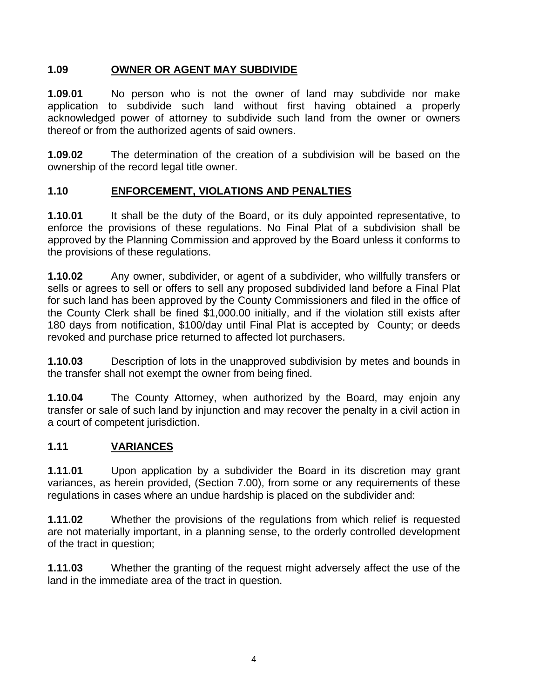## **1.09 OWNER OR AGENT MAY SUBDIVIDE**

**1.09.01** No person who is not the owner of land may subdivide nor make application to subdivide such land without first having obtained a properly acknowledged power of attorney to subdivide such land from the owner or owners thereof or from the authorized agents of said owners.

**1.09.02** The determination of the creation of a subdivision will be based on the ownership of the record legal title owner.

# **1.10 ENFORCEMENT, VIOLATIONS AND PENALTIES**

**1.10.01** It shall be the duty of the Board, or its duly appointed representative, to enforce the provisions of these regulations. No Final Plat of a subdivision shall be approved by the Planning Commission and approved by the Board unless it conforms to the provisions of these regulations.

**1.10.02** Any owner, subdivider, or agent of a subdivider, who willfully transfers or sells or agrees to sell or offers to sell any proposed subdivided land before a Final Plat for such land has been approved by the County Commissioners and filed in the office of the County Clerk shall be fined \$1,000.00 initially, and if the violation still exists after 180 days from notification, \$100/day until Final Plat is accepted by County; or deeds revoked and purchase price returned to affected lot purchasers.

**1.10.03** Description of lots in the unapproved subdivision by metes and bounds in the transfer shall not exempt the owner from being fined.

**1.10.04** The County Attorney, when authorized by the Board, may enjoin any transfer or sale of such land by injunction and may recover the penalty in a civil action in a court of competent jurisdiction.

# **1.11 VARIANCES**

**1.11.01** Upon application by a subdivider the Board in its discretion may grant variances, as herein provided, (Section 7.00), from some or any requirements of these regulations in cases where an undue hardship is placed on the subdivider and:

**1.11.02** Whether the provisions of the regulations from which relief is requested are not materially important, in a planning sense, to the orderly controlled development of the tract in question;

**1.11.03** Whether the granting of the request might adversely affect the use of the land in the immediate area of the tract in question.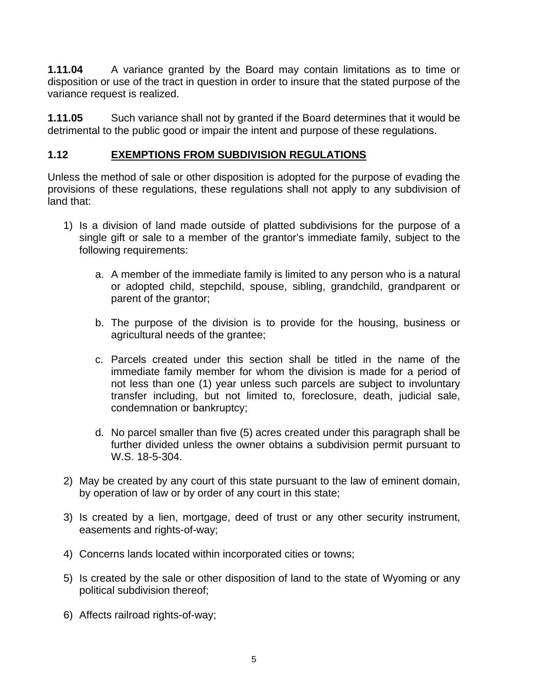**1.11.04** A variance granted by the Board may contain limitations as to time or disposition or use of the tract in question in order to insure that the stated purpose of the variance request is realized.

**1.11.05** Such variance shall not by granted if the Board determines that it would be detrimental to the public good or impair the intent and purpose of these regulations.

# **1.12 EXEMPTIONS FROM SUBDIVISION REGULATIONS**

Unless the method of sale or other disposition is adopted for the purpose of evading the provisions of these regulations, these regulations shall not apply to any subdivision of land that:

- 1) Is a division of land made outside of platted subdivisions for the purpose of a single gift or sale to a member of the grantor's immediate family, subject to the following requirements:
	- a. A member of the immediate family is limited to any person who is a natural or adopted child, stepchild, spouse, sibling, grandchild, grandparent or parent of the grantor;
	- b. The purpose of the division is to provide for the housing, business or agricultural needs of the grantee;
	- c. Parcels created under this section shall be titled in the name of the immediate family member for whom the division is made for a period of not less than one (1) year unless such parcels are subject to involuntary transfer including, but not limited to, foreclosure, death, judicial sale, condemnation or bankruptcy;
	- d. No parcel smaller than five (5) acres created under this paragraph shall be further divided unless the owner obtains a subdivision permit pursuant to W.S. 18-5-304.
- 2) May be created by any court of this state pursuant to the law of eminent domain, by operation of law or by order of any court in this state;
- 3) Is created by a lien, mortgage, deed of trust or any other security instrument, easements and rights-of-way;
- 4) Concerns lands located within incorporated cities or towns;
- 5) Is created by the sale or other disposition of land to the state of Wyoming or any political subdivision thereof;
- 6) Affects railroad rights-of-way;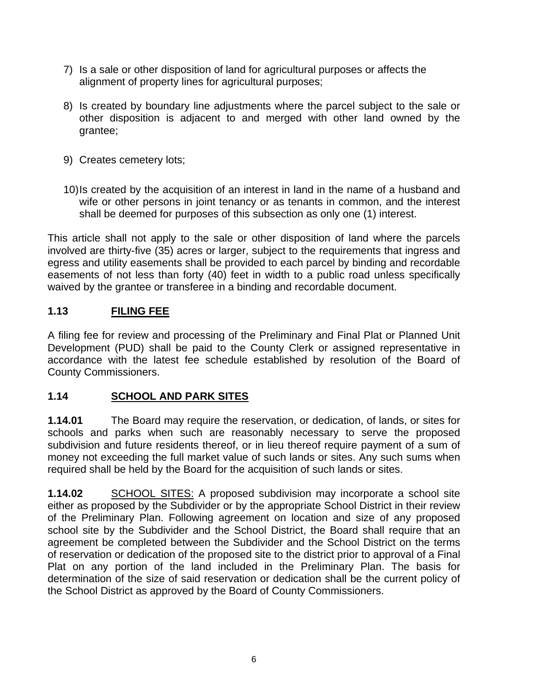- 7) Is a sale or other disposition of land for agricultural purposes or affects the alignment of property lines for agricultural purposes;
- 8) Is created by boundary line adjustments where the parcel subject to the sale or other disposition is adjacent to and merged with other land owned by the grantee;
- 9) Creates cemetery lots;
- 10) Is created by the acquisition of an interest in land in the name of a husband and wife or other persons in joint tenancy or as tenants in common, and the interest shall be deemed for purposes of this subsection as only one (1) interest.

This article shall not apply to the sale or other disposition of land where the parcels involved are thirty-five (35) acres or larger, subject to the requirements that ingress and egress and utility easements shall be provided to each parcel by binding and recordable easements of not less than forty (40) feet in width to a public road unless specifically waived by the grantee or transferee in a binding and recordable document.

# **1.13 FILING FEE**

A filing fee for review and processing of the Preliminary and Final Plat or Planned Unit Development (PUD) shall be paid to the County Clerk or assigned representative in accordance with the latest fee schedule established by resolution of the Board of County Commissioners.

# **1.14 SCHOOL AND PARK SITES**

**1.14.01** The Board may require the reservation, or dedication, of lands, or sites for schools and parks when such are reasonably necessary to serve the proposed subdivision and future residents thereof, or in lieu thereof require payment of a sum of money not exceeding the full market value of such lands or sites. Any such sums when required shall be held by the Board for the acquisition of such lands or sites.

**1.14.02** SCHOOL SITES: A proposed subdivision may incorporate a school site either as proposed by the Subdivider or by the appropriate School District in their review of the Preliminary Plan. Following agreement on location and size of any proposed school site by the Subdivider and the School District, the Board shall require that an agreement be completed between the Subdivider and the School District on the terms of reservation or dedication of the proposed site to the district prior to approval of a Final Plat on any portion of the land included in the Preliminary Plan. The basis for determination of the size of said reservation or dedication shall be the current policy of the School District as approved by the Board of County Commissioners.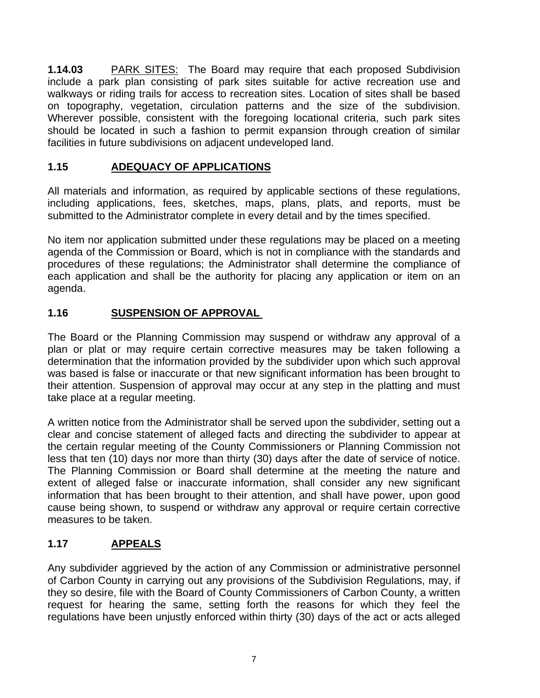**1.14.03** PARK SITES: The Board may require that each proposed Subdivision include a park plan consisting of park sites suitable for active recreation use and walkways or riding trails for access to recreation sites. Location of sites shall be based on topography, vegetation, circulation patterns and the size of the subdivision. Wherever possible, consistent with the foregoing locational criteria, such park sites should be located in such a fashion to permit expansion through creation of similar facilities in future subdivisions on adjacent undeveloped land.

# **1.15 ADEQUACY OF APPLICATIONS**

All materials and information, as required by applicable sections of these regulations, including applications, fees, sketches, maps, plans, plats, and reports, must be submitted to the Administrator complete in every detail and by the times specified.

No item nor application submitted under these regulations may be placed on a meeting agenda of the Commission or Board, which is not in compliance with the standards and procedures of these regulations; the Administrator shall determine the compliance of each application and shall be the authority for placing any application or item on an agenda.

# **1.16 SUSPENSION OF APPROVAL**

The Board or the Planning Commission may suspend or withdraw any approval of a plan or plat or may require certain corrective measures may be taken following a determination that the information provided by the subdivider upon which such approval was based is false or inaccurate or that new significant information has been brought to their attention. Suspension of approval may occur at any step in the platting and must take place at a regular meeting.

A written notice from the Administrator shall be served upon the subdivider, setting out a clear and concise statement of alleged facts and directing the subdivider to appear at the certain regular meeting of the County Commissioners or Planning Commission not less that ten (10) days nor more than thirty (30) days after the date of service of notice. The Planning Commission or Board shall determine at the meeting the nature and extent of alleged false or inaccurate information, shall consider any new significant information that has been brought to their attention, and shall have power, upon good cause being shown, to suspend or withdraw any approval or require certain corrective measures to be taken.

# **1.17 APPEALS**

Any subdivider aggrieved by the action of any Commission or administrative personnel of Carbon County in carrying out any provisions of the Subdivision Regulations, may, if they so desire, file with the Board of County Commissioners of Carbon County, a written request for hearing the same, setting forth the reasons for which they feel the regulations have been unjustly enforced within thirty (30) days of the act or acts alleged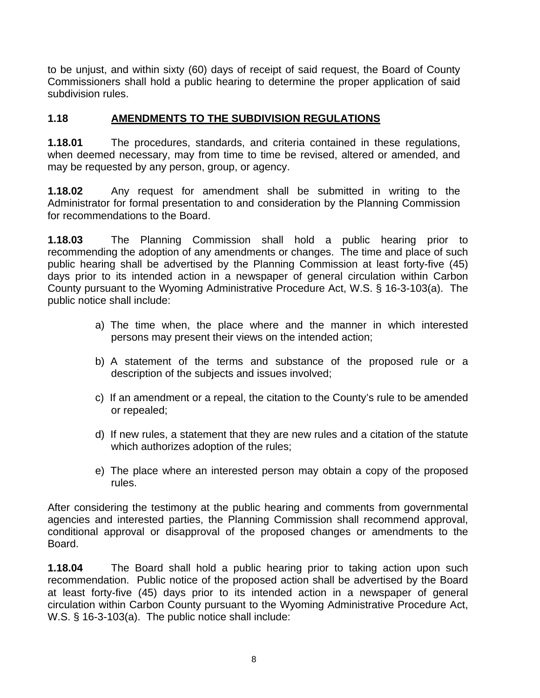to be unjust, and within sixty (60) days of receipt of said request, the Board of County Commissioners shall hold a public hearing to determine the proper application of said subdivision rules.

# **1.18 AMENDMENTS TO THE SUBDIVISION REGULATIONS**

**1.18.01** The procedures, standards, and criteria contained in these regulations, when deemed necessary, may from time to time be revised, altered or amended, and may be requested by any person, group, or agency.

**1.18.02** Any request for amendment shall be submitted in writing to the Administrator for formal presentation to and consideration by the Planning Commission for recommendations to the Board.

**1.18.03** The Planning Commission shall hold a public hearing prior to recommending the adoption of any amendments or changes. The time and place of such public hearing shall be advertised by the Planning Commission at least forty-five (45) days prior to its intended action in a newspaper of general circulation within Carbon County pursuant to the Wyoming Administrative Procedure Act, W.S. § 16-3-103(a). The public notice shall include:

- a) The time when, the place where and the manner in which interested persons may present their views on the intended action;
- b) A statement of the terms and substance of the proposed rule or a description of the subjects and issues involved;
- c) If an amendment or a repeal, the citation to the County's rule to be amended or repealed;
- d) If new rules, a statement that they are new rules and a citation of the statute which authorizes adoption of the rules;
- e) The place where an interested person may obtain a copy of the proposed rules.

After considering the testimony at the public hearing and comments from governmental agencies and interested parties, the Planning Commission shall recommend approval, conditional approval or disapproval of the proposed changes or amendments to the Board.

**1.18.04** The Board shall hold a public hearing prior to taking action upon such recommendation. Public notice of the proposed action shall be advertised by the Board at least forty-five (45) days prior to its intended action in a newspaper of general circulation within Carbon County pursuant to the Wyoming Administrative Procedure Act, W.S. § 16-3-103(a). The public notice shall include: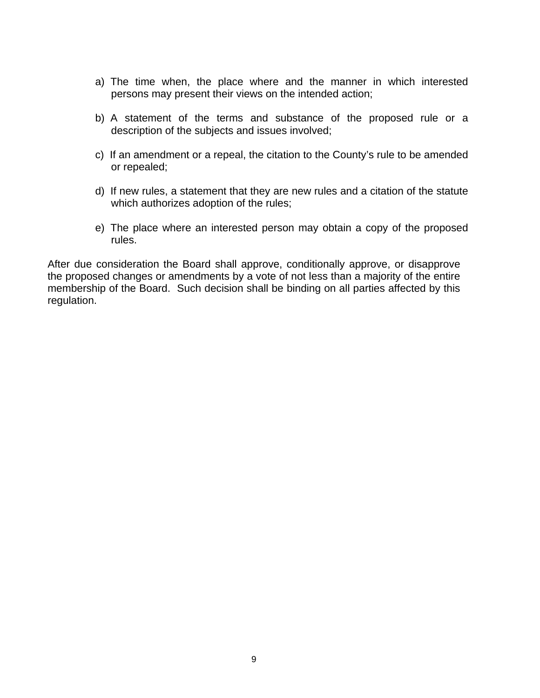- a) The time when, the place where and the manner in which interested persons may present their views on the intended action;
- b) A statement of the terms and substance of the proposed rule or a description of the subjects and issues involved;
- c) If an amendment or a repeal, the citation to the County's rule to be amended or repealed;
- d) If new rules, a statement that they are new rules and a citation of the statute which authorizes adoption of the rules;
- e) The place where an interested person may obtain a copy of the proposed rules.

After due consideration the Board shall approve, conditionally approve, or disapprove the proposed changes or amendments by a vote of not less than a majority of the entire membership of the Board. Such decision shall be binding on all parties affected by this regulation.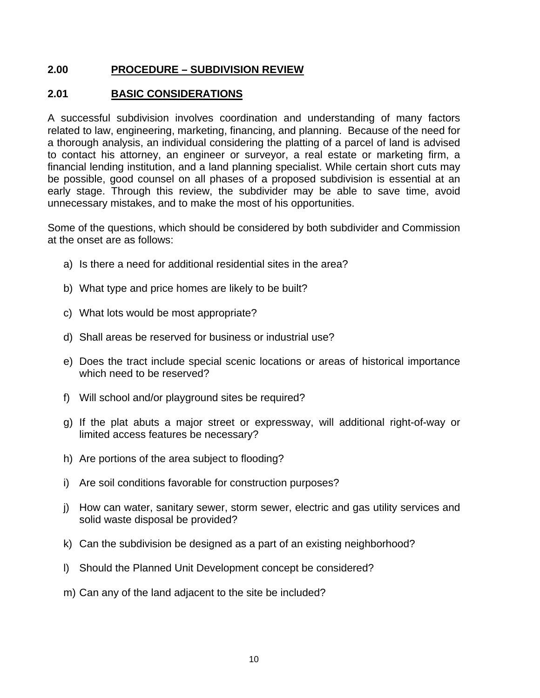#### **2.00 PROCEDURE – SUBDIVISION REVIEW**

#### **2.01 BASIC CONSIDERATIONS**

A successful subdivision involves coordination and understanding of many factors related to law, engineering, marketing, financing, and planning. Because of the need for a thorough analysis, an individual considering the platting of a parcel of land is advised to contact his attorney, an engineer or surveyor, a real estate or marketing firm, a financial lending institution, and a land planning specialist. While certain short cuts may be possible, good counsel on all phases of a proposed subdivision is essential at an early stage. Through this review, the subdivider may be able to save time, avoid unnecessary mistakes, and to make the most of his opportunities.

Some of the questions, which should be considered by both subdivider and Commission at the onset are as follows:

- a) Is there a need for additional residential sites in the area?
- b) What type and price homes are likely to be built?
- c) What lots would be most appropriate?
- d) Shall areas be reserved for business or industrial use?
- e) Does the tract include special scenic locations or areas of historical importance which need to be reserved?
- f) Will school and/or playground sites be required?
- g) If the plat abuts a major street or expressway, will additional right-of-way or limited access features be necessary?
- h) Are portions of the area subject to flooding?
- i) Are soil conditions favorable for construction purposes?
- j) How can water, sanitary sewer, storm sewer, electric and gas utility services and solid waste disposal be provided?
- k) Can the subdivision be designed as a part of an existing neighborhood?
- l) Should the Planned Unit Development concept be considered?
- m) Can any of the land adjacent to the site be included?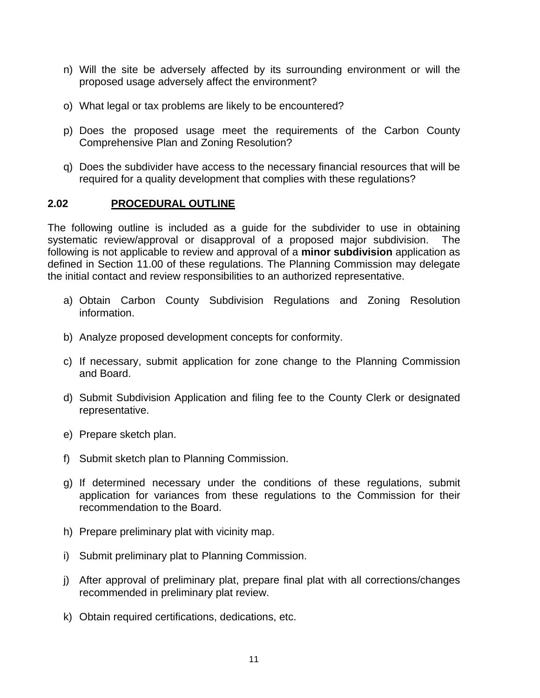- n) Will the site be adversely affected by its surrounding environment or will the proposed usage adversely affect the environment?
- o) What legal or tax problems are likely to be encountered?
- p) Does the proposed usage meet the requirements of the Carbon County Comprehensive Plan and Zoning Resolution?
- q) Does the subdivider have access to the necessary financial resources that will be required for a quality development that complies with these regulations?

#### **2.02 PROCEDURAL OUTLINE**

The following outline is included as a guide for the subdivider to use in obtaining systematic review/approval or disapproval of a proposed major subdivision. The following is not applicable to review and approval of a **minor subdivision** application as defined in Section 11.00 of these regulations. The Planning Commission may delegate the initial contact and review responsibilities to an authorized representative.

- a) Obtain Carbon County Subdivision Regulations and Zoning Resolution information.
- b) Analyze proposed development concepts for conformity.
- c) If necessary, submit application for zone change to the Planning Commission and Board.
- d) Submit Subdivision Application and filing fee to the County Clerk or designated representative.
- e) Prepare sketch plan.
- f) Submit sketch plan to Planning Commission.
- g) If determined necessary under the conditions of these regulations, submit application for variances from these regulations to the Commission for their recommendation to the Board.
- h) Prepare preliminary plat with vicinity map.
- i) Submit preliminary plat to Planning Commission.
- j) After approval of preliminary plat, prepare final plat with all corrections/changes recommended in preliminary plat review.
- k) Obtain required certifications, dedications, etc.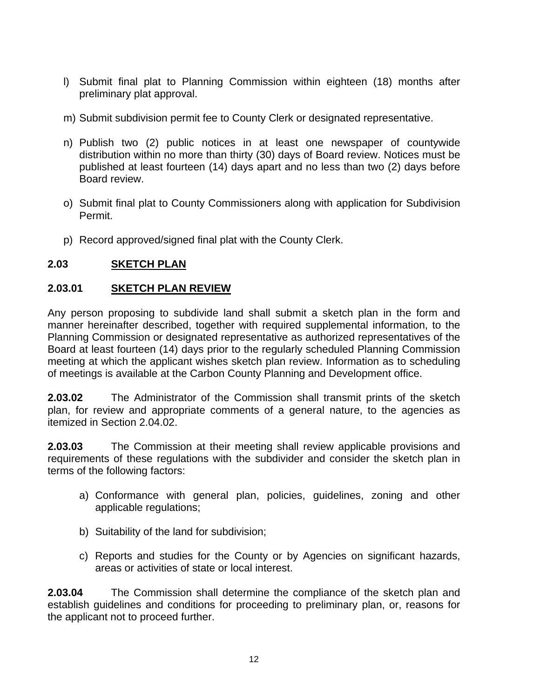- l) Submit final plat to Planning Commission within eighteen (18) months after preliminary plat approval.
- m) Submit subdivision permit fee to County Clerk or designated representative.
- n) Publish two (2) public notices in at least one newspaper of countywide distribution within no more than thirty (30) days of Board review. Notices must be published at least fourteen (14) days apart and no less than two (2) days before Board review.
- o) Submit final plat to County Commissioners along with application for Subdivision Permit.
- p) Record approved/signed final plat with the County Clerk.

# **2.03 SKETCH PLAN**

## **2.03.01 SKETCH PLAN REVIEW**

Any person proposing to subdivide land shall submit a sketch plan in the form and manner hereinafter described, together with required supplemental information, to the Planning Commission or designated representative as authorized representatives of the Board at least fourteen (14) days prior to the regularly scheduled Planning Commission meeting at which the applicant wishes sketch plan review. Information as to scheduling of meetings is available at the Carbon County Planning and Development office.

**2.03.02** The Administrator of the Commission shall transmit prints of the sketch plan, for review and appropriate comments of a general nature, to the agencies as itemized in Section 2.04.02.

**2.03.03** The Commission at their meeting shall review applicable provisions and requirements of these regulations with the subdivider and consider the sketch plan in terms of the following factors:

- a) Conformance with general plan, policies, guidelines, zoning and other applicable regulations;
- b) Suitability of the land for subdivision;
- c) Reports and studies for the County or by Agencies on significant hazards, areas or activities of state or local interest.

**2.03.04** The Commission shall determine the compliance of the sketch plan and establish guidelines and conditions for proceeding to preliminary plan, or, reasons for the applicant not to proceed further.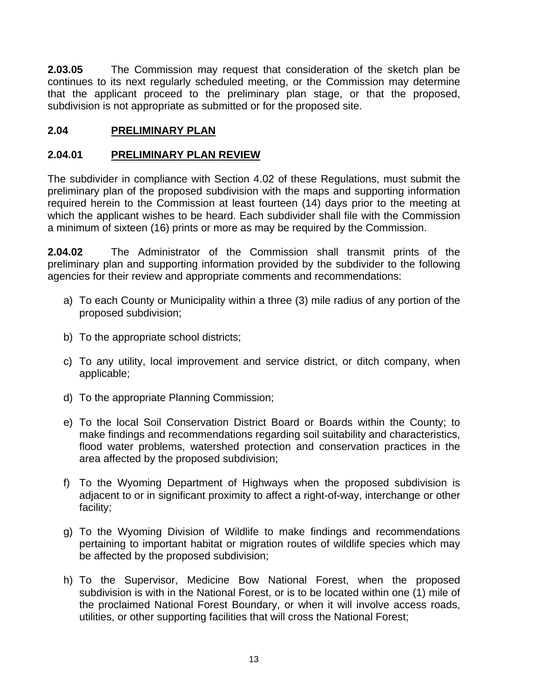**2.03.05** The Commission may request that consideration of the sketch plan be continues to its next regularly scheduled meeting, or the Commission may determine that the applicant proceed to the preliminary plan stage, or that the proposed, subdivision is not appropriate as submitted or for the proposed site.

# **2.04 PRELIMINARY PLAN**

#### **2.04.01 PRELIMINARY PLAN REVIEW**

The subdivider in compliance with Section 4.02 of these Regulations, must submit the preliminary plan of the proposed subdivision with the maps and supporting information required herein to the Commission at least fourteen (14) days prior to the meeting at which the applicant wishes to be heard. Each subdivider shall file with the Commission a minimum of sixteen (16) prints or more as may be required by the Commission.

**2.04.02** The Administrator of the Commission shall transmit prints of the preliminary plan and supporting information provided by the subdivider to the following agencies for their review and appropriate comments and recommendations:

- a) To each County or Municipality within a three (3) mile radius of any portion of the proposed subdivision;
- b) To the appropriate school districts;
- c) To any utility, local improvement and service district, or ditch company, when applicable;
- d) To the appropriate Planning Commission;
- e) To the local Soil Conservation District Board or Boards within the County; to make findings and recommendations regarding soil suitability and characteristics, flood water problems, watershed protection and conservation practices in the area affected by the proposed subdivision;
- f) To the Wyoming Department of Highways when the proposed subdivision is adjacent to or in significant proximity to affect a right-of-way, interchange or other facility;
- g) To the Wyoming Division of Wildlife to make findings and recommendations pertaining to important habitat or migration routes of wildlife species which may be affected by the proposed subdivision;
- h) To the Supervisor, Medicine Bow National Forest, when the proposed subdivision is with in the National Forest, or is to be located within one (1) mile of the proclaimed National Forest Boundary, or when it will involve access roads, utilities, or other supporting facilities that will cross the National Forest;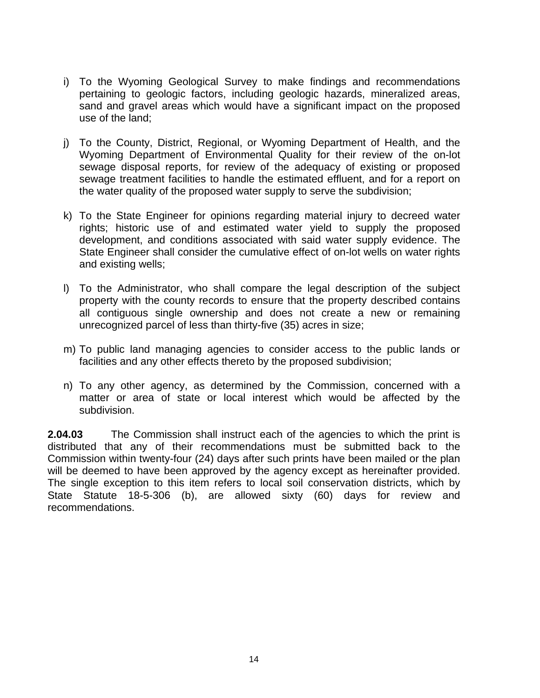- i) To the Wyoming Geological Survey to make findings and recommendations pertaining to geologic factors, including geologic hazards, mineralized areas, sand and gravel areas which would have a significant impact on the proposed use of the land;
- j) To the County, District, Regional, or Wyoming Department of Health, and the Wyoming Department of Environmental Quality for their review of the on-lot sewage disposal reports, for review of the adequacy of existing or proposed sewage treatment facilities to handle the estimated effluent, and for a report on the water quality of the proposed water supply to serve the subdivision;
- k) To the State Engineer for opinions regarding material injury to decreed water rights; historic use of and estimated water yield to supply the proposed development, and conditions associated with said water supply evidence. The State Engineer shall consider the cumulative effect of on-lot wells on water rights and existing wells;
- l) To the Administrator, who shall compare the legal description of the subject property with the county records to ensure that the property described contains all contiguous single ownership and does not create a new or remaining unrecognized parcel of less than thirty-five (35) acres in size;
- m) To public land managing agencies to consider access to the public lands or facilities and any other effects thereto by the proposed subdivision;
- n) To any other agency, as determined by the Commission, concerned with a matter or area of state or local interest which would be affected by the subdivision.

**2.04.03** The Commission shall instruct each of the agencies to which the print is distributed that any of their recommendations must be submitted back to the Commission within twenty-four (24) days after such prints have been mailed or the plan will be deemed to have been approved by the agency except as hereinafter provided. The single exception to this item refers to local soil conservation districts, which by State Statute 18-5-306 (b), are allowed sixty (60) days for review and recommendations.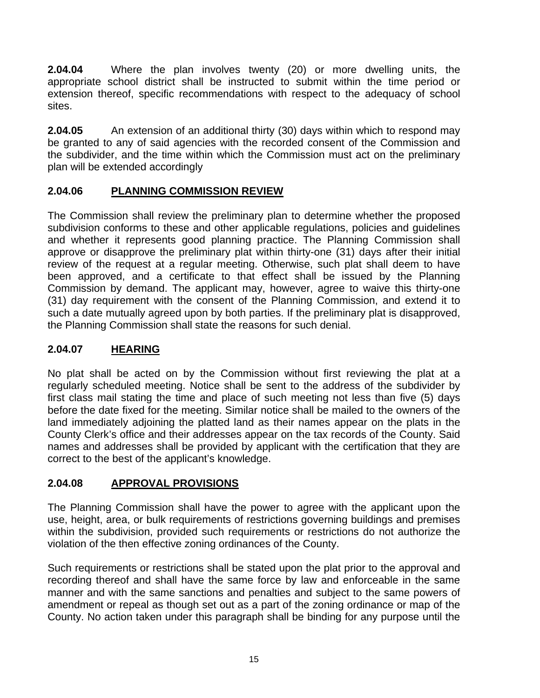**2.04.04** Where the plan involves twenty (20) or more dwelling units, the appropriate school district shall be instructed to submit within the time period or extension thereof, specific recommendations with respect to the adequacy of school sites.

**2.04.05** An extension of an additional thirty (30) days within which to respond may be granted to any of said agencies with the recorded consent of the Commission and the subdivider, and the time within which the Commission must act on the preliminary plan will be extended accordingly

# **2.04.06 PLANNING COMMISSION REVIEW**

The Commission shall review the preliminary plan to determine whether the proposed subdivision conforms to these and other applicable regulations, policies and guidelines and whether it represents good planning practice. The Planning Commission shall approve or disapprove the preliminary plat within thirty-one (31) days after their initial review of the request at a regular meeting. Otherwise, such plat shall deem to have been approved, and a certificate to that effect shall be issued by the Planning Commission by demand. The applicant may, however, agree to waive this thirty-one (31) day requirement with the consent of the Planning Commission, and extend it to such a date mutually agreed upon by both parties. If the preliminary plat is disapproved, the Planning Commission shall state the reasons for such denial.

# **2.04.07 HEARING**

No plat shall be acted on by the Commission without first reviewing the plat at a regularly scheduled meeting. Notice shall be sent to the address of the subdivider by first class mail stating the time and place of such meeting not less than five (5) days before the date fixed for the meeting. Similar notice shall be mailed to the owners of the land immediately adjoining the platted land as their names appear on the plats in the County Clerk's office and their addresses appear on the tax records of the County. Said names and addresses shall be provided by applicant with the certification that they are correct to the best of the applicant's knowledge.

# **2.04.08 APPROVAL PROVISIONS**

The Planning Commission shall have the power to agree with the applicant upon the use, height, area, or bulk requirements of restrictions governing buildings and premises within the subdivision, provided such requirements or restrictions do not authorize the violation of the then effective zoning ordinances of the County.

Such requirements or restrictions shall be stated upon the plat prior to the approval and recording thereof and shall have the same force by law and enforceable in the same manner and with the same sanctions and penalties and subject to the same powers of amendment or repeal as though set out as a part of the zoning ordinance or map of the County. No action taken under this paragraph shall be binding for any purpose until the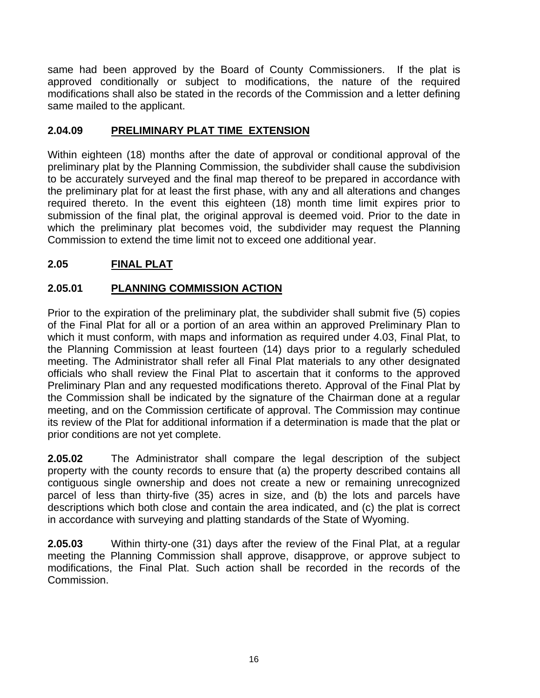same had been approved by the Board of County Commissioners. If the plat is approved conditionally or subject to modifications, the nature of the required modifications shall also be stated in the records of the Commission and a letter defining same mailed to the applicant.

# **2.04.09 PRELIMINARY PLAT TIME EXTENSION**

Within eighteen (18) months after the date of approval or conditional approval of the preliminary plat by the Planning Commission, the subdivider shall cause the subdivision to be accurately surveyed and the final map thereof to be prepared in accordance with the preliminary plat for at least the first phase, with any and all alterations and changes required thereto. In the event this eighteen (18) month time limit expires prior to submission of the final plat, the original approval is deemed void. Prior to the date in which the preliminary plat becomes void, the subdivider may request the Planning Commission to extend the time limit not to exceed one additional year.

# **2.05 FINAL PLAT**

# **2.05.01 PLANNING COMMISSION ACTION**

Prior to the expiration of the preliminary plat, the subdivider shall submit five (5) copies of the Final Plat for all or a portion of an area within an approved Preliminary Plan to which it must conform, with maps and information as required under 4.03, Final Plat, to the Planning Commission at least fourteen (14) days prior to a regularly scheduled meeting. The Administrator shall refer all Final Plat materials to any other designated officials who shall review the Final Plat to ascertain that it conforms to the approved Preliminary Plan and any requested modifications thereto. Approval of the Final Plat by the Commission shall be indicated by the signature of the Chairman done at a regular meeting, and on the Commission certificate of approval. The Commission may continue its review of the Plat for additional information if a determination is made that the plat or prior conditions are not yet complete.

**2.05.02** The Administrator shall compare the legal description of the subject property with the county records to ensure that (a) the property described contains all contiguous single ownership and does not create a new or remaining unrecognized parcel of less than thirty-five (35) acres in size, and (b) the lots and parcels have descriptions which both close and contain the area indicated, and (c) the plat is correct in accordance with surveying and platting standards of the State of Wyoming.

**2.05.03** Within thirty-one (31) days after the review of the Final Plat, at a regular meeting the Planning Commission shall approve, disapprove, or approve subject to modifications, the Final Plat. Such action shall be recorded in the records of the Commission.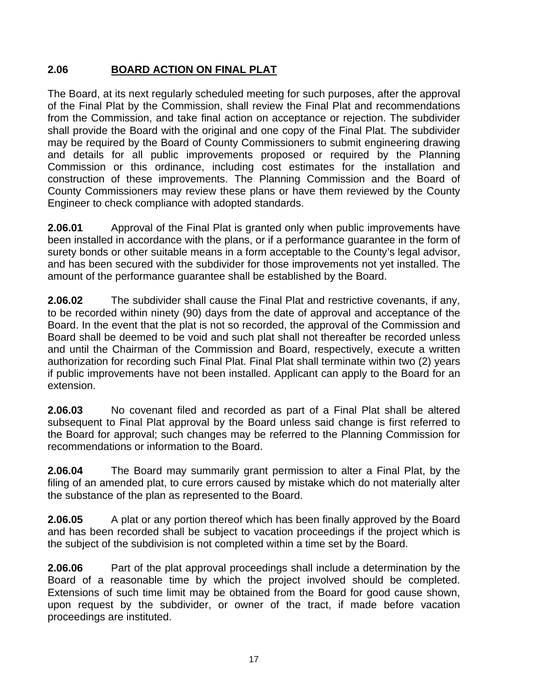# **2.06 BOARD ACTION ON FINAL PLAT**

The Board, at its next regularly scheduled meeting for such purposes, after the approval of the Final Plat by the Commission, shall review the Final Plat and recommendations from the Commission, and take final action on acceptance or rejection. The subdivider shall provide the Board with the original and one copy of the Final Plat. The subdivider may be required by the Board of County Commissioners to submit engineering drawing and details for all public improvements proposed or required by the Planning Commission or this ordinance, including cost estimates for the installation and construction of these improvements. The Planning Commission and the Board of County Commissioners may review these plans or have them reviewed by the County Engineer to check compliance with adopted standards.

**2.06.01** Approval of the Final Plat is granted only when public improvements have been installed in accordance with the plans, or if a performance guarantee in the form of surety bonds or other suitable means in a form acceptable to the County's legal advisor, and has been secured with the subdivider for those improvements not yet installed. The amount of the performance guarantee shall be established by the Board.

**2.06.02** The subdivider shall cause the Final Plat and restrictive covenants, if any, to be recorded within ninety (90) days from the date of approval and acceptance of the Board. In the event that the plat is not so recorded, the approval of the Commission and Board shall be deemed to be void and such plat shall not thereafter be recorded unless and until the Chairman of the Commission and Board, respectively, execute a written authorization for recording such Final Plat. Final Plat shall terminate within two (2) years if public improvements have not been installed. Applicant can apply to the Board for an extension.

**2.06.03** No covenant filed and recorded as part of a Final Plat shall be altered subsequent to Final Plat approval by the Board unless said change is first referred to the Board for approval; such changes may be referred to the Planning Commission for recommendations or information to the Board.

**2.06.04** The Board may summarily grant permission to alter a Final Plat, by the filing of an amended plat, to cure errors caused by mistake which do not materially alter the substance of the plan as represented to the Board.

**2.06.05** A plat or any portion thereof which has been finally approved by the Board and has been recorded shall be subject to vacation proceedings if the project which is the subject of the subdivision is not completed within a time set by the Board.

**2.06.06** Part of the plat approval proceedings shall include a determination by the Board of a reasonable time by which the project involved should be completed. Extensions of such time limit may be obtained from the Board for good cause shown, upon request by the subdivider, or owner of the tract, if made before vacation proceedings are instituted.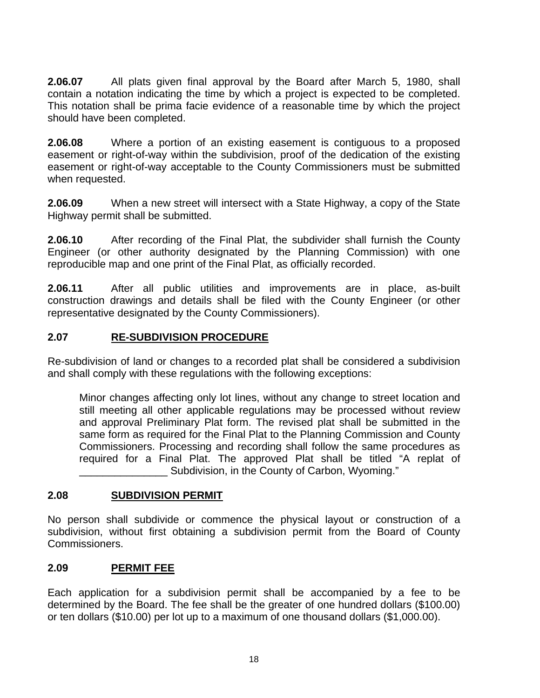**2.06.07** All plats given final approval by the Board after March 5, 1980, shall contain a notation indicating the time by which a project is expected to be completed. This notation shall be prima facie evidence of a reasonable time by which the project should have been completed.

**2.06.08** Where a portion of an existing easement is contiguous to a proposed easement or right-of-way within the subdivision, proof of the dedication of the existing easement or right-of-way acceptable to the County Commissioners must be submitted when requested.

**2.06.09** When a new street will intersect with a State Highway, a copy of the State Highway permit shall be submitted.

**2.06.10** After recording of the Final Plat, the subdivider shall furnish the County Engineer (or other authority designated by the Planning Commission) with one reproducible map and one print of the Final Plat, as officially recorded.

**2.06.11** After all public utilities and improvements are in place, as-built construction drawings and details shall be filed with the County Engineer (or other representative designated by the County Commissioners).

#### **2.07 RE-SUBDIVISION PROCEDURE**

Re-subdivision of land or changes to a recorded plat shall be considered a subdivision and shall comply with these regulations with the following exceptions:

 Minor changes affecting only lot lines, without any change to street location and still meeting all other applicable regulations may be processed without review and approval Preliminary Plat form. The revised plat shall be submitted in the same form as required for the Final Plat to the Planning Commission and County Commissioners. Processing and recording shall follow the same procedures as required for a Final Plat. The approved Plat shall be titled "A replat of Subdivision, in the County of Carbon, Wyoming."

#### **2.08 SUBDIVISION PERMIT**

No person shall subdivide or commence the physical layout or construction of a subdivision, without first obtaining a subdivision permit from the Board of County Commissioners.

#### **2.09 PERMIT FEE**

Each application for a subdivision permit shall be accompanied by a fee to be determined by the Board. The fee shall be the greater of one hundred dollars (\$100.00) or ten dollars (\$10.00) per lot up to a maximum of one thousand dollars (\$1,000.00).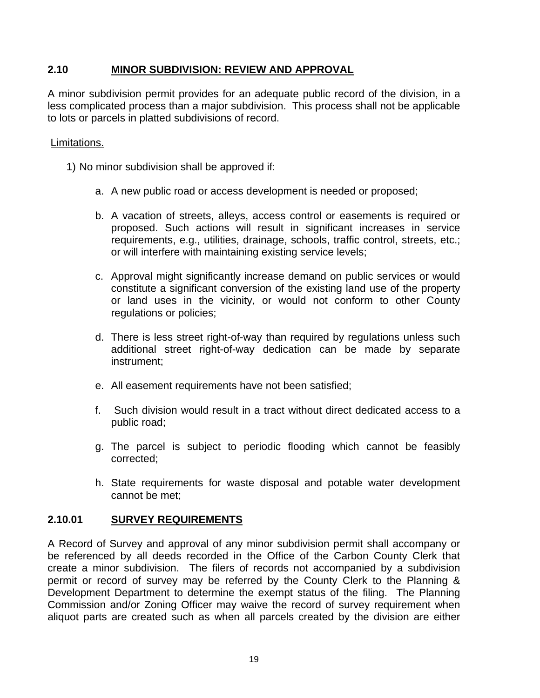## **2.10 MINOR SUBDIVISION: REVIEW AND APPROVAL**

A minor subdivision permit provides for an adequate public record of the division, in a less complicated process than a major subdivision. This process shall not be applicable to lots or parcels in platted subdivisions of record.

#### Limitations.

1) No minor subdivision shall be approved if:

- a. A new public road or access development is needed or proposed;
- b. A vacation of streets, alleys, access control or easements is required or proposed. Such actions will result in significant increases in service requirements, e.g., utilities, drainage, schools, traffic control, streets, etc.; or will interfere with maintaining existing service levels;
- c. Approval might significantly increase demand on public services or would constitute a significant conversion of the existing land use of the property or land uses in the vicinity, or would not conform to other County regulations or policies;
- d. There is less street right-of-way than required by regulations unless such additional street right-of-way dedication can be made by separate instrument;
- e. All easement requirements have not been satisfied;
- f. Such division would result in a tract without direct dedicated access to a public road;
- g. The parcel is subject to periodic flooding which cannot be feasibly corrected;
- h. State requirements for waste disposal and potable water development cannot be met;

#### **2.10.01 SURVEY REQUIREMENTS**

A Record of Survey and approval of any minor subdivision permit shall accompany or be referenced by all deeds recorded in the Office of the Carbon County Clerk that create a minor subdivision. The filers of records not accompanied by a subdivision permit or record of survey may be referred by the County Clerk to the Planning & Development Department to determine the exempt status of the filing. The Planning Commission and/or Zoning Officer may waive the record of survey requirement when aliquot parts are created such as when all parcels created by the division are either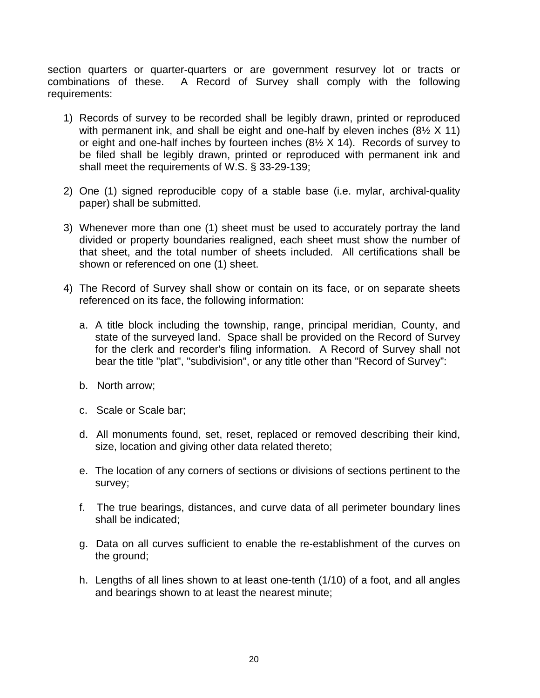section quarters or quarter-quarters or are government resurvey lot or tracts or combinations of these. A Record of Survey shall comply with the following requirements:

- 1) Records of survey to be recorded shall be legibly drawn, printed or reproduced with permanent ink, and shall be eight and one-half by eleven inches (8<sup>1/2</sup> X 11) or eight and one-half inches by fourteen inches  $(8\frac{1}{2} \times 14)$ . Records of survey to be filed shall be legibly drawn, printed or reproduced with permanent ink and shall meet the requirements of W.S. § 33-29-139;
- 2) One (1) signed reproducible copy of a stable base (i.e. mylar, archival-quality paper) shall be submitted.
- 3) Whenever more than one (1) sheet must be used to accurately portray the land divided or property boundaries realigned, each sheet must show the number of that sheet, and the total number of sheets included. All certifications shall be shown or referenced on one (1) sheet.
- 4) The Record of Survey shall show or contain on its face, or on separate sheets referenced on its face, the following information:
	- a. A title block including the township, range, principal meridian, County, and state of the surveyed land. Space shall be provided on the Record of Survey for the clerk and recorder's filing information. A Record of Survey shall not bear the title "plat", "subdivision", or any title other than "Record of Survey":
	- b. North arrow;
	- c. Scale or Scale bar;
	- d. All monuments found, set, reset, replaced or removed describing their kind, size, location and giving other data related thereto;
	- e. The location of any corners of sections or divisions of sections pertinent to the survey;
	- f. The true bearings, distances, and curve data of all perimeter boundary lines shall be indicated;
	- g. Data on all curves sufficient to enable the re-establishment of the curves on the ground;
	- h. Lengths of all lines shown to at least one-tenth (1/10) of a foot, and all angles and bearings shown to at least the nearest minute;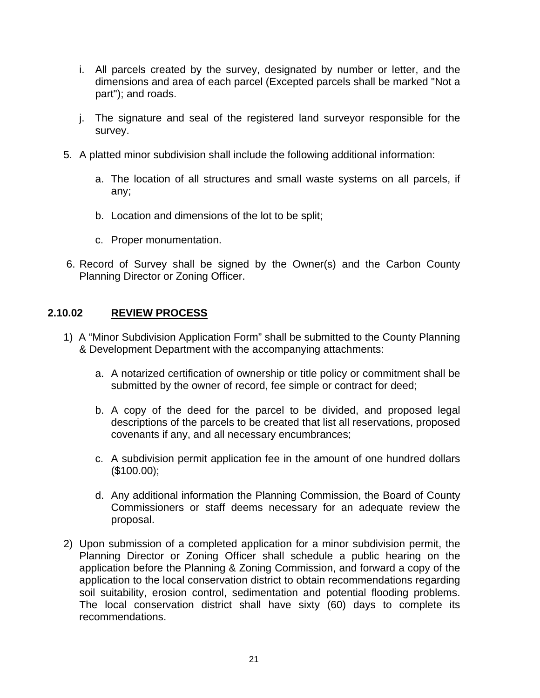- i. All parcels created by the survey, designated by number or letter, and the dimensions and area of each parcel (Excepted parcels shall be marked "Not a part"); and roads.
- j. The signature and seal of the registered land surveyor responsible for the survey.
- 5. A platted minor subdivision shall include the following additional information:
	- a. The location of all structures and small waste systems on all parcels, if any;
	- b. Location and dimensions of the lot to be split;
	- c. Proper monumentation.
- 6. Record of Survey shall be signed by the Owner(s) and the Carbon County Planning Director or Zoning Officer.

#### **2.10.02 REVIEW PROCESS**

- 1) A "Minor Subdivision Application Form" shall be submitted to the County Planning & Development Department with the accompanying attachments:
	- a. A notarized certification of ownership or title policy or commitment shall be submitted by the owner of record, fee simple or contract for deed;
	- b. A copy of the deed for the parcel to be divided, and proposed legal descriptions of the parcels to be created that list all reservations, proposed covenants if any, and all necessary encumbrances;
	- c. A subdivision permit application fee in the amount of one hundred dollars (\$100.00);
	- d. Any additional information the Planning Commission, the Board of County Commissioners or staff deems necessary for an adequate review the proposal.
- 2) Upon submission of a completed application for a minor subdivision permit, the Planning Director or Zoning Officer shall schedule a public hearing on the application before the Planning & Zoning Commission, and forward a copy of the application to the local conservation district to obtain recommendations regarding soil suitability, erosion control, sedimentation and potential flooding problems. The local conservation district shall have sixty (60) days to complete its recommendations.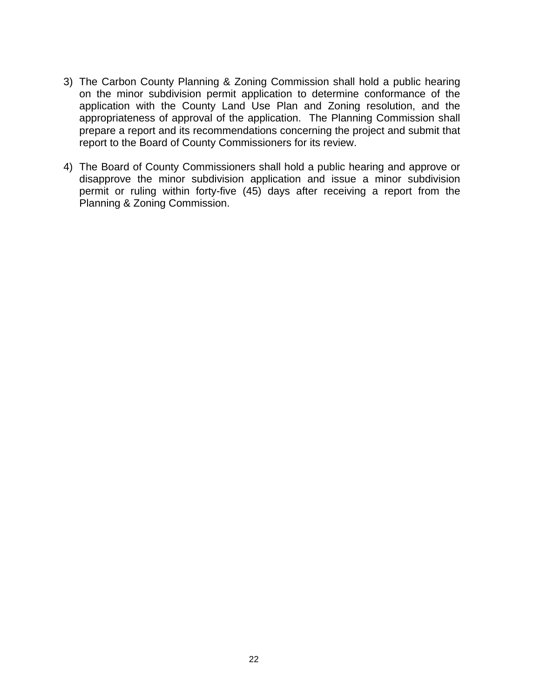- 3) The Carbon County Planning & Zoning Commission shall hold a public hearing on the minor subdivision permit application to determine conformance of the application with the County Land Use Plan and Zoning resolution, and the appropriateness of approval of the application. The Planning Commission shall prepare a report and its recommendations concerning the project and submit that report to the Board of County Commissioners for its review.
- 4) The Board of County Commissioners shall hold a public hearing and approve or disapprove the minor subdivision application and issue a minor subdivision permit or ruling within forty-five (45) days after receiving a report from the Planning & Zoning Commission.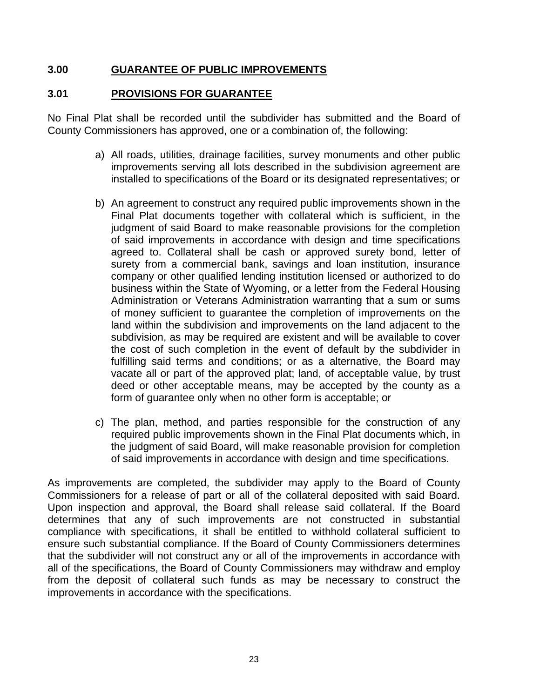#### **3.00 GUARANTEE OF PUBLIC IMPROVEMENTS**

#### **3.01 PROVISIONS FOR GUARANTEE**

No Final Plat shall be recorded until the subdivider has submitted and the Board of County Commissioners has approved, one or a combination of, the following:

- a) All roads, utilities, drainage facilities, survey monuments and other public improvements serving all lots described in the subdivision agreement are installed to specifications of the Board or its designated representatives; or
- b) An agreement to construct any required public improvements shown in the Final Plat documents together with collateral which is sufficient, in the judgment of said Board to make reasonable provisions for the completion of said improvements in accordance with design and time specifications agreed to. Collateral shall be cash or approved surety bond, letter of surety from a commercial bank, savings and loan institution, insurance company or other qualified lending institution licensed or authorized to do business within the State of Wyoming, or a letter from the Federal Housing Administration or Veterans Administration warranting that a sum or sums of money sufficient to guarantee the completion of improvements on the land within the subdivision and improvements on the land adjacent to the subdivision, as may be required are existent and will be available to cover the cost of such completion in the event of default by the subdivider in fulfilling said terms and conditions; or as a alternative, the Board may vacate all or part of the approved plat; land, of acceptable value, by trust deed or other acceptable means, may be accepted by the county as a form of guarantee only when no other form is acceptable; or
- c) The plan, method, and parties responsible for the construction of any required public improvements shown in the Final Plat documents which, in the judgment of said Board, will make reasonable provision for completion of said improvements in accordance with design and time specifications.

As improvements are completed, the subdivider may apply to the Board of County Commissioners for a release of part or all of the collateral deposited with said Board. Upon inspection and approval, the Board shall release said collateral. If the Board determines that any of such improvements are not constructed in substantial compliance with specifications, it shall be entitled to withhold collateral sufficient to ensure such substantial compliance. If the Board of County Commissioners determines that the subdivider will not construct any or all of the improvements in accordance with all of the specifications, the Board of County Commissioners may withdraw and employ from the deposit of collateral such funds as may be necessary to construct the improvements in accordance with the specifications.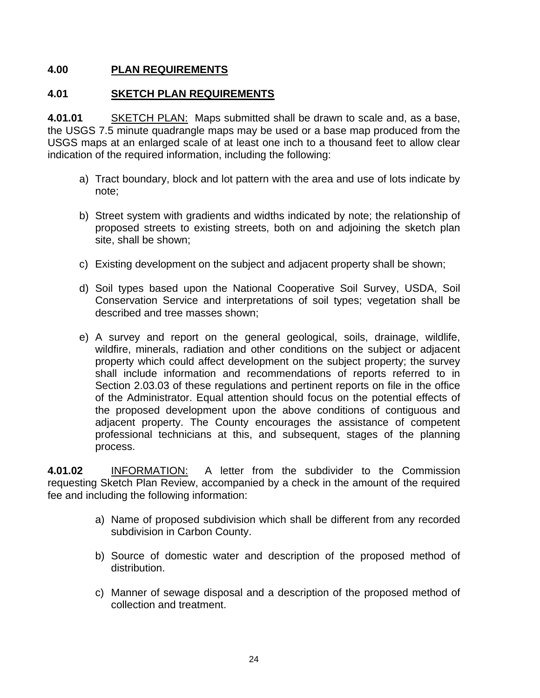#### **4.00 PLAN REQUIREMENTS**

#### **4.01 SKETCH PLAN REQUIREMENTS**

**4.01.01** SKETCH PLAN: Maps submitted shall be drawn to scale and, as a base, the USGS 7.5 minute quadrangle maps may be used or a base map produced from the USGS maps at an enlarged scale of at least one inch to a thousand feet to allow clear indication of the required information, including the following:

- a) Tract boundary, block and lot pattern with the area and use of lots indicate by note;
- b) Street system with gradients and widths indicated by note; the relationship of proposed streets to existing streets, both on and adjoining the sketch plan site, shall be shown;
- c) Existing development on the subject and adjacent property shall be shown;
- d) Soil types based upon the National Cooperative Soil Survey, USDA, Soil Conservation Service and interpretations of soil types; vegetation shall be described and tree masses shown;
- e) A survey and report on the general geological, soils, drainage, wildlife, wildfire, minerals, radiation and other conditions on the subject or adjacent property which could affect development on the subject property; the survey shall include information and recommendations of reports referred to in Section 2.03.03 of these regulations and pertinent reports on file in the office of the Administrator. Equal attention should focus on the potential effects of the proposed development upon the above conditions of contiguous and adjacent property. The County encourages the assistance of competent professional technicians at this, and subsequent, stages of the planning process.

**4.01.02** INFORMATION: A letter from the subdivider to the Commission requesting Sketch Plan Review, accompanied by a check in the amount of the required fee and including the following information:

- a) Name of proposed subdivision which shall be different from any recorded subdivision in Carbon County.
- b) Source of domestic water and description of the proposed method of distribution.
- c) Manner of sewage disposal and a description of the proposed method of collection and treatment.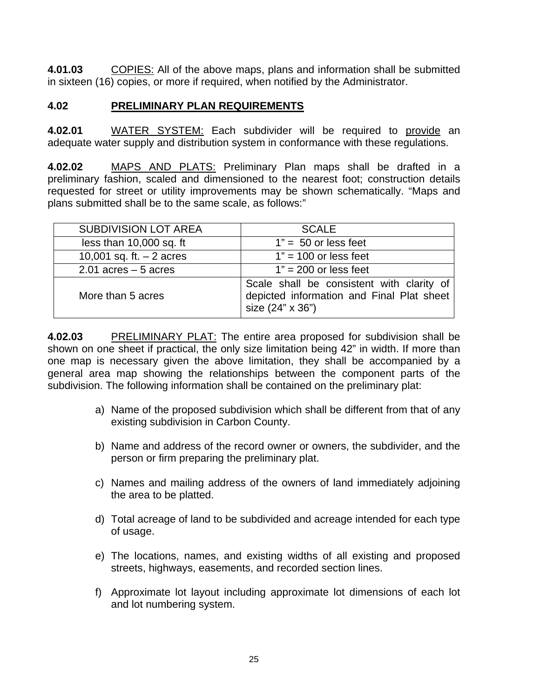**4.01.03** COPIES: All of the above maps, plans and information shall be submitted in sixteen (16) copies, or more if required, when notified by the Administrator.

#### **4.02 PRELIMINARY PLAN REQUIREMENTS**

**4.02.01** WATER SYSTEM: Each subdivider will be required to provide an adequate water supply and distribution system in conformance with these regulations.

**4.02.02** MAPS AND PLATS: Preliminary Plan maps shall be drafted in a preliminary fashion, scaled and dimensioned to the nearest foot; construction details requested for street or utility improvements may be shown schematically. "Maps and plans submitted shall be to the same scale, as follows:"

| <b>SUBDIVISION LOT AREA</b> | <b>SCALE</b>                                                                                               |  |
|-----------------------------|------------------------------------------------------------------------------------------------------------|--|
| less than 10,000 sq. ft     | $1" = 50$ or less feet                                                                                     |  |
| 10,001 sq. ft. $-2$ acres   | $1" = 100$ or less feet                                                                                    |  |
| $2.01$ acres $-5$ acres     | $1" = 200$ or less feet                                                                                    |  |
| More than 5 acres           | Scale shall be consistent with clarity of<br>depicted information and Final Plat sheet<br>size (24" x 36") |  |

**4.02.03** PRELIMINARY PLAT: The entire area proposed for subdivision shall be shown on one sheet if practical, the only size limitation being 42" in width. If more than one map is necessary given the above limitation, they shall be accompanied by a general area map showing the relationships between the component parts of the subdivision. The following information shall be contained on the preliminary plat:

- a) Name of the proposed subdivision which shall be different from that of any existing subdivision in Carbon County.
- b) Name and address of the record owner or owners, the subdivider, and the person or firm preparing the preliminary plat.
- c) Names and mailing address of the owners of land immediately adjoining the area to be platted.
- d) Total acreage of land to be subdivided and acreage intended for each type of usage.
- e) The locations, names, and existing widths of all existing and proposed streets, highways, easements, and recorded section lines.
- f) Approximate lot layout including approximate lot dimensions of each lot and lot numbering system.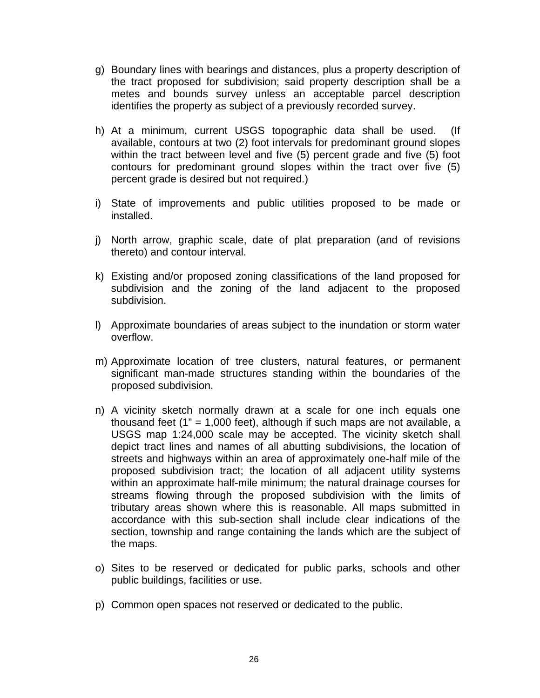- g) Boundary lines with bearings and distances, plus a property description of the tract proposed for subdivision; said property description shall be a metes and bounds survey unless an acceptable parcel description identifies the property as subject of a previously recorded survey.
- h) At a minimum, current USGS topographic data shall be used. (If available, contours at two (2) foot intervals for predominant ground slopes within the tract between level and five (5) percent grade and five (5) foot contours for predominant ground slopes within the tract over five (5) percent grade is desired but not required.)
- i) State of improvements and public utilities proposed to be made or installed.
- j) North arrow, graphic scale, date of plat preparation (and of revisions thereto) and contour interval.
- k) Existing and/or proposed zoning classifications of the land proposed for subdivision and the zoning of the land adjacent to the proposed subdivision.
- l) Approximate boundaries of areas subject to the inundation or storm water overflow.
- m) Approximate location of tree clusters, natural features, or permanent significant man-made structures standing within the boundaries of the proposed subdivision.
- n) A vicinity sketch normally drawn at a scale for one inch equals one thousand feet (1" = 1,000 feet), although if such maps are not available, a USGS map 1:24,000 scale may be accepted. The vicinity sketch shall depict tract lines and names of all abutting subdivisions, the location of streets and highways within an area of approximately one-half mile of the proposed subdivision tract; the location of all adjacent utility systems within an approximate half-mile minimum; the natural drainage courses for streams flowing through the proposed subdivision with the limits of tributary areas shown where this is reasonable. All maps submitted in accordance with this sub-section shall include clear indications of the section, township and range containing the lands which are the subject of the maps.
- o) Sites to be reserved or dedicated for public parks, schools and other public buildings, facilities or use.
- p) Common open spaces not reserved or dedicated to the public.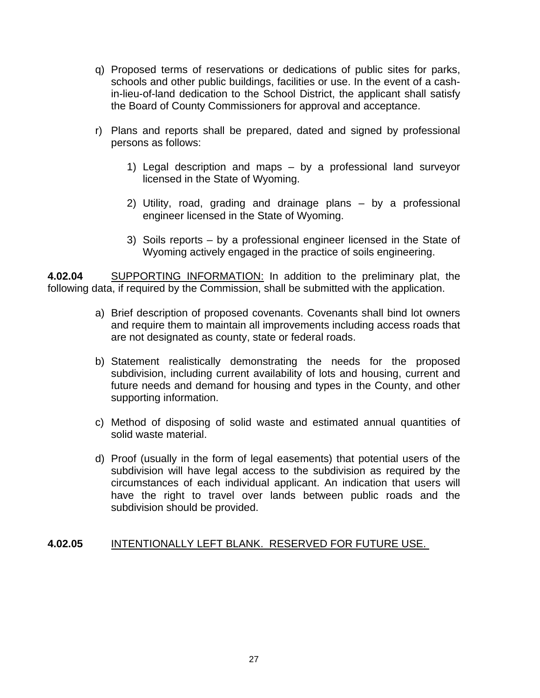- q) Proposed terms of reservations or dedications of public sites for parks, schools and other public buildings, facilities or use. In the event of a cashin-lieu-of-land dedication to the School District, the applicant shall satisfy the Board of County Commissioners for approval and acceptance.
- r) Plans and reports shall be prepared, dated and signed by professional persons as follows:
	- 1) Legal description and maps by a professional land surveyor licensed in the State of Wyoming.
	- 2) Utility, road, grading and drainage plans by a professional engineer licensed in the State of Wyoming.
	- 3) Soils reports by a professional engineer licensed in the State of Wyoming actively engaged in the practice of soils engineering.

**4.02.04** SUPPORTING INFORMATION: In addition to the preliminary plat, the following data, if required by the Commission, shall be submitted with the application.

- a) Brief description of proposed covenants. Covenants shall bind lot owners and require them to maintain all improvements including access roads that are not designated as county, state or federal roads.
- b) Statement realistically demonstrating the needs for the proposed subdivision, including current availability of lots and housing, current and future needs and demand for housing and types in the County, and other supporting information.
- c) Method of disposing of solid waste and estimated annual quantities of solid waste material.
- d) Proof (usually in the form of legal easements) that potential users of the subdivision will have legal access to the subdivision as required by the circumstances of each individual applicant. An indication that users will have the right to travel over lands between public roads and the subdivision should be provided.

## **4.02.05** INTENTIONALLY LEFT BLANK. RESERVED FOR FUTURE USE.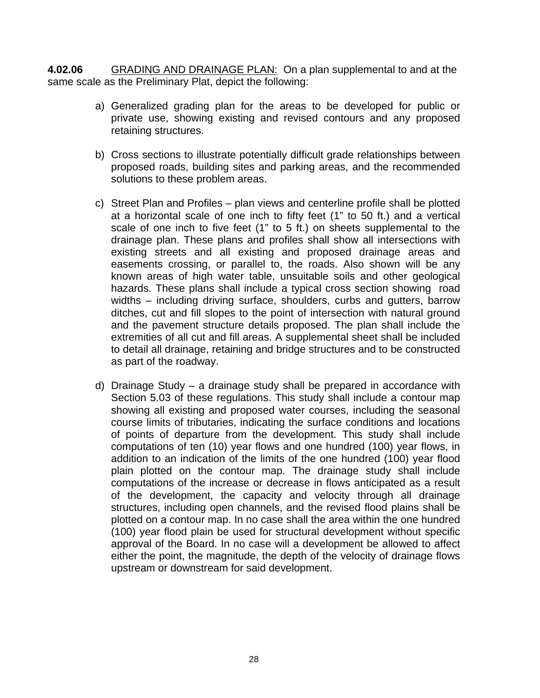**4.02.06** GRADING AND DRAINAGE PLAN: On a plan supplemental to and at the same scale as the Preliminary Plat, depict the following:

- a) Generalized grading plan for the areas to be developed for public or private use, showing existing and revised contours and any proposed retaining structures.
- b) Cross sections to illustrate potentially difficult grade relationships between proposed roads, building sites and parking areas, and the recommended solutions to these problem areas.
- c) Street Plan and Profiles plan views and centerline profile shall be plotted at a horizontal scale of one inch to fifty feet (1" to 50 ft.) and a vertical scale of one inch to five feet (1" to 5 ft.) on sheets supplemental to the drainage plan. These plans and profiles shall show all intersections with existing streets and all existing and proposed drainage areas and easements crossing, or parallel to, the roads. Also shown will be any known areas of high water table, unsuitable soils and other geological hazards. These plans shall include a typical cross section showing road widths – including driving surface, shoulders, curbs and gutters, barrow ditches, cut and fill slopes to the point of intersection with natural ground and the pavement structure details proposed. The plan shall include the extremities of all cut and fill areas. A supplemental sheet shall be included to detail all drainage, retaining and bridge structures and to be constructed as part of the roadway.
- d) Drainage Study a drainage study shall be prepared in accordance with Section 5.03 of these regulations. This study shall include a contour map showing all existing and proposed water courses, including the seasonal course limits of tributaries, indicating the surface conditions and locations of points of departure from the development. This study shall include computations of ten (10) year flows and one hundred (100) year flows, in addition to an indication of the limits of the one hundred (100) year flood plain plotted on the contour map. The drainage study shall include computations of the increase or decrease in flows anticipated as a result of the development, the capacity and velocity through all drainage structures, including open channels, and the revised flood plains shall be plotted on a contour map. In no case shall the area within the one hundred (100) year flood plain be used for structural development without specific approval of the Board. In no case will a development be allowed to affect either the point, the magnitude, the depth of the velocity of drainage flows upstream or downstream for said development.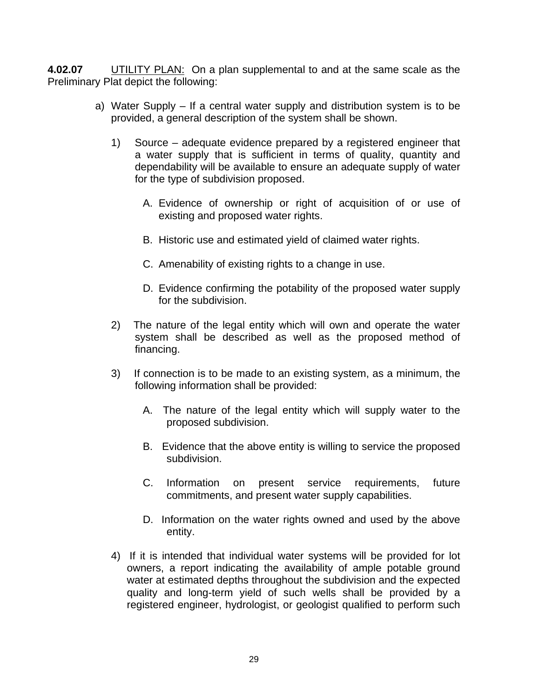**4.02.07** UTILITY PLAN: On a plan supplemental to and at the same scale as the Preliminary Plat depict the following:

- a) Water Supply If a central water supply and distribution system is to be provided, a general description of the system shall be shown.
	- 1) Source adequate evidence prepared by a registered engineer that a water supply that is sufficient in terms of quality, quantity and dependability will be available to ensure an adequate supply of water for the type of subdivision proposed.
		- A. Evidence of ownership or right of acquisition of or use of existing and proposed water rights.
		- B. Historic use and estimated yield of claimed water rights.
		- C. Amenability of existing rights to a change in use.
		- D. Evidence confirming the potability of the proposed water supply for the subdivision.
	- 2) The nature of the legal entity which will own and operate the water system shall be described as well as the proposed method of financing.
	- 3) If connection is to be made to an existing system, as a minimum, the following information shall be provided:
		- A. The nature of the legal entity which will supply water to the proposed subdivision.
		- B. Evidence that the above entity is willing to service the proposed subdivision.
		- C. Information on present service requirements, future commitments, and present water supply capabilities.
		- D. Information on the water rights owned and used by the above entity.
	- 4) If it is intended that individual water systems will be provided for lot owners, a report indicating the availability of ample potable ground water at estimated depths throughout the subdivision and the expected quality and long-term yield of such wells shall be provided by a registered engineer, hydrologist, or geologist qualified to perform such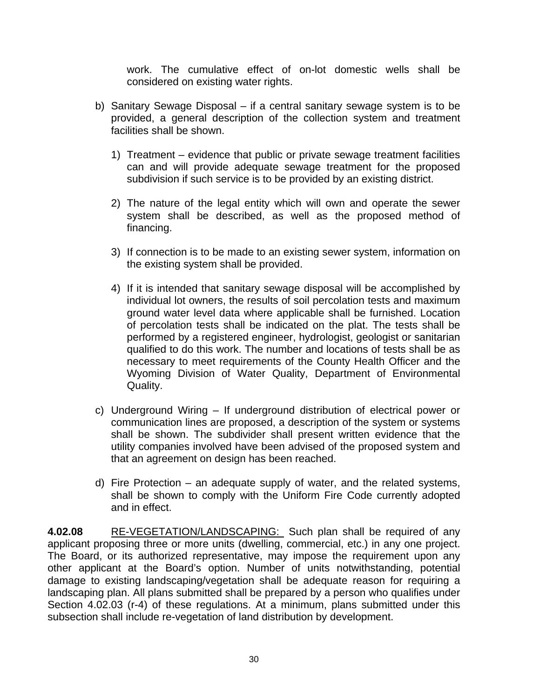work. The cumulative effect of on-lot domestic wells shall be considered on existing water rights.

- b) Sanitary Sewage Disposal if a central sanitary sewage system is to be provided, a general description of the collection system and treatment facilities shall be shown.
	- 1) Treatment evidence that public or private sewage treatment facilities can and will provide adequate sewage treatment for the proposed subdivision if such service is to be provided by an existing district.
	- 2) The nature of the legal entity which will own and operate the sewer system shall be described, as well as the proposed method of financing.
	- 3) If connection is to be made to an existing sewer system, information on the existing system shall be provided.
	- 4) If it is intended that sanitary sewage disposal will be accomplished by individual lot owners, the results of soil percolation tests and maximum ground water level data where applicable shall be furnished. Location of percolation tests shall be indicated on the plat. The tests shall be performed by a registered engineer, hydrologist, geologist or sanitarian qualified to do this work. The number and locations of tests shall be as necessary to meet requirements of the County Health Officer and the Wyoming Division of Water Quality, Department of Environmental Quality.
- c) Underground Wiring If underground distribution of electrical power or communication lines are proposed, a description of the system or systems shall be shown. The subdivider shall present written evidence that the utility companies involved have been advised of the proposed system and that an agreement on design has been reached.
- d) Fire Protection an adequate supply of water, and the related systems, shall be shown to comply with the Uniform Fire Code currently adopted and in effect.

**4.02.08** RE-VEGETATION/LANDSCAPING: Such plan shall be required of any applicant proposing three or more units (dwelling, commercial, etc.) in any one project. The Board, or its authorized representative, may impose the requirement upon any other applicant at the Board's option. Number of units notwithstanding, potential damage to existing landscaping/vegetation shall be adequate reason for requiring a landscaping plan. All plans submitted shall be prepared by a person who qualifies under Section 4.02.03 (r-4) of these regulations. At a minimum, plans submitted under this subsection shall include re-vegetation of land distribution by development.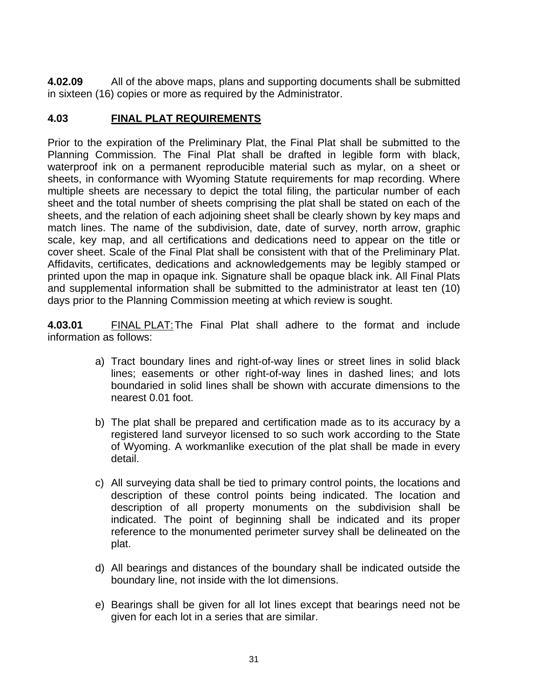**4.02.09** All of the above maps, plans and supporting documents shall be submitted in sixteen (16) copies or more as required by the Administrator.

# **4.03 FINAL PLAT REQUIREMENTS**

Prior to the expiration of the Preliminary Plat, the Final Plat shall be submitted to the Planning Commission. The Final Plat shall be drafted in legible form with black, waterproof ink on a permanent reproducible material such as mylar, on a sheet or sheets, in conformance with Wyoming Statute requirements for map recording. Where multiple sheets are necessary to depict the total filing, the particular number of each sheet and the total number of sheets comprising the plat shall be stated on each of the sheets, and the relation of each adjoining sheet shall be clearly shown by key maps and match lines. The name of the subdivision, date, date of survey, north arrow, graphic scale, key map, and all certifications and dedications need to appear on the title or cover sheet. Scale of the Final Plat shall be consistent with that of the Preliminary Plat. Affidavits, certificates, dedications and acknowledgements may be legibly stamped or printed upon the map in opaque ink. Signature shall be opaque black ink. All Final Plats and supplemental information shall be submitted to the administrator at least ten (10) days prior to the Planning Commission meeting at which review is sought.

**4.03.01** FINAL PLAT: The Final Plat shall adhere to the format and include information as follows:

- a) Tract boundary lines and right-of-way lines or street lines in solid black lines; easements or other right-of-way lines in dashed lines; and lots boundaried in solid lines shall be shown with accurate dimensions to the nearest 0.01 foot.
- b) The plat shall be prepared and certification made as to its accuracy by a registered land surveyor licensed to so such work according to the State of Wyoming. A workmanlike execution of the plat shall be made in every detail.
- c) All surveying data shall be tied to primary control points, the locations and description of these control points being indicated. The location and description of all property monuments on the subdivision shall be indicated. The point of beginning shall be indicated and its proper reference to the monumented perimeter survey shall be delineated on the plat.
- d) All bearings and distances of the boundary shall be indicated outside the boundary line, not inside with the lot dimensions.
- e) Bearings shall be given for all lot lines except that bearings need not be given for each lot in a series that are similar.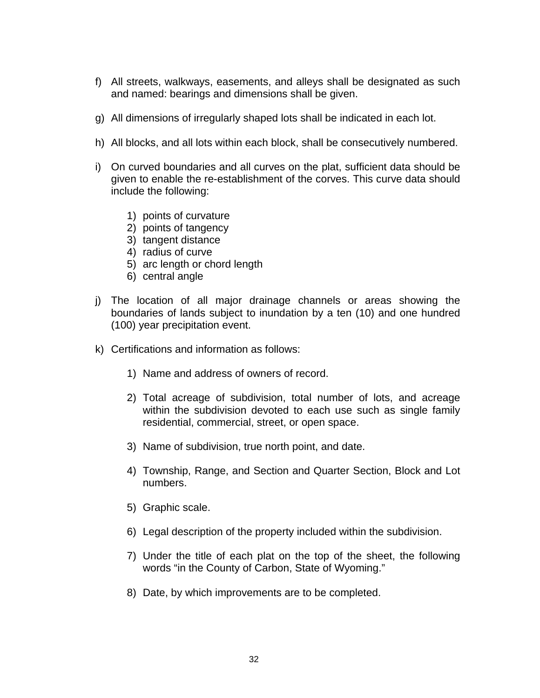- f) All streets, walkways, easements, and alleys shall be designated as such and named: bearings and dimensions shall be given.
- g) All dimensions of irregularly shaped lots shall be indicated in each lot.
- h) All blocks, and all lots within each block, shall be consecutively numbered.
- i) On curved boundaries and all curves on the plat, sufficient data should be given to enable the re-establishment of the corves. This curve data should include the following:
	- 1) points of curvature
	- 2) points of tangency
	- 3) tangent distance
	- 4) radius of curve
	- 5) arc length or chord length
	- 6) central angle
- j) The location of all major drainage channels or areas showing the boundaries of lands subject to inundation by a ten (10) and one hundred (100) year precipitation event.
- k) Certifications and information as follows:
	- 1) Name and address of owners of record.
	- 2) Total acreage of subdivision, total number of lots, and acreage within the subdivision devoted to each use such as single family residential, commercial, street, or open space.
	- 3) Name of subdivision, true north point, and date.
	- 4) Township, Range, and Section and Quarter Section, Block and Lot numbers.
	- 5) Graphic scale.
	- 6) Legal description of the property included within the subdivision.
	- 7) Under the title of each plat on the top of the sheet, the following words "in the County of Carbon, State of Wyoming."
	- 8) Date, by which improvements are to be completed.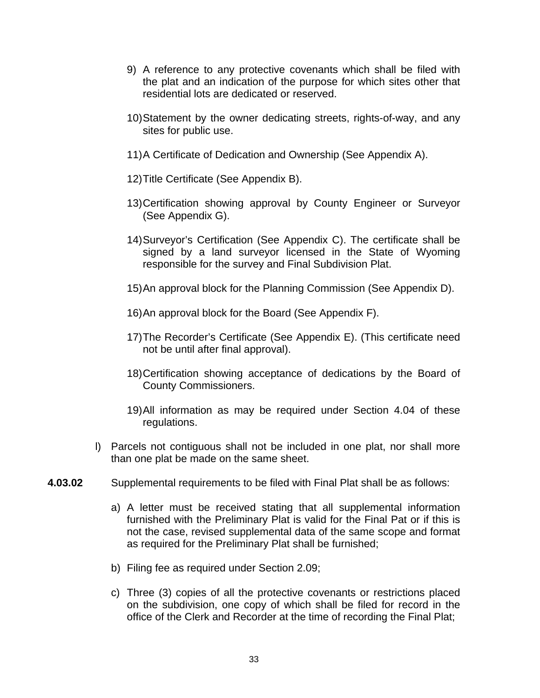- 9) A reference to any protective covenants which shall be filed with the plat and an indication of the purpose for which sites other that residential lots are dedicated or reserved.
- 10) Statement by the owner dedicating streets, rights-of-way, and any sites for public use.
- 11) A Certificate of Dedication and Ownership (See Appendix A).
- 12) Title Certificate (See Appendix B).
- 13) Certification showing approval by County Engineer or Surveyor (See Appendix G).
- 14) Surveyor's Certification (See Appendix C). The certificate shall be signed by a land surveyor licensed in the State of Wyoming responsible for the survey and Final Subdivision Plat.
- 15) An approval block for the Planning Commission (See Appendix D).
- 16) An approval block for the Board (See Appendix F).
- 17) The Recorder's Certificate (See Appendix E). (This certificate need not be until after final approval).
- 18) Certification showing acceptance of dedications by the Board of County Commissioners.
- 19) All information as may be required under Section 4.04 of these regulations.
- l) Parcels not contiguous shall not be included in one plat, nor shall more than one plat be made on the same sheet.
- **4.03.02** Supplemental requirements to be filed with Final Plat shall be as follows:
	- a) A letter must be received stating that all supplemental information furnished with the Preliminary Plat is valid for the Final Pat or if this is not the case, revised supplemental data of the same scope and format as required for the Preliminary Plat shall be furnished;
	- b) Filing fee as required under Section 2.09;
	- c) Three (3) copies of all the protective covenants or restrictions placed on the subdivision, one copy of which shall be filed for record in the office of the Clerk and Recorder at the time of recording the Final Plat;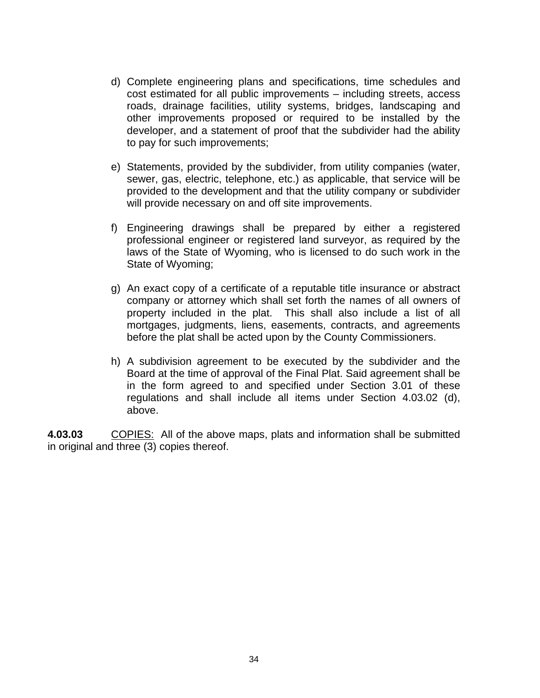- d) Complete engineering plans and specifications, time schedules and cost estimated for all public improvements – including streets, access roads, drainage facilities, utility systems, bridges, landscaping and other improvements proposed or required to be installed by the developer, and a statement of proof that the subdivider had the ability to pay for such improvements;
- e) Statements, provided by the subdivider, from utility companies (water, sewer, gas, electric, telephone, etc.) as applicable, that service will be provided to the development and that the utility company or subdivider will provide necessary on and off site improvements.
- f) Engineering drawings shall be prepared by either a registered professional engineer or registered land surveyor, as required by the laws of the State of Wyoming, who is licensed to do such work in the State of Wyoming;
- g) An exact copy of a certificate of a reputable title insurance or abstract company or attorney which shall set forth the names of all owners of property included in the plat. This shall also include a list of all mortgages, judgments, liens, easements, contracts, and agreements before the plat shall be acted upon by the County Commissioners.
- h) A subdivision agreement to be executed by the subdivider and the Board at the time of approval of the Final Plat. Said agreement shall be in the form agreed to and specified under Section 3.01 of these regulations and shall include all items under Section 4.03.02 (d), above.

**4.03.03** COPIES: All of the above maps, plats and information shall be submitted in original and three (3) copies thereof.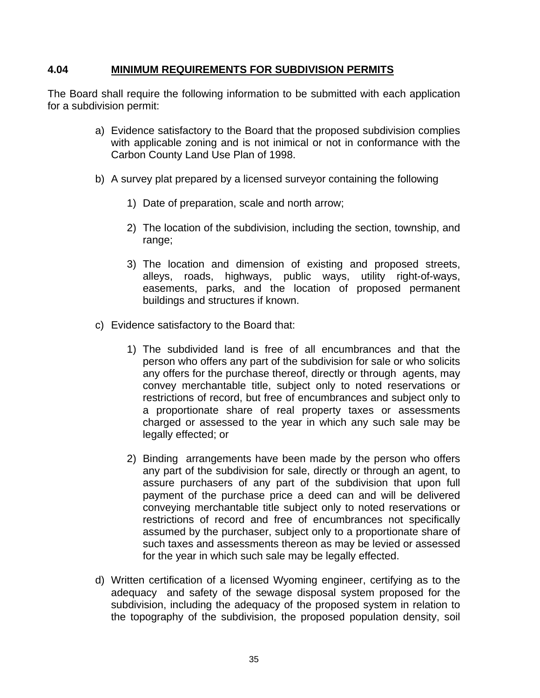## **4.04 MINIMUM REQUIREMENTS FOR SUBDIVISION PERMITS**

The Board shall require the following information to be submitted with each application for a subdivision permit:

- a) Evidence satisfactory to the Board that the proposed subdivision complies with applicable zoning and is not inimical or not in conformance with the Carbon County Land Use Plan of 1998.
- b) A survey plat prepared by a licensed surveyor containing the following
	- 1) Date of preparation, scale and north arrow;
	- 2) The location of the subdivision, including the section, township, and range;
	- 3) The location and dimension of existing and proposed streets, alleys, roads, highways, public ways, utility right-of-ways, easements, parks, and the location of proposed permanent buildings and structures if known.
- c) Evidence satisfactory to the Board that:
	- 1) The subdivided land is free of all encumbrances and that the person who offers any part of the subdivision for sale or who solicits any offers for the purchase thereof, directly or through agents, may convey merchantable title, subject only to noted reservations or restrictions of record, but free of encumbrances and subject only to a proportionate share of real property taxes or assessments charged or assessed to the year in which any such sale may be legally effected; or
	- 2) Binding arrangements have been made by the person who offers any part of the subdivision for sale, directly or through an agent, to assure purchasers of any part of the subdivision that upon full payment of the purchase price a deed can and will be delivered conveying merchantable title subject only to noted reservations or restrictions of record and free of encumbrances not specifically assumed by the purchaser, subject only to a proportionate share of such taxes and assessments thereon as may be levied or assessed for the year in which such sale may be legally effected.
- d) Written certification of a licensed Wyoming engineer, certifying as to the adequacy and safety of the sewage disposal system proposed for the subdivision, including the adequacy of the proposed system in relation to the topography of the subdivision, the proposed population density, soil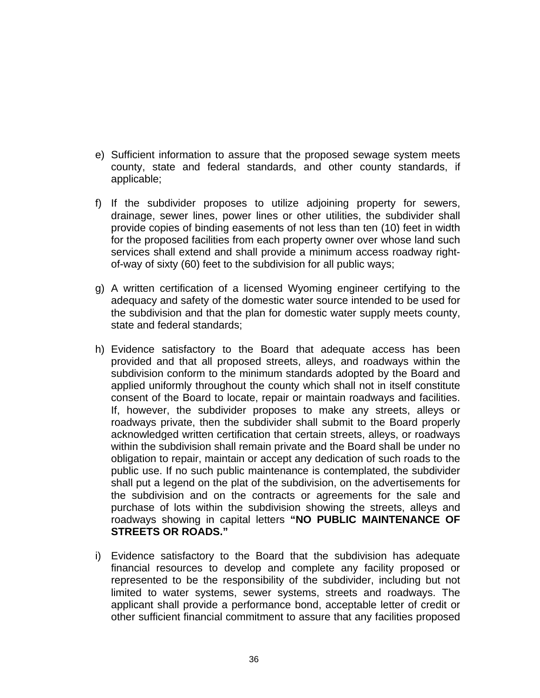- e) Sufficient information to assure that the proposed sewage system meets county, state and federal standards, and other county standards, if applicable;
- f) If the subdivider proposes to utilize adjoining property for sewers, drainage, sewer lines, power lines or other utilities, the subdivider shall provide copies of binding easements of not less than ten (10) feet in width for the proposed facilities from each property owner over whose land such services shall extend and shall provide a minimum access roadway rightof-way of sixty (60) feet to the subdivision for all public ways;
- g) A written certification of a licensed Wyoming engineer certifying to the adequacy and safety of the domestic water source intended to be used for the subdivision and that the plan for domestic water supply meets county, state and federal standards;
- h) Evidence satisfactory to the Board that adequate access has been provided and that all proposed streets, alleys, and roadways within the subdivision conform to the minimum standards adopted by the Board and applied uniformly throughout the county which shall not in itself constitute consent of the Board to locate, repair or maintain roadways and facilities. If, however, the subdivider proposes to make any streets, alleys or roadways private, then the subdivider shall submit to the Board properly acknowledged written certification that certain streets, alleys, or roadways within the subdivision shall remain private and the Board shall be under no obligation to repair, maintain or accept any dedication of such roads to the public use. If no such public maintenance is contemplated, the subdivider shall put a legend on the plat of the subdivision, on the advertisements for the subdivision and on the contracts or agreements for the sale and purchase of lots within the subdivision showing the streets, alleys and roadways showing in capital letters **"NO PUBLIC MAINTENANCE OF STREETS OR ROADS."**
- i) Evidence satisfactory to the Board that the subdivision has adequate financial resources to develop and complete any facility proposed or represented to be the responsibility of the subdivider, including but not limited to water systems, sewer systems, streets and roadways. The applicant shall provide a performance bond, acceptable letter of credit or other sufficient financial commitment to assure that any facilities proposed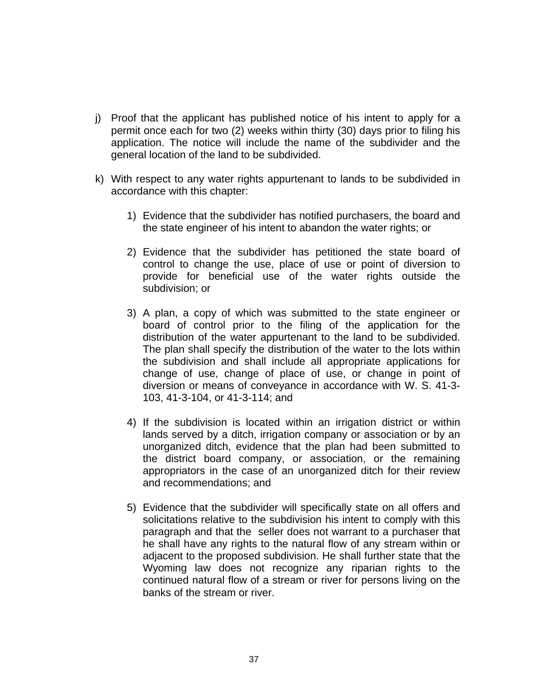- j) Proof that the applicant has published notice of his intent to apply for a permit once each for two (2) weeks within thirty (30) days prior to filing his application. The notice will include the name of the subdivider and the general location of the land to be subdivided.
- k) With respect to any water rights appurtenant to lands to be subdivided in accordance with this chapter:
	- 1) Evidence that the subdivider has notified purchasers, the board and the state engineer of his intent to abandon the water rights; or
	- 2) Evidence that the subdivider has petitioned the state board of control to change the use, place of use or point of diversion to provide for beneficial use of the water rights outside the subdivision; or
	- 3) A plan, a copy of which was submitted to the state engineer or board of control prior to the filing of the application for the distribution of the water appurtenant to the land to be subdivided. The plan shall specify the distribution of the water to the lots within the subdivision and shall include all appropriate applications for change of use, change of place of use, or change in point of diversion or means of conveyance in accordance with W. S. 41-3- 103, 41-3-104, or 41-3-114; and
	- 4) If the subdivision is located within an irrigation district or within lands served by a ditch, irrigation company or association or by an unorganized ditch, evidence that the plan had been submitted to the district board company, or association, or the remaining appropriators in the case of an unorganized ditch for their review and recommendations; and
	- 5) Evidence that the subdivider will specifically state on all offers and solicitations relative to the subdivision his intent to comply with this paragraph and that the seller does not warrant to a purchaser that he shall have any rights to the natural flow of any stream within or adjacent to the proposed subdivision. He shall further state that the Wyoming law does not recognize any riparian rights to the continued natural flow of a stream or river for persons living on the banks of the stream or river.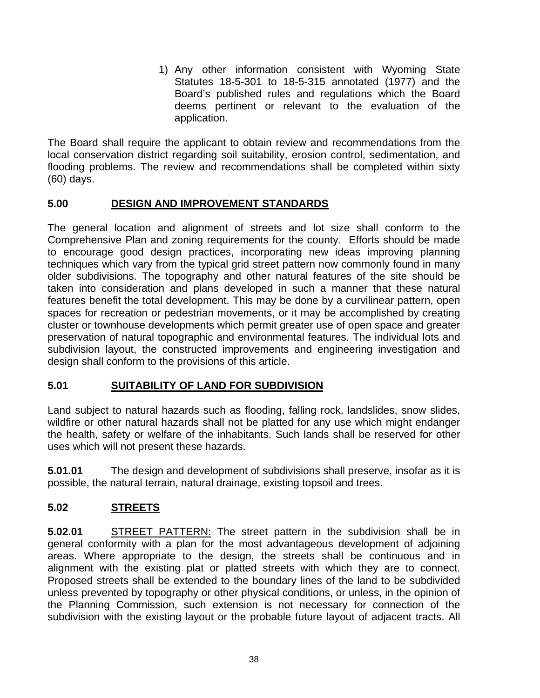1) Any other information consistent with Wyoming State Statutes 18-5-301 to 18-5-315 annotated (1977) and the Board's published rules and regulations which the Board deems pertinent or relevant to the evaluation of the application.

The Board shall require the applicant to obtain review and recommendations from the local conservation district regarding soil suitability, erosion control, sedimentation, and flooding problems. The review and recommendations shall be completed within sixty (60) days.

## **5.00 DESIGN AND IMPROVEMENT STANDARDS**

The general location and alignment of streets and lot size shall conform to the Comprehensive Plan and zoning requirements for the county. Efforts should be made to encourage good design practices, incorporating new ideas improving planning techniques which vary from the typical grid street pattern now commonly found in many older subdivisions. The topography and other natural features of the site should be taken into consideration and plans developed in such a manner that these natural features benefit the total development. This may be done by a curvilinear pattern, open spaces for recreation or pedestrian movements, or it may be accomplished by creating cluster or townhouse developments which permit greater use of open space and greater preservation of natural topographic and environmental features. The individual lots and subdivision layout, the constructed improvements and engineering investigation and design shall conform to the provisions of this article.

# **5.01 SUITABILITY OF LAND FOR SUBDIVISION**

Land subject to natural hazards such as flooding, falling rock, landslides, snow slides, wildfire or other natural hazards shall not be platted for any use which might endanger the health, safety or welfare of the inhabitants. Such lands shall be reserved for other uses which will not present these hazards.

**5.01.01** The design and development of subdivisions shall preserve, insofar as it is possible, the natural terrain, natural drainage, existing topsoil and trees.

# **5.02 STREETS**

**5.02.01** STREET PATTERN: The street pattern in the subdivision shall be in general conformity with a plan for the most advantageous development of adjoining areas. Where appropriate to the design, the streets shall be continuous and in alignment with the existing plat or platted streets with which they are to connect. Proposed streets shall be extended to the boundary lines of the land to be subdivided unless prevented by topography or other physical conditions, or unless, in the opinion of the Planning Commission, such extension is not necessary for connection of the subdivision with the existing layout or the probable future layout of adjacent tracts. All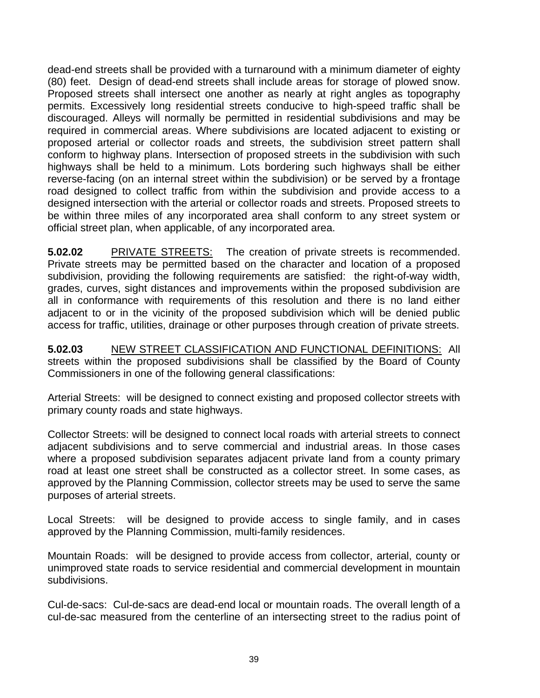dead-end streets shall be provided with a turnaround with a minimum diameter of eighty (80) feet. Design of dead-end streets shall include areas for storage of plowed snow. Proposed streets shall intersect one another as nearly at right angles as topography permits. Excessively long residential streets conducive to high-speed traffic shall be discouraged. Alleys will normally be permitted in residential subdivisions and may be required in commercial areas. Where subdivisions are located adjacent to existing or proposed arterial or collector roads and streets, the subdivision street pattern shall conform to highway plans. Intersection of proposed streets in the subdivision with such highways shall be held to a minimum. Lots bordering such highways shall be either reverse-facing (on an internal street within the subdivision) or be served by a frontage road designed to collect traffic from within the subdivision and provide access to a designed intersection with the arterial or collector roads and streets. Proposed streets to be within three miles of any incorporated area shall conform to any street system or official street plan, when applicable, of any incorporated area.

**5.02.02** PRIVATE STREETS: The creation of private streets is recommended. Private streets may be permitted based on the character and location of a proposed subdivision, providing the following requirements are satisfied: the right-of-way width, grades, curves, sight distances and improvements within the proposed subdivision are all in conformance with requirements of this resolution and there is no land either adjacent to or in the vicinity of the proposed subdivision which will be denied public access for traffic, utilities, drainage or other purposes through creation of private streets.

**5.02.03** NEW STREET CLASSIFICATION AND FUNCTIONAL DEFINITIONS: All streets within the proposed subdivisions shall be classified by the Board of County Commissioners in one of the following general classifications:

Arterial Streets: will be designed to connect existing and proposed collector streets with primary county roads and state highways.

Collector Streets: will be designed to connect local roads with arterial streets to connect adjacent subdivisions and to serve commercial and industrial areas. In those cases where a proposed subdivision separates adjacent private land from a county primary road at least one street shall be constructed as a collector street. In some cases, as approved by the Planning Commission, collector streets may be used to serve the same purposes of arterial streets.

Local Streets: will be designed to provide access to single family, and in cases approved by the Planning Commission, multi-family residences.

Mountain Roads: will be designed to provide access from collector, arterial, county or unimproved state roads to service residential and commercial development in mountain subdivisions.

Cul-de-sacs: Cul-de-sacs are dead-end local or mountain roads. The overall length of a cul-de-sac measured from the centerline of an intersecting street to the radius point of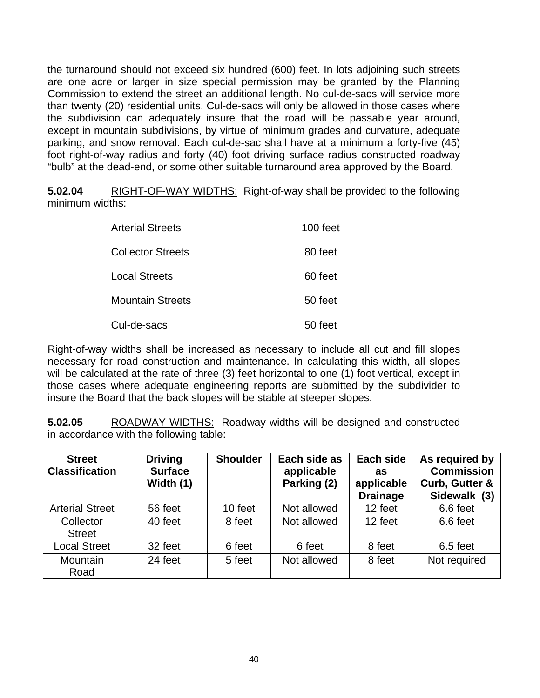the turnaround should not exceed six hundred (600) feet. In lots adjoining such streets are one acre or larger in size special permission may be granted by the Planning Commission to extend the street an additional length. No cul-de-sacs will service more than twenty (20) residential units. Cul-de-sacs will only be allowed in those cases where the subdivision can adequately insure that the road will be passable year around, except in mountain subdivisions, by virtue of minimum grades and curvature, adequate parking, and snow removal. Each cul-de-sac shall have at a minimum a forty-five (45) foot right-of-way radius and forty (40) foot driving surface radius constructed roadway "bulb" at the dead-end, or some other suitable turnaround area approved by the Board.

**5.02.04** RIGHT-OF-WAY WIDTHS: Right-of-way shall be provided to the following minimum widths:

| <b>Arterial Streets</b>  | 100 feet |
|--------------------------|----------|
| <b>Collector Streets</b> | 80 feet  |
| <b>Local Streets</b>     | 60 feet  |
| <b>Mountain Streets</b>  | 50 feet  |
| Cul-de-sacs              | 50 feet  |

Right-of-way widths shall be increased as necessary to include all cut and fill slopes necessary for road construction and maintenance. In calculating this width, all slopes will be calculated at the rate of three (3) feet horizontal to one (1) foot vertical, except in those cases where adequate engineering reports are submitted by the subdivider to insure the Board that the back slopes will be stable at steeper slopes.

**5.02.05** ROADWAY WIDTHS: Roadway widths will be designed and constructed in accordance with the following table:

| <b>Street</b><br><b>Classification</b> | <b>Driving</b><br><b>Surface</b><br>Width (1) | <b>Shoulder</b> | Each side as<br>applicable<br>Parking (2) | Each side<br>as<br>applicable<br><b>Drainage</b> | As required by<br><b>Commission</b><br>Curb, Gutter &<br>Sidewalk (3) |
|----------------------------------------|-----------------------------------------------|-----------------|-------------------------------------------|--------------------------------------------------|-----------------------------------------------------------------------|
| <b>Arterial Street</b>                 | 56 feet                                       | 10 feet         | Not allowed                               | 12 feet                                          | 6.6 feet                                                              |
| Collector<br><b>Street</b>             | 40 feet                                       | 8 feet          | Not allowed                               | 12 feet                                          | 6.6 feet                                                              |
| <b>Local Street</b>                    | 32 feet                                       | 6 feet          | 6 feet                                    | 8 feet                                           | $6.5$ feet                                                            |
| <b>Mountain</b><br>Road                | 24 feet                                       | 5 feet          | Not allowed                               | 8 feet                                           | Not required                                                          |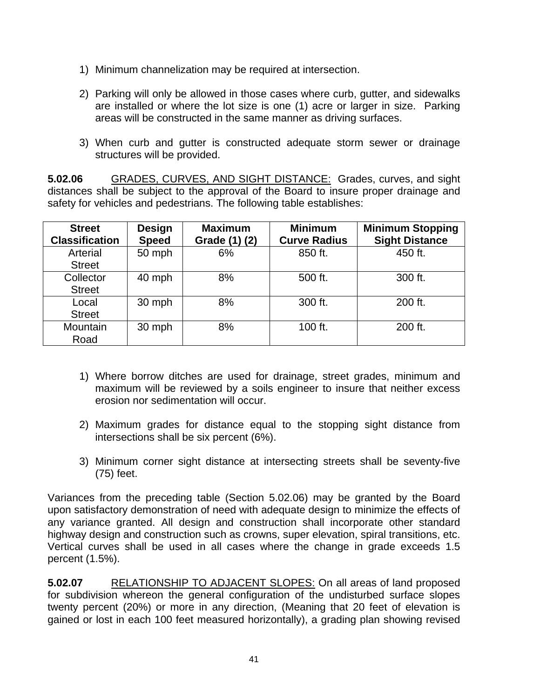- 1) Minimum channelization may be required at intersection.
- 2) Parking will only be allowed in those cases where curb, gutter, and sidewalks are installed or where the lot size is one (1) acre or larger in size. Parking areas will be constructed in the same manner as driving surfaces.
- 3) When curb and gutter is constructed adequate storm sewer or drainage structures will be provided.

**5.02.06** GRADES, CURVES, AND SIGHT DISTANCE: Grades, curves, and sight distances shall be subject to the approval of the Board to insure proper drainage and safety for vehicles and pedestrians. The following table establishes:

| <b>Street</b><br><b>Classification</b> | <b>Design</b><br><b>Speed</b> | <b>Maximum</b><br>Grade (1) (2) | <b>Minimum</b><br><b>Curve Radius</b> | <b>Minimum Stopping</b><br><b>Sight Distance</b> |
|----------------------------------------|-------------------------------|---------------------------------|---------------------------------------|--------------------------------------------------|
| Arterial<br><b>Street</b>              | 50 mph                        | 6%                              | 850 ft.                               | 450 ft.                                          |
| Collector<br><b>Street</b>             | 40 mph                        | 8%                              | 500 ft.                               | 300 ft.                                          |
| Local<br><b>Street</b>                 | 30 mph                        | 8%                              | 300 ft.                               | 200 ft.                                          |
| Mountain<br>Road                       | 30 mph                        | 8%                              | 100 ft.                               | 200 ft.                                          |

- 1) Where borrow ditches are used for drainage, street grades, minimum and maximum will be reviewed by a soils engineer to insure that neither excess erosion nor sedimentation will occur.
- 2) Maximum grades for distance equal to the stopping sight distance from intersections shall be six percent (6%).
- 3) Minimum corner sight distance at intersecting streets shall be seventy-five (75) feet.

Variances from the preceding table (Section 5.02.06) may be granted by the Board upon satisfactory demonstration of need with adequate design to minimize the effects of any variance granted. All design and construction shall incorporate other standard highway design and construction such as crowns, super elevation, spiral transitions, etc. Vertical curves shall be used in all cases where the change in grade exceeds 1.5 percent (1.5%).

**5.02.07** RELATIONSHIP TO ADJACENT SLOPES: On all areas of land proposed for subdivision whereon the general configuration of the undisturbed surface slopes twenty percent (20%) or more in any direction, (Meaning that 20 feet of elevation is gained or lost in each 100 feet measured horizontally), a grading plan showing revised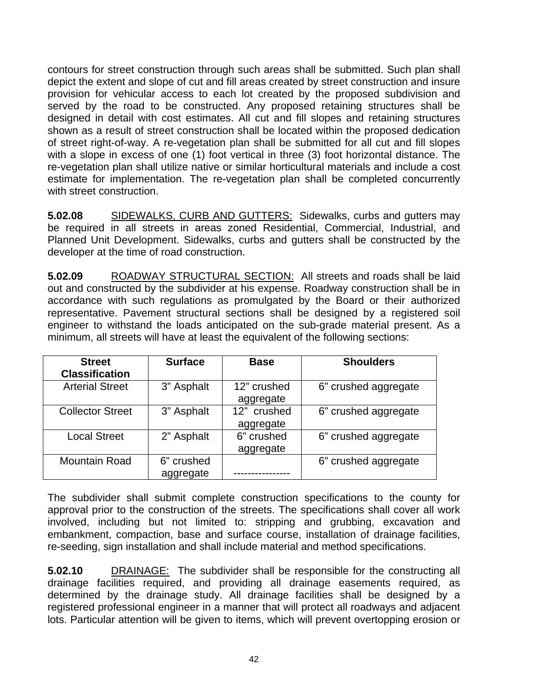contours for street construction through such areas shall be submitted. Such plan shall depict the extent and slope of cut and fill areas created by street construction and insure provision for vehicular access to each lot created by the proposed subdivision and served by the road to be constructed. Any proposed retaining structures shall be designed in detail with cost estimates. All cut and fill slopes and retaining structures shown as a result of street construction shall be located within the proposed dedication of street right-of-way. A re-vegetation plan shall be submitted for all cut and fill slopes with a slope in excess of one (1) foot vertical in three (3) foot horizontal distance. The re-vegetation plan shall utilize native or similar horticultural materials and include a cost estimate for implementation. The re-vegetation plan shall be completed concurrently with street construction.

**5.02.08** SIDEWALKS, CURB AND GUTTERS: Sidewalks, curbs and gutters may be required in all streets in areas zoned Residential, Commercial, Industrial, and Planned Unit Development. Sidewalks, curbs and gutters shall be constructed by the developer at the time of road construction.

**5.02.09** ROADWAY STRUCTURAL SECTION: All streets and roads shall be laid out and constructed by the subdivider at his expense. Roadway construction shall be in accordance with such regulations as promulgated by the Board or their authorized representative. Pavement structural sections shall be designed by a registered soil engineer to withstand the loads anticipated on the sub-grade material present. As a minimum, all streets will have at least the equivalent of the following sections:

| <b>Street</b><br><b>Classification</b> | <b>Surface</b>          | <b>Base</b>              | <b>Shoulders</b>     |
|----------------------------------------|-------------------------|--------------------------|----------------------|
| <b>Arterial Street</b>                 | 3" Asphalt              | 12" crushed<br>aggregate | 6" crushed aggregate |
| <b>Collector Street</b>                | 3" Asphalt              | 12" crushed<br>aggregate | 6" crushed aggregate |
| <b>Local Street</b>                    | 2" Asphalt              | 6" crushed<br>aggregate  | 6" crushed aggregate |
| <b>Mountain Road</b>                   | 6" crushed<br>aggregate |                          | 6" crushed aggregate |

The subdivider shall submit complete construction specifications to the county for approval prior to the construction of the streets. The specifications shall cover all work involved, including but not limited to: stripping and grubbing, excavation and embankment, compaction, base and surface course, installation of drainage facilities, re-seeding, sign installation and shall include material and method specifications.

**5.02.10** DRAINAGE: The subdivider shall be responsible for the constructing all drainage facilities required, and providing all drainage easements required, as determined by the drainage study. All drainage facilities shall be designed by a registered professional engineer in a manner that will protect all roadways and adjacent lots. Particular attention will be given to items, which will prevent overtopping erosion or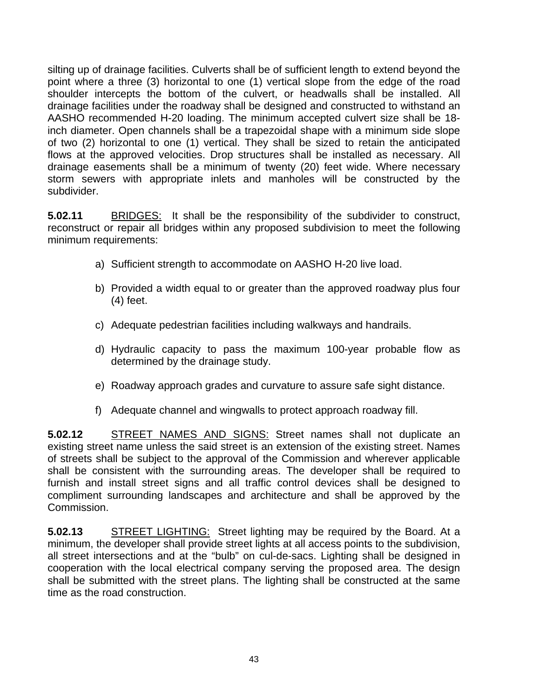silting up of drainage facilities. Culverts shall be of sufficient length to extend beyond the point where a three (3) horizontal to one (1) vertical slope from the edge of the road shoulder intercepts the bottom of the culvert, or headwalls shall be installed. All drainage facilities under the roadway shall be designed and constructed to withstand an AASHO recommended H-20 loading. The minimum accepted culvert size shall be 18 inch diameter. Open channels shall be a trapezoidal shape with a minimum side slope of two (2) horizontal to one (1) vertical. They shall be sized to retain the anticipated flows at the approved velocities. Drop structures shall be installed as necessary. All drainage easements shall be a minimum of twenty (20) feet wide. Where necessary storm sewers with appropriate inlets and manholes will be constructed by the subdivider.

**5.02.11** BRIDGES: It shall be the responsibility of the subdivider to construct, reconstruct or repair all bridges within any proposed subdivision to meet the following minimum requirements:

- a) Sufficient strength to accommodate on AASHO H-20 live load.
- b) Provided a width equal to or greater than the approved roadway plus four (4) feet.
- c) Adequate pedestrian facilities including walkways and handrails.
- d) Hydraulic capacity to pass the maximum 100-year probable flow as determined by the drainage study.
- e) Roadway approach grades and curvature to assure safe sight distance.
- f) Adequate channel and wingwalls to protect approach roadway fill.

**5.02.12** STREET NAMES AND SIGNS: Street names shall not duplicate an existing street name unless the said street is an extension of the existing street. Names of streets shall be subject to the approval of the Commission and wherever applicable shall be consistent with the surrounding areas. The developer shall be required to furnish and install street signs and all traffic control devices shall be designed to compliment surrounding landscapes and architecture and shall be approved by the Commission.

**5.02.13** STREET LIGHTING: Street lighting may be required by the Board. At a minimum, the developer shall provide street lights at all access points to the subdivision, all street intersections and at the "bulb" on cul-de-sacs. Lighting shall be designed in cooperation with the local electrical company serving the proposed area. The design shall be submitted with the street plans. The lighting shall be constructed at the same time as the road construction.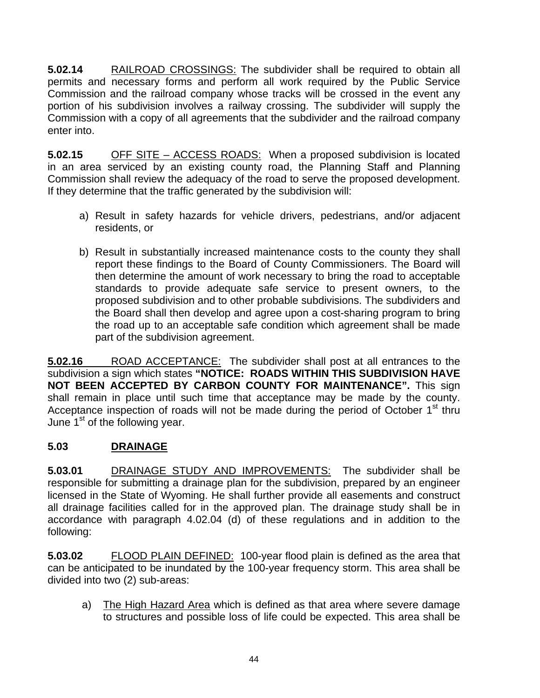**5.02.14** RAILROAD CROSSINGS: The subdivider shall be required to obtain all permits and necessary forms and perform all work required by the Public Service Commission and the railroad company whose tracks will be crossed in the event any portion of his subdivision involves a railway crossing. The subdivider will supply the Commission with a copy of all agreements that the subdivider and the railroad company enter into.

**5.02.15** OFF SITE – ACCESS ROADS: When a proposed subdivision is located in an area serviced by an existing county road, the Planning Staff and Planning Commission shall review the adequacy of the road to serve the proposed development. If they determine that the traffic generated by the subdivision will:

- a) Result in safety hazards for vehicle drivers, pedestrians, and/or adjacent residents, or
- b) Result in substantially increased maintenance costs to the county they shall report these findings to the Board of County Commissioners. The Board will then determine the amount of work necessary to bring the road to acceptable standards to provide adequate safe service to present owners, to the proposed subdivision and to other probable subdivisions. The subdividers and the Board shall then develop and agree upon a cost-sharing program to bring the road up to an acceptable safe condition which agreement shall be made part of the subdivision agreement.

**5.02.16** ROAD ACCEPTANCE: The subdivider shall post at all entrances to the subdivision a sign which states **"NOTICE: ROADS WITHIN THIS SUBDIVISION HAVE NOT BEEN ACCEPTED BY CARBON COUNTY FOR MAINTENANCE".** This sign shall remain in place until such time that acceptance may be made by the county. Acceptance inspection of roads will not be made during the period of October 1<sup>st</sup> thru June  $1<sup>st</sup>$  of the following year.

# **5.03 DRAINAGE**

**5.03.01** DRAINAGE STUDY AND IMPROVEMENTS: The subdivider shall be responsible for submitting a drainage plan for the subdivision, prepared by an engineer licensed in the State of Wyoming. He shall further provide all easements and construct all drainage facilities called for in the approved plan. The drainage study shall be in accordance with paragraph 4.02.04 (d) of these regulations and in addition to the following:

**5.03.02** FLOOD PLAIN DEFINED: 100-year flood plain is defined as the area that can be anticipated to be inundated by the 100-year frequency storm. This area shall be divided into two (2) sub-areas:

a) The High Hazard Area which is defined as that area where severe damage to structures and possible loss of life could be expected. This area shall be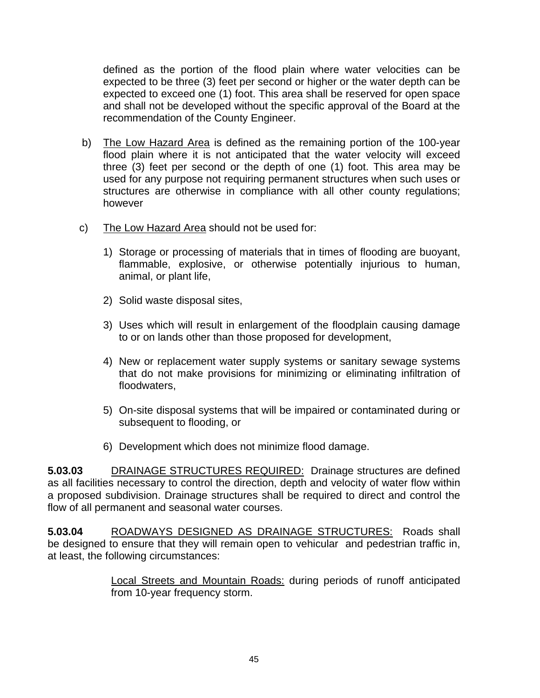defined as the portion of the flood plain where water velocities can be expected to be three (3) feet per second or higher or the water depth can be expected to exceed one (1) foot. This area shall be reserved for open space and shall not be developed without the specific approval of the Board at the recommendation of the County Engineer.

- b) The Low Hazard Area is defined as the remaining portion of the 100-year flood plain where it is not anticipated that the water velocity will exceed three (3) feet per second or the depth of one (1) foot. This area may be used for any purpose not requiring permanent structures when such uses or structures are otherwise in compliance with all other county regulations; however
- c) The Low Hazard Area should not be used for:
	- 1) Storage or processing of materials that in times of flooding are buoyant, flammable, explosive, or otherwise potentially injurious to human, animal, or plant life,
	- 2) Solid waste disposal sites,
	- 3) Uses which will result in enlargement of the floodplain causing damage to or on lands other than those proposed for development,
	- 4) New or replacement water supply systems or sanitary sewage systems that do not make provisions for minimizing or eliminating infiltration of floodwaters,
	- 5) On-site disposal systems that will be impaired or contaminated during or subsequent to flooding, or
	- 6) Development which does not minimize flood damage.

**5.03.03** DRAINAGE STRUCTURES REQUIRED: Drainage structures are defined as all facilities necessary to control the direction, depth and velocity of water flow within a proposed subdivision. Drainage structures shall be required to direct and control the flow of all permanent and seasonal water courses.

**5.03.04** ROADWAYS DESIGNED AS DRAINAGE STRUCTURES: Roads shall be designed to ensure that they will remain open to vehicular and pedestrian traffic in, at least, the following circumstances:

> Local Streets and Mountain Roads: during periods of runoff anticipated from 10-year frequency storm.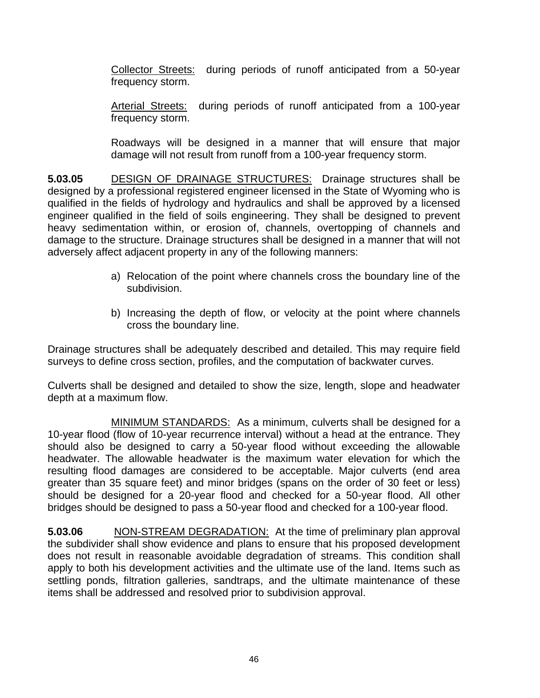Collector Streets: during periods of runoff anticipated from a 50-year frequency storm.

Arterial Streets: during periods of runoff anticipated from a 100-year frequency storm.

Roadways will be designed in a manner that will ensure that major damage will not result from runoff from a 100-year frequency storm.

**5.03.05** DESIGN OF DRAINAGE STRUCTURES: Drainage structures shall be designed by a professional registered engineer licensed in the State of Wyoming who is qualified in the fields of hydrology and hydraulics and shall be approved by a licensed engineer qualified in the field of soils engineering. They shall be designed to prevent heavy sedimentation within, or erosion of, channels, overtopping of channels and damage to the structure. Drainage structures shall be designed in a manner that will not adversely affect adjacent property in any of the following manners:

- a) Relocation of the point where channels cross the boundary line of the subdivision.
- b) Increasing the depth of flow, or velocity at the point where channels cross the boundary line.

Drainage structures shall be adequately described and detailed. This may require field surveys to define cross section, profiles, and the computation of backwater curves.

Culverts shall be designed and detailed to show the size, length, slope and headwater depth at a maximum flow.

 MINIMUM STANDARDS: As a minimum, culverts shall be designed for a 10-year flood (flow of 10-year recurrence interval) without a head at the entrance. They should also be designed to carry a 50-year flood without exceeding the allowable headwater. The allowable headwater is the maximum water elevation for which the resulting flood damages are considered to be acceptable. Major culverts (end area greater than 35 square feet) and minor bridges (spans on the order of 30 feet or less) should be designed for a 20-year flood and checked for a 50-year flood. All other bridges should be designed to pass a 50-year flood and checked for a 100-year flood.

**5.03.06** NON-STREAM DEGRADATION: At the time of preliminary plan approval the subdivider shall show evidence and plans to ensure that his proposed development does not result in reasonable avoidable degradation of streams. This condition shall apply to both his development activities and the ultimate use of the land. Items such as settling ponds, filtration galleries, sandtraps, and the ultimate maintenance of these items shall be addressed and resolved prior to subdivision approval.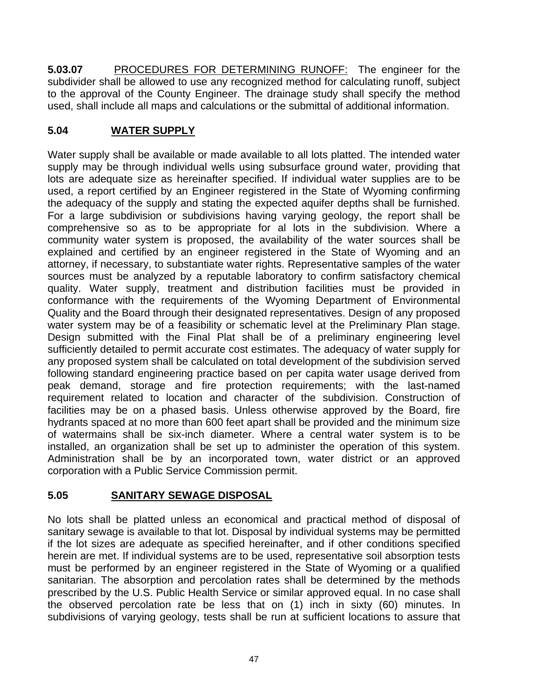**5.03.07** PROCEDURES FOR DETERMINING RUNOFF: The engineer for the subdivider shall be allowed to use any recognized method for calculating runoff, subject to the approval of the County Engineer. The drainage study shall specify the method used, shall include all maps and calculations or the submittal of additional information.

# **5.04 WATER SUPPLY**

Water supply shall be available or made available to all lots platted. The intended water supply may be through individual wells using subsurface ground water, providing that lots are adequate size as hereinafter specified. If individual water supplies are to be used, a report certified by an Engineer registered in the State of Wyoming confirming the adequacy of the supply and stating the expected aquifer depths shall be furnished. For a large subdivision or subdivisions having varying geology, the report shall be comprehensive so as to be appropriate for al lots in the subdivision. Where a community water system is proposed, the availability of the water sources shall be explained and certified by an engineer registered in the State of Wyoming and an attorney, if necessary, to substantiate water rights. Representative samples of the water sources must be analyzed by a reputable laboratory to confirm satisfactory chemical quality. Water supply, treatment and distribution facilities must be provided in conformance with the requirements of the Wyoming Department of Environmental Quality and the Board through their designated representatives. Design of any proposed water system may be of a feasibility or schematic level at the Preliminary Plan stage. Design submitted with the Final Plat shall be of a preliminary engineering level sufficiently detailed to permit accurate cost estimates. The adequacy of water supply for any proposed system shall be calculated on total development of the subdivision served following standard engineering practice based on per capita water usage derived from peak demand, storage and fire protection requirements; with the last-named requirement related to location and character of the subdivision. Construction of facilities may be on a phased basis. Unless otherwise approved by the Board, fire hydrants spaced at no more than 600 feet apart shall be provided and the minimum size of watermains shall be six-inch diameter. Where a central water system is to be installed, an organization shall be set up to administer the operation of this system. Administration shall be by an incorporated town, water district or an approved corporation with a Public Service Commission permit.

## **5.05 SANITARY SEWAGE DISPOSAL**

No lots shall be platted unless an economical and practical method of disposal of sanitary sewage is available to that lot. Disposal by individual systems may be permitted if the lot sizes are adequate as specified hereinafter, and if other conditions specified herein are met. If individual systems are to be used, representative soil absorption tests must be performed by an engineer registered in the State of Wyoming or a qualified sanitarian. The absorption and percolation rates shall be determined by the methods prescribed by the U.S. Public Health Service or similar approved equal. In no case shall the observed percolation rate be less that on (1) inch in sixty (60) minutes. In subdivisions of varying geology, tests shall be run at sufficient locations to assure that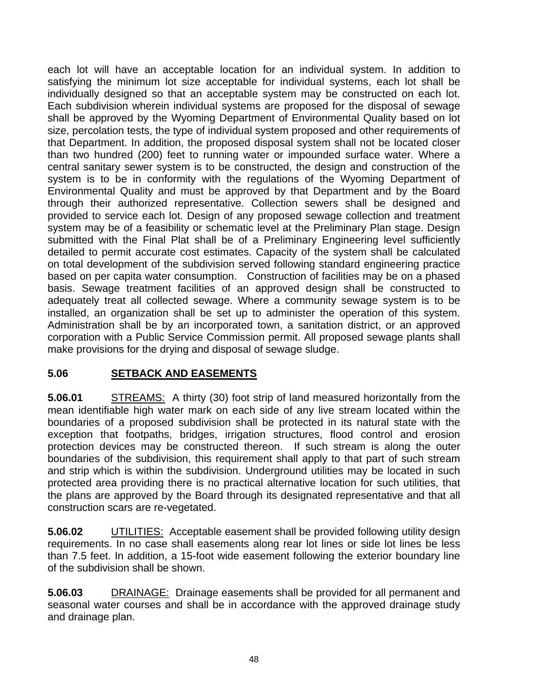each lot will have an acceptable location for an individual system. In addition to satisfying the minimum lot size acceptable for individual systems, each lot shall be individually designed so that an acceptable system may be constructed on each lot. Each subdivision wherein individual systems are proposed for the disposal of sewage shall be approved by the Wyoming Department of Environmental Quality based on lot size, percolation tests, the type of individual system proposed and other requirements of that Department. In addition, the proposed disposal system shall not be located closer than two hundred (200) feet to running water or impounded surface water. Where a central sanitary sewer system is to be constructed, the design and construction of the system is to be in conformity with the regulations of the Wyoming Department of Environmental Quality and must be approved by that Department and by the Board through their authorized representative. Collection sewers shall be designed and provided to service each lot. Design of any proposed sewage collection and treatment system may be of a feasibility or schematic level at the Preliminary Plan stage. Design submitted with the Final Plat shall be of a Preliminary Engineering level sufficiently detailed to permit accurate cost estimates. Capacity of the system shall be calculated on total development of the subdivision served following standard engineering practice based on per capita water consumption. Construction of facilities may be on a phased basis. Sewage treatment facilities of an approved design shall be constructed to adequately treat all collected sewage. Where a community sewage system is to be installed, an organization shall be set up to administer the operation of this system. Administration shall be by an incorporated town, a sanitation district, or an approved corporation with a Public Service Commission permit. All proposed sewage plants shall make provisions for the drying and disposal of sewage sludge.

## **5.06 SETBACK AND EASEMENTS**

**5.06.01** STREAMS: A thirty (30) foot strip of land measured horizontally from the mean identifiable high water mark on each side of any live stream located within the boundaries of a proposed subdivision shall be protected in its natural state with the exception that footpaths, bridges, irrigation structures, flood control and erosion protection devices may be constructed thereon. If such stream is along the outer boundaries of the subdivision, this requirement shall apply to that part of such stream and strip which is within the subdivision. Underground utilities may be located in such protected area providing there is no practical alternative location for such utilities, that the plans are approved by the Board through its designated representative and that all construction scars are re-vegetated.

**5.06.02** UTILITIES: Acceptable easement shall be provided following utility design requirements. In no case shall easements along rear lot lines or side lot lines be less than 7.5 feet. In addition, a 15-foot wide easement following the exterior boundary line of the subdivision shall be shown.

**5.06.03** DRAINAGE: Drainage easements shall be provided for all permanent and seasonal water courses and shall be in accordance with the approved drainage study and drainage plan.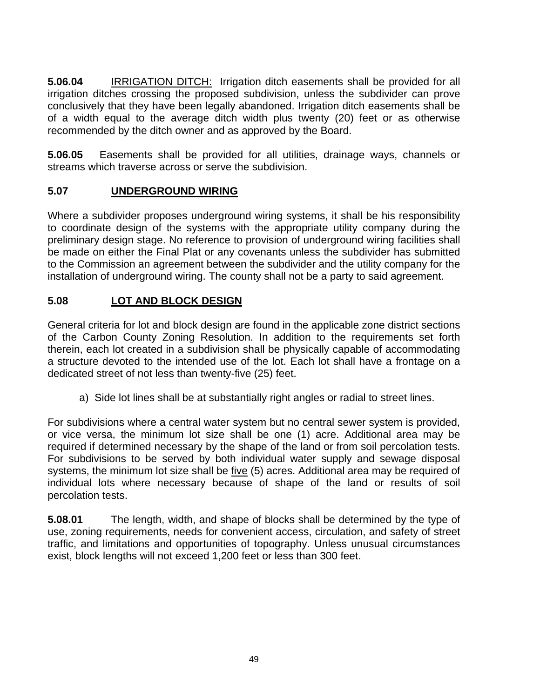**5.06.04** IRRIGATION DITCH: Irrigation ditch easements shall be provided for all irrigation ditches crossing the proposed subdivision, unless the subdivider can prove conclusively that they have been legally abandoned. Irrigation ditch easements shall be of a width equal to the average ditch width plus twenty (20) feet or as otherwise recommended by the ditch owner and as approved by the Board.

**5.06.05** Easements shall be provided for all utilities, drainage ways, channels or streams which traverse across or serve the subdivision.

# **5.07 UNDERGROUND WIRING**

Where a subdivider proposes underground wiring systems, it shall be his responsibility to coordinate design of the systems with the appropriate utility company during the preliminary design stage. No reference to provision of underground wiring facilities shall be made on either the Final Plat or any covenants unless the subdivider has submitted to the Commission an agreement between the subdivider and the utility company for the installation of underground wiring. The county shall not be a party to said agreement.

# **5.08 LOT AND BLOCK DESIGN**

General criteria for lot and block design are found in the applicable zone district sections of the Carbon County Zoning Resolution. In addition to the requirements set forth therein, each lot created in a subdivision shall be physically capable of accommodating a structure devoted to the intended use of the lot. Each lot shall have a frontage on a dedicated street of not less than twenty-five (25) feet.

a) Side lot lines shall be at substantially right angles or radial to street lines.

For subdivisions where a central water system but no central sewer system is provided, or vice versa, the minimum lot size shall be one (1) acre. Additional area may be required if determined necessary by the shape of the land or from soil percolation tests. For subdivisions to be served by both individual water supply and sewage disposal systems, the minimum lot size shall be five (5) acres. Additional area may be required of individual lots where necessary because of shape of the land or results of soil percolation tests.

**5.08.01** The length, width, and shape of blocks shall be determined by the type of use, zoning requirements, needs for convenient access, circulation, and safety of street traffic, and limitations and opportunities of topography. Unless unusual circumstances exist, block lengths will not exceed 1,200 feet or less than 300 feet.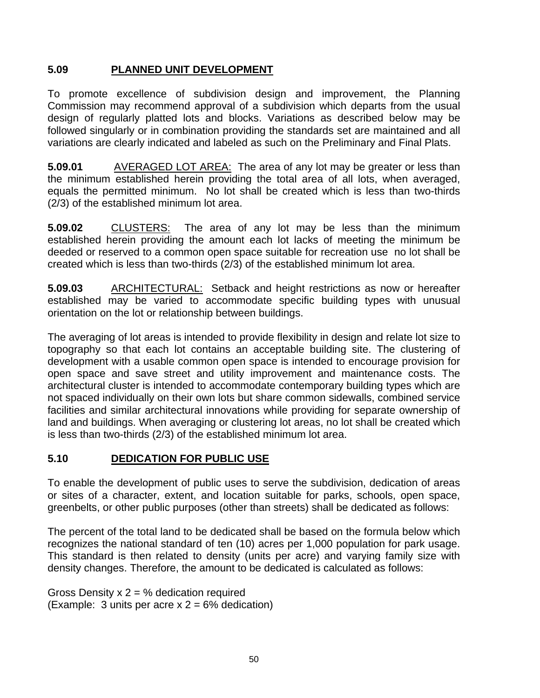## **5.09 PLANNED UNIT DEVELOPMENT**

To promote excellence of subdivision design and improvement, the Planning Commission may recommend approval of a subdivision which departs from the usual design of regularly platted lots and blocks. Variations as described below may be followed singularly or in combination providing the standards set are maintained and all variations are clearly indicated and labeled as such on the Preliminary and Final Plats.

**5.09.01** AVERAGED LOT AREA: The area of any lot may be greater or less than the minimum established herein providing the total area of all lots, when averaged, equals the permitted minimum. No lot shall be created which is less than two-thirds (2/3) of the established minimum lot area.

**5.09.02** CLUSTERS: The area of any lot may be less than the minimum established herein providing the amount each lot lacks of meeting the minimum be deeded or reserved to a common open space suitable for recreation use no lot shall be created which is less than two-thirds (2/3) of the established minimum lot area.

**5.09.03** ARCHITECTURAL: Setback and height restrictions as now or hereafter established may be varied to accommodate specific building types with unusual orientation on the lot or relationship between buildings.

The averaging of lot areas is intended to provide flexibility in design and relate lot size to topography so that each lot contains an acceptable building site. The clustering of development with a usable common open space is intended to encourage provision for open space and save street and utility improvement and maintenance costs. The architectural cluster is intended to accommodate contemporary building types which are not spaced individually on their own lots but share common sidewalls, combined service facilities and similar architectural innovations while providing for separate ownership of land and buildings. When averaging or clustering lot areas, no lot shall be created which is less than two-thirds (2/3) of the established minimum lot area.

## **5.10 DEDICATION FOR PUBLIC USE**

To enable the development of public uses to serve the subdivision, dedication of areas or sites of a character, extent, and location suitable for parks, schools, open space, greenbelts, or other public purposes (other than streets) shall be dedicated as follows:

The percent of the total land to be dedicated shall be based on the formula below which recognizes the national standard of ten (10) acres per 1,000 population for park usage. This standard is then related to density (units per acre) and varying family size with density changes. Therefore, the amount to be dedicated is calculated as follows:

Gross Density  $x = 2$  dedication required (Example: 3 units per acre  $x = 2 = 6\%$  dedication)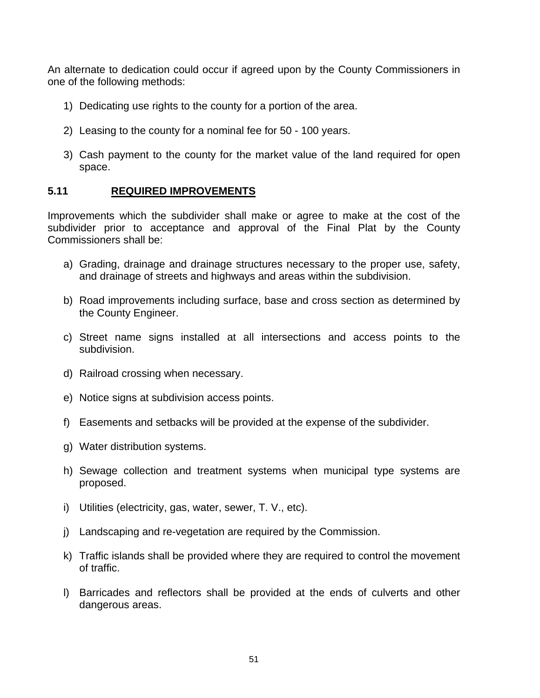An alternate to dedication could occur if agreed upon by the County Commissioners in one of the following methods:

- 1) Dedicating use rights to the county for a portion of the area.
- 2) Leasing to the county for a nominal fee for 50 100 years.
- 3) Cash payment to the county for the market value of the land required for open space.

## **5.11 REQUIRED IMPROVEMENTS**

Improvements which the subdivider shall make or agree to make at the cost of the subdivider prior to acceptance and approval of the Final Plat by the County Commissioners shall be:

- a) Grading, drainage and drainage structures necessary to the proper use, safety, and drainage of streets and highways and areas within the subdivision.
- b) Road improvements including surface, base and cross section as determined by the County Engineer.
- c) Street name signs installed at all intersections and access points to the subdivision.
- d) Railroad crossing when necessary.
- e) Notice signs at subdivision access points.
- f) Easements and setbacks will be provided at the expense of the subdivider.
- g) Water distribution systems.
- h) Sewage collection and treatment systems when municipal type systems are proposed.
- i) Utilities (electricity, gas, water, sewer, T. V., etc).
- j) Landscaping and re-vegetation are required by the Commission.
- k) Traffic islands shall be provided where they are required to control the movement of traffic.
- l) Barricades and reflectors shall be provided at the ends of culverts and other dangerous areas.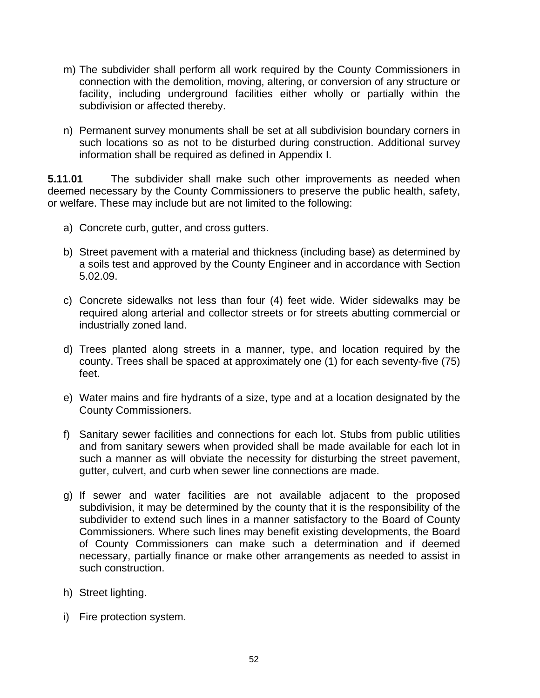- m) The subdivider shall perform all work required by the County Commissioners in connection with the demolition, moving, altering, or conversion of any structure or facility, including underground facilities either wholly or partially within the subdivision or affected thereby.
- n) Permanent survey monuments shall be set at all subdivision boundary corners in such locations so as not to be disturbed during construction. Additional survey information shall be required as defined in Appendix I.

**5.11.01** The subdivider shall make such other improvements as needed when deemed necessary by the County Commissioners to preserve the public health, safety, or welfare. These may include but are not limited to the following:

- a) Concrete curb, gutter, and cross gutters.
- b) Street pavement with a material and thickness (including base) as determined by a soils test and approved by the County Engineer and in accordance with Section 5.02.09.
- c) Concrete sidewalks not less than four (4) feet wide. Wider sidewalks may be required along arterial and collector streets or for streets abutting commercial or industrially zoned land.
- d) Trees planted along streets in a manner, type, and location required by the county. Trees shall be spaced at approximately one (1) for each seventy-five (75) feet.
- e) Water mains and fire hydrants of a size, type and at a location designated by the County Commissioners.
- f) Sanitary sewer facilities and connections for each lot. Stubs from public utilities and from sanitary sewers when provided shall be made available for each lot in such a manner as will obviate the necessity for disturbing the street pavement, gutter, culvert, and curb when sewer line connections are made.
- g) If sewer and water facilities are not available adjacent to the proposed subdivision, it may be determined by the county that it is the responsibility of the subdivider to extend such lines in a manner satisfactory to the Board of County Commissioners. Where such lines may benefit existing developments, the Board of County Commissioners can make such a determination and if deemed necessary, partially finance or make other arrangements as needed to assist in such construction.
- h) Street lighting.
- i) Fire protection system.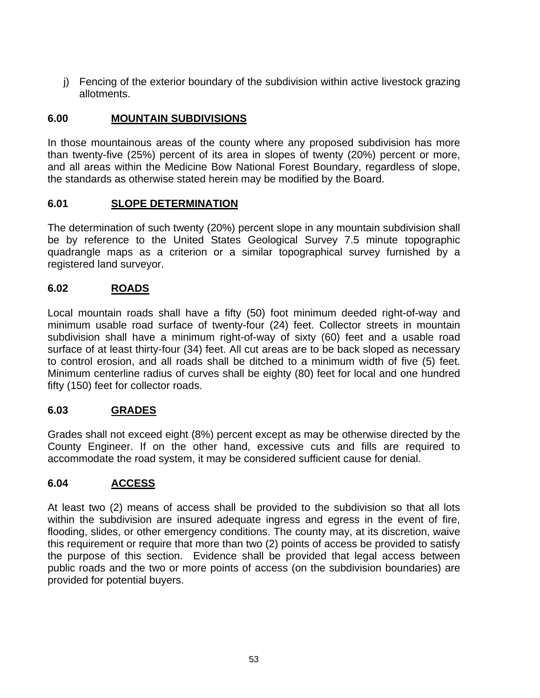j) Fencing of the exterior boundary of the subdivision within active livestock grazing allotments.

## **6.00 MOUNTAIN SUBDIVISIONS**

In those mountainous areas of the county where any proposed subdivision has more than twenty-five (25%) percent of its area in slopes of twenty (20%) percent or more, and all areas within the Medicine Bow National Forest Boundary, regardless of slope, the standards as otherwise stated herein may be modified by the Board.

## **6.01 SLOPE DETERMINATION**

The determination of such twenty (20%) percent slope in any mountain subdivision shall be by reference to the United States Geological Survey 7.5 minute topographic quadrangle maps as a criterion or a similar topographical survey furnished by a registered land surveyor.

## **6.02 ROADS**

Local mountain roads shall have a fifty (50) foot minimum deeded right-of-way and minimum usable road surface of twenty-four (24) feet. Collector streets in mountain subdivision shall have a minimum right-of-way of sixty (60) feet and a usable road surface of at least thirty-four (34) feet. All cut areas are to be back sloped as necessary to control erosion, and all roads shall be ditched to a minimum width of five (5) feet. Minimum centerline radius of curves shall be eighty (80) feet for local and one hundred fifty (150) feet for collector roads.

## **6.03 GRADES**

Grades shall not exceed eight (8%) percent except as may be otherwise directed by the County Engineer. If on the other hand, excessive cuts and fills are required to accommodate the road system, it may be considered sufficient cause for denial.

## **6.04 ACCESS**

At least two (2) means of access shall be provided to the subdivision so that all lots within the subdivision are insured adequate ingress and egress in the event of fire, flooding, slides, or other emergency conditions. The county may, at its discretion, waive this requirement or require that more than two (2) points of access be provided to satisfy the purpose of this section. Evidence shall be provided that legal access between public roads and the two or more points of access (on the subdivision boundaries) are provided for potential buyers.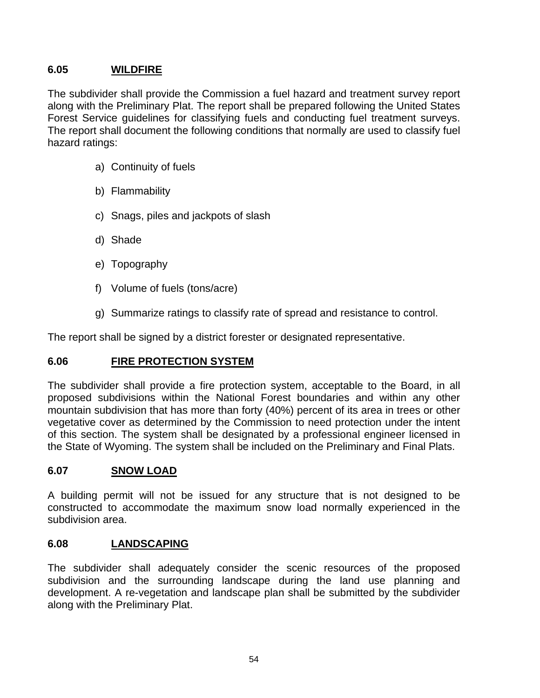## **6.05 WILDFIRE**

The subdivider shall provide the Commission a fuel hazard and treatment survey report along with the Preliminary Plat. The report shall be prepared following the United States Forest Service guidelines for classifying fuels and conducting fuel treatment surveys. The report shall document the following conditions that normally are used to classify fuel hazard ratings:

- a) Continuity of fuels
- b) Flammability
- c) Snags, piles and jackpots of slash
- d) Shade
- e) Topography
- f) Volume of fuels (tons/acre)
- g) Summarize ratings to classify rate of spread and resistance to control.

The report shall be signed by a district forester or designated representative.

## **6.06 FIRE PROTECTION SYSTEM**

The subdivider shall provide a fire protection system, acceptable to the Board, in all proposed subdivisions within the National Forest boundaries and within any other mountain subdivision that has more than forty (40%) percent of its area in trees or other vegetative cover as determined by the Commission to need protection under the intent of this section. The system shall be designated by a professional engineer licensed in the State of Wyoming. The system shall be included on the Preliminary and Final Plats.

## **6.07 SNOW LOAD**

A building permit will not be issued for any structure that is not designed to be constructed to accommodate the maximum snow load normally experienced in the subdivision area.

## **6.08 LANDSCAPING**

The subdivider shall adequately consider the scenic resources of the proposed subdivision and the surrounding landscape during the land use planning and development. A re-vegetation and landscape plan shall be submitted by the subdivider along with the Preliminary Plat.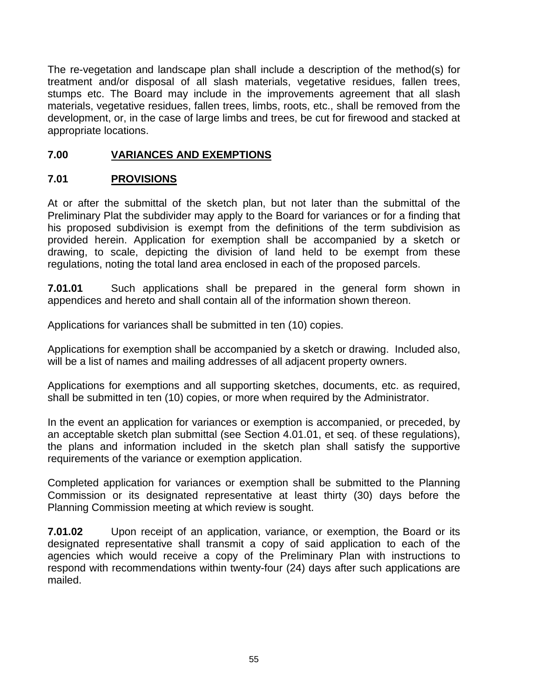The re-vegetation and landscape plan shall include a description of the method(s) for treatment and/or disposal of all slash materials, vegetative residues, fallen trees, stumps etc. The Board may include in the improvements agreement that all slash materials, vegetative residues, fallen trees, limbs, roots, etc., shall be removed from the development, or, in the case of large limbs and trees, be cut for firewood and stacked at appropriate locations.

## **7.00 VARIANCES AND EXEMPTIONS**

# **7.01 PROVISIONS**

At or after the submittal of the sketch plan, but not later than the submittal of the Preliminary Plat the subdivider may apply to the Board for variances or for a finding that his proposed subdivision is exempt from the definitions of the term subdivision as provided herein. Application for exemption shall be accompanied by a sketch or drawing, to scale, depicting the division of land held to be exempt from these regulations, noting the total land area enclosed in each of the proposed parcels.

**7.01.01** Such applications shall be prepared in the general form shown in appendices and hereto and shall contain all of the information shown thereon.

Applications for variances shall be submitted in ten (10) copies.

Applications for exemption shall be accompanied by a sketch or drawing. Included also, will be a list of names and mailing addresses of all adjacent property owners.

Applications for exemptions and all supporting sketches, documents, etc. as required, shall be submitted in ten (10) copies, or more when required by the Administrator.

In the event an application for variances or exemption is accompanied, or preceded, by an acceptable sketch plan submittal (see Section 4.01.01, et seq. of these regulations), the plans and information included in the sketch plan shall satisfy the supportive requirements of the variance or exemption application.

Completed application for variances or exemption shall be submitted to the Planning Commission or its designated representative at least thirty (30) days before the Planning Commission meeting at which review is sought.

**7.01.02** Upon receipt of an application, variance, or exemption, the Board or its designated representative shall transmit a copy of said application to each of the agencies which would receive a copy of the Preliminary Plan with instructions to respond with recommendations within twenty-four (24) days after such applications are mailed.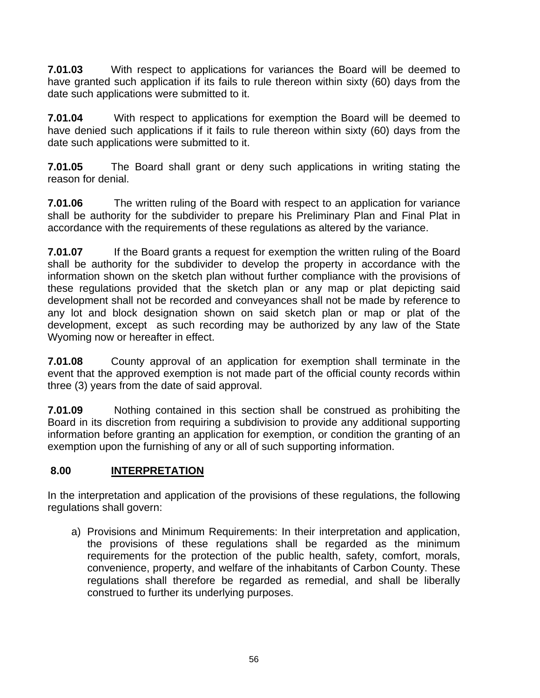**7.01.03** With respect to applications for variances the Board will be deemed to have granted such application if its fails to rule thereon within sixty (60) days from the date such applications were submitted to it.

**7.01.04** With respect to applications for exemption the Board will be deemed to have denied such applications if it fails to rule thereon within sixty (60) days from the date such applications were submitted to it.

**7.01.05** The Board shall grant or deny such applications in writing stating the reason for denial.

**7.01.06** The written ruling of the Board with respect to an application for variance shall be authority for the subdivider to prepare his Preliminary Plan and Final Plat in accordance with the requirements of these regulations as altered by the variance.

**7.01.07** If the Board grants a request for exemption the written ruling of the Board shall be authority for the subdivider to develop the property in accordance with the information shown on the sketch plan without further compliance with the provisions of these regulations provided that the sketch plan or any map or plat depicting said development shall not be recorded and conveyances shall not be made by reference to any lot and block designation shown on said sketch plan or map or plat of the development, except as such recording may be authorized by any law of the State Wyoming now or hereafter in effect.

**7.01.08** County approval of an application for exemption shall terminate in the event that the approved exemption is not made part of the official county records within three (3) years from the date of said approval.

**7.01.09** Nothing contained in this section shall be construed as prohibiting the Board in its discretion from requiring a subdivision to provide any additional supporting information before granting an application for exemption, or condition the granting of an exemption upon the furnishing of any or all of such supporting information.

# **8.00 INTERPRETATION**

In the interpretation and application of the provisions of these regulations, the following regulations shall govern:

a) Provisions and Minimum Requirements: In their interpretation and application, the provisions of these regulations shall be regarded as the minimum requirements for the protection of the public health, safety, comfort, morals, convenience, property, and welfare of the inhabitants of Carbon County. These regulations shall therefore be regarded as remedial, and shall be liberally construed to further its underlying purposes.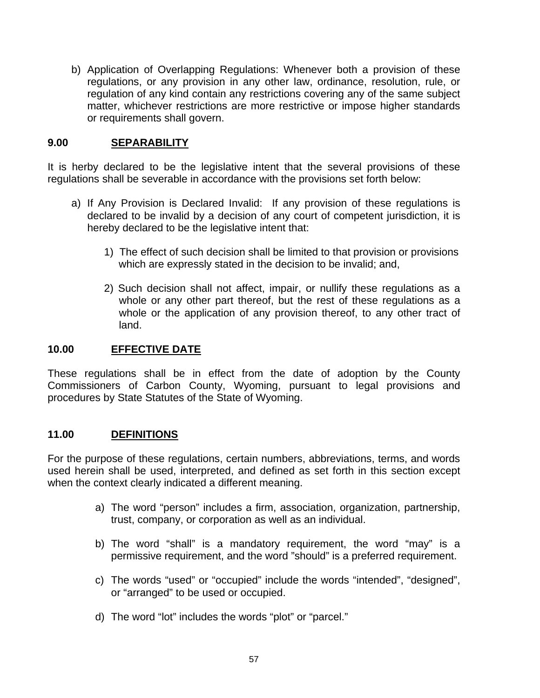b) Application of Overlapping Regulations: Whenever both a provision of these regulations, or any provision in any other law, ordinance, resolution, rule, or regulation of any kind contain any restrictions covering any of the same subject matter, whichever restrictions are more restrictive or impose higher standards or requirements shall govern.

## **9.00 SEPARABILITY**

It is herby declared to be the legislative intent that the several provisions of these regulations shall be severable in accordance with the provisions set forth below:

- a) If Any Provision is Declared Invalid: If any provision of these regulations is declared to be invalid by a decision of any court of competent jurisdiction, it is hereby declared to be the legislative intent that:
	- 1) The effect of such decision shall be limited to that provision or provisions which are expressly stated in the decision to be invalid; and,
	- 2) Such decision shall not affect, impair, or nullify these regulations as a whole or any other part thereof, but the rest of these regulations as a whole or the application of any provision thereof, to any other tract of land.

## **10.00 EFFECTIVE DATE**

These regulations shall be in effect from the date of adoption by the County Commissioners of Carbon County, Wyoming, pursuant to legal provisions and procedures by State Statutes of the State of Wyoming.

## **11.00 DEFINITIONS**

For the purpose of these regulations, certain numbers, abbreviations, terms, and words used herein shall be used, interpreted, and defined as set forth in this section except when the context clearly indicated a different meaning.

- a) The word "person" includes a firm, association, organization, partnership, trust, company, or corporation as well as an individual.
- b) The word "shall" is a mandatory requirement, the word "may" is a permissive requirement, and the word "should" is a preferred requirement.
- c) The words "used" or "occupied" include the words "intended", "designed", or "arranged" to be used or occupied.
- d) The word "lot" includes the words "plot" or "parcel."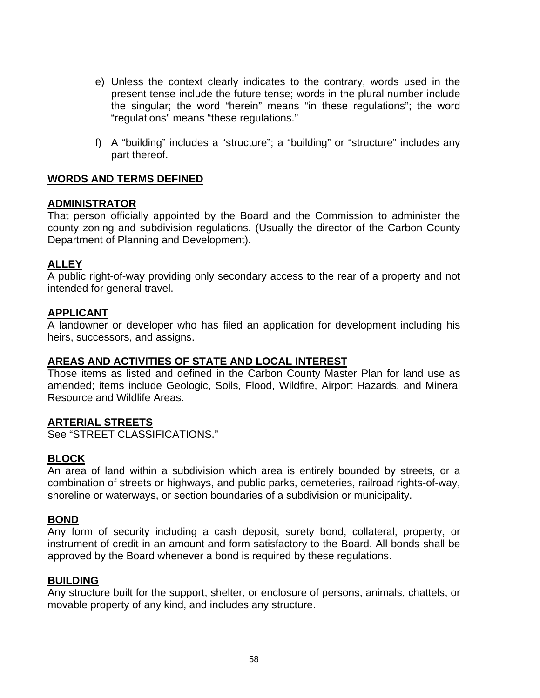- e) Unless the context clearly indicates to the contrary, words used in the present tense include the future tense; words in the plural number include the singular; the word "herein" means "in these regulations"; the word "regulations" means "these regulations."
- f) A "building" includes a "structure"; a "building" or "structure" includes any part thereof.

## **WORDS AND TERMS DEFINED**

### **ADMINISTRATOR**

That person officially appointed by the Board and the Commission to administer the county zoning and subdivision regulations. (Usually the director of the Carbon County Department of Planning and Development).

## **ALLEY**

A public right-of-way providing only secondary access to the rear of a property and not intended for general travel.

## **APPLICANT**

A landowner or developer who has filed an application for development including his heirs, successors, and assigns.

## **AREAS AND ACTIVITIES OF STATE AND LOCAL INTEREST**

Those items as listed and defined in the Carbon County Master Plan for land use as amended; items include Geologic, Soils, Flood, Wildfire, Airport Hazards, and Mineral Resource and Wildlife Areas.

#### **ARTERIAL STREETS**

See "STREET CLASSIFICATIONS."

## **BLOCK**

An area of land within a subdivision which area is entirely bounded by streets, or a combination of streets or highways, and public parks, cemeteries, railroad rights-of-way, shoreline or waterways, or section boundaries of a subdivision or municipality.

## **BOND**

Any form of security including a cash deposit, surety bond, collateral, property, or instrument of credit in an amount and form satisfactory to the Board. All bonds shall be approved by the Board whenever a bond is required by these regulations.

#### **BUILDING**

Any structure built for the support, shelter, or enclosure of persons, animals, chattels, or movable property of any kind, and includes any structure.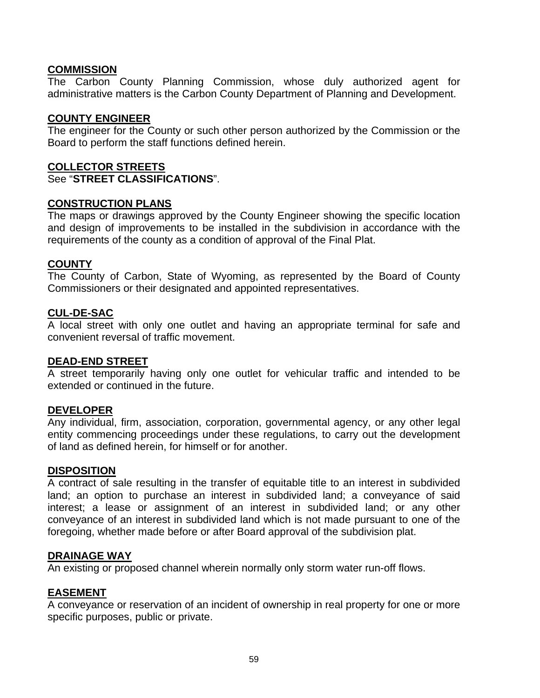## **COMMISSION**

The Carbon County Planning Commission, whose duly authorized agent for administrative matters is the Carbon County Department of Planning and Development.

## **COUNTY ENGINEER**

The engineer for the County or such other person authorized by the Commission or the Board to perform the staff functions defined herein.

### **COLLECTOR STREETS**

See "**STREET CLASSIFICATIONS**".

### **CONSTRUCTION PLANS**

The maps or drawings approved by the County Engineer showing the specific location and design of improvements to be installed in the subdivision in accordance with the requirements of the county as a condition of approval of the Final Plat.

## **COUNTY**

The County of Carbon, State of Wyoming, as represented by the Board of County Commissioners or their designated and appointed representatives.

### **CUL-DE-SAC**

A local street with only one outlet and having an appropriate terminal for safe and convenient reversal of traffic movement.

#### **DEAD-END STREET**

A street temporarily having only one outlet for vehicular traffic and intended to be extended or continued in the future.

## **DEVELOPER**

Any individual, firm, association, corporation, governmental agency, or any other legal entity commencing proceedings under these regulations, to carry out the development of land as defined herein, for himself or for another.

#### **DISPOSITION**

A contract of sale resulting in the transfer of equitable title to an interest in subdivided land; an option to purchase an interest in subdivided land; a conveyance of said interest; a lease or assignment of an interest in subdivided land; or any other conveyance of an interest in subdivided land which is not made pursuant to one of the foregoing, whether made before or after Board approval of the subdivision plat.

## **DRAINAGE WAY**

An existing or proposed channel wherein normally only storm water run-off flows.

## **EASEMENT**

A conveyance or reservation of an incident of ownership in real property for one or more specific purposes, public or private.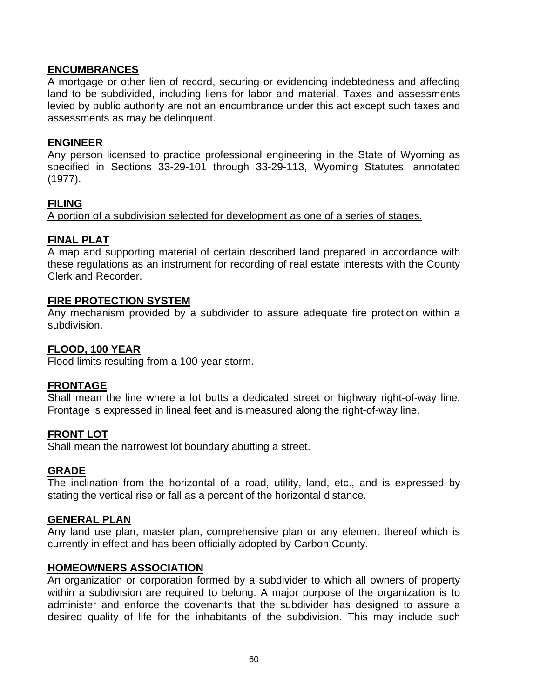## **ENCUMBRANCES**

A mortgage or other lien of record, securing or evidencing indebtedness and affecting land to be subdivided, including liens for labor and material. Taxes and assessments levied by public authority are not an encumbrance under this act except such taxes and assessments as may be delinquent.

## **ENGINEER**

Any person licensed to practice professional engineering in the State of Wyoming as specified in Sections 33-29-101 through 33-29-113, Wyoming Statutes, annotated (1977).

## **FILING**

A portion of a subdivision selected for development as one of a series of stages.

## **FINAL PLAT**

A map and supporting material of certain described land prepared in accordance with these regulations as an instrument for recording of real estate interests with the County Clerk and Recorder.

### **FIRE PROTECTION SYSTEM**

Any mechanism provided by a subdivider to assure adequate fire protection within a subdivision.

### **FLOOD, 100 YEAR**

Flood limits resulting from a 100-year storm.

## **FRONTAGE**

Shall mean the line where a lot butts a dedicated street or highway right-of-way line. Frontage is expressed in lineal feet and is measured along the right-of-way line.

#### **FRONT LOT**

Shall mean the narrowest lot boundary abutting a street.

#### **GRADE**

The inclination from the horizontal of a road, utility, land, etc., and is expressed by stating the vertical rise or fall as a percent of the horizontal distance.

#### **GENERAL PLAN**

Any land use plan, master plan, comprehensive plan or any element thereof which is currently in effect and has been officially adopted by Carbon County.

#### **HOMEOWNERS ASSOCIATION**

An organization or corporation formed by a subdivider to which all owners of property within a subdivision are required to belong. A major purpose of the organization is to administer and enforce the covenants that the subdivider has designed to assure a desired quality of life for the inhabitants of the subdivision. This may include such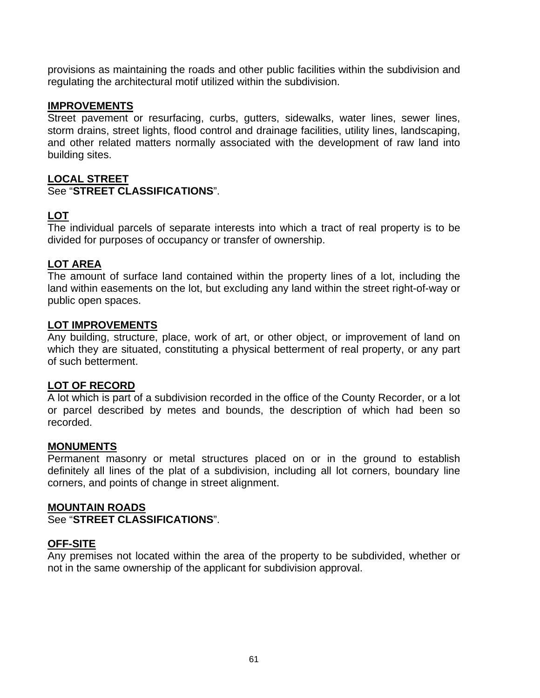provisions as maintaining the roads and other public facilities within the subdivision and regulating the architectural motif utilized within the subdivision.

### **IMPROVEMENTS**

Street pavement or resurfacing, curbs, gutters, sidewalks, water lines, sewer lines, storm drains, street lights, flood control and drainage facilities, utility lines, landscaping, and other related matters normally associated with the development of raw land into building sites.

## **LOCAL STREET**

### See "STREET CLASSIFICATIONS"

## **LOT**

The individual parcels of separate interests into which a tract of real property is to be divided for purposes of occupancy or transfer of ownership.

## **LOT AREA**

The amount of surface land contained within the property lines of a lot, including the land within easements on the lot, but excluding any land within the street right-of-way or public open spaces.

#### **LOT IMPROVEMENTS**

Any building, structure, place, work of art, or other object, or improvement of land on which they are situated, constituting a physical betterment of real property, or any part of such betterment.

#### **LOT OF RECORD**

A lot which is part of a subdivision recorded in the office of the County Recorder, or a lot or parcel described by metes and bounds, the description of which had been so recorded.

#### **MONUMENTS**

Permanent masonry or metal structures placed on or in the ground to establish definitely all lines of the plat of a subdivision, including all lot corners, boundary line corners, and points of change in street alignment.

#### **MOUNTAIN ROADS**

See "**STREET CLASSIFICATIONS**".

#### **OFF-SITE**

Any premises not located within the area of the property to be subdivided, whether or not in the same ownership of the applicant for subdivision approval.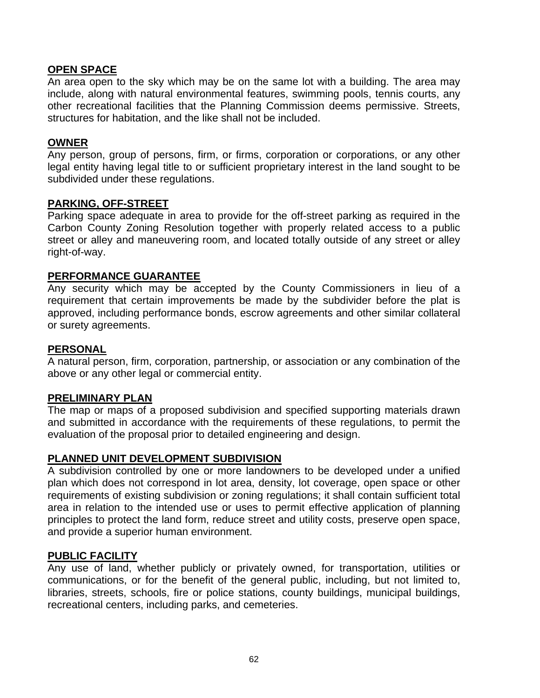## **OPEN SPACE**

An area open to the sky which may be on the same lot with a building. The area may include, along with natural environmental features, swimming pools, tennis courts, any other recreational facilities that the Planning Commission deems permissive. Streets, structures for habitation, and the like shall not be included.

### **OWNER**

Any person, group of persons, firm, or firms, corporation or corporations, or any other legal entity having legal title to or sufficient proprietary interest in the land sought to be subdivided under these regulations.

#### **PARKING, OFF-STREET**

Parking space adequate in area to provide for the off-street parking as required in the Carbon County Zoning Resolution together with properly related access to a public street or alley and maneuvering room, and located totally outside of any street or alley right-of-way.

#### **PERFORMANCE GUARANTEE**

Any security which may be accepted by the County Commissioners in lieu of a requirement that certain improvements be made by the subdivider before the plat is approved, including performance bonds, escrow agreements and other similar collateral or surety agreements.

#### **PERSONAL**

A natural person, firm, corporation, partnership, or association or any combination of the above or any other legal or commercial entity.

#### **PRELIMINARY PLAN**

The map or maps of a proposed subdivision and specified supporting materials drawn and submitted in accordance with the requirements of these regulations, to permit the evaluation of the proposal prior to detailed engineering and design.

#### **PLANNED UNIT DEVELOPMENT SUBDIVISION**

A subdivision controlled by one or more landowners to be developed under a unified plan which does not correspond in lot area, density, lot coverage, open space or other requirements of existing subdivision or zoning regulations; it shall contain sufficient total area in relation to the intended use or uses to permit effective application of planning principles to protect the land form, reduce street and utility costs, preserve open space, and provide a superior human environment.

#### **PUBLIC FACILITY**

Any use of land, whether publicly or privately owned, for transportation, utilities or communications, or for the benefit of the general public, including, but not limited to, libraries, streets, schools, fire or police stations, county buildings, municipal buildings, recreational centers, including parks, and cemeteries.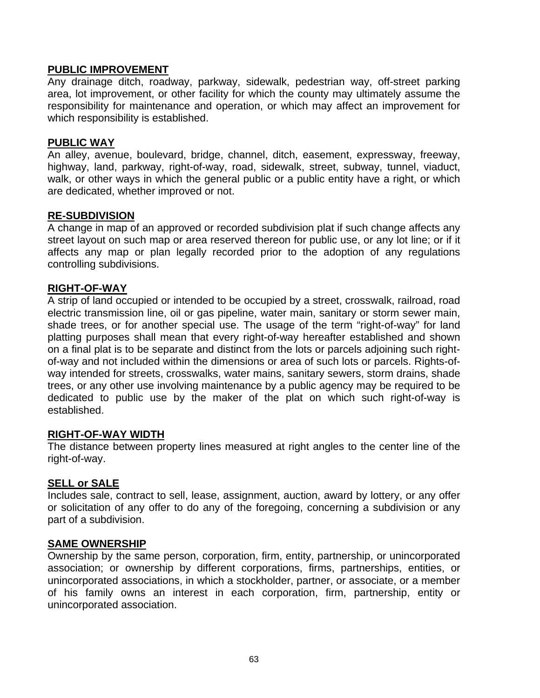### **PUBLIC IMPROVEMENT**

Any drainage ditch, roadway, parkway, sidewalk, pedestrian way, off-street parking area, lot improvement, or other facility for which the county may ultimately assume the responsibility for maintenance and operation, or which may affect an improvement for which responsibility is established.

#### **PUBLIC WAY**

An alley, avenue, boulevard, bridge, channel, ditch, easement, expressway, freeway, highway, land, parkway, right-of-way, road, sidewalk, street, subway, tunnel, viaduct, walk, or other ways in which the general public or a public entity have a right, or which are dedicated, whether improved or not.

#### **RE-SUBDIVISION**

A change in map of an approved or recorded subdivision plat if such change affects any street layout on such map or area reserved thereon for public use, or any lot line; or if it affects any map or plan legally recorded prior to the adoption of any regulations controlling subdivisions.

#### **RIGHT-OF-WAY**

A strip of land occupied or intended to be occupied by a street, crosswalk, railroad, road electric transmission line, oil or gas pipeline, water main, sanitary or storm sewer main, shade trees, or for another special use. The usage of the term "right-of-way" for land platting purposes shall mean that every right-of-way hereafter established and shown on a final plat is to be separate and distinct from the lots or parcels adjoining such rightof-way and not included within the dimensions or area of such lots or parcels. Rights-ofway intended for streets, crosswalks, water mains, sanitary sewers, storm drains, shade trees, or any other use involving maintenance by a public agency may be required to be dedicated to public use by the maker of the plat on which such right-of-way is established.

#### **RIGHT-OF-WAY WIDTH**

The distance between property lines measured at right angles to the center line of the right-of-way.

#### **SELL or SALE**

Includes sale, contract to sell, lease, assignment, auction, award by lottery, or any offer or solicitation of any offer to do any of the foregoing, concerning a subdivision or any part of a subdivision.

#### **SAME OWNERSHIP**

Ownership by the same person, corporation, firm, entity, partnership, or unincorporated association; or ownership by different corporations, firms, partnerships, entities, or unincorporated associations, in which a stockholder, partner, or associate, or a member of his family owns an interest in each corporation, firm, partnership, entity or unincorporated association.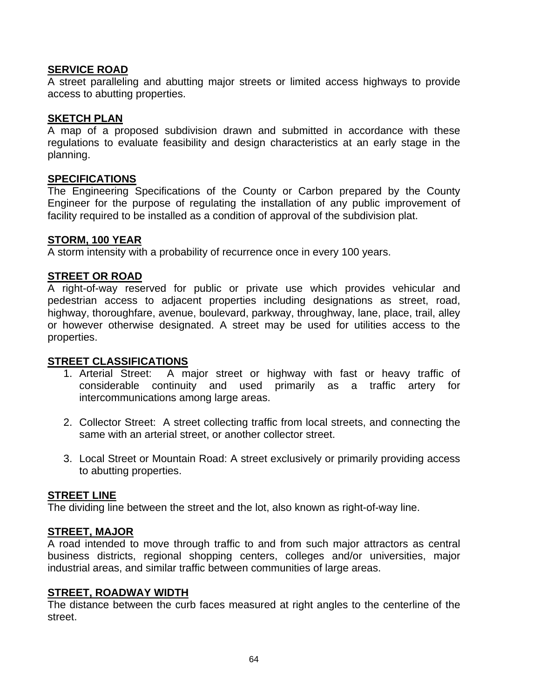### **SERVICE ROAD**

A street paralleling and abutting major streets or limited access highways to provide access to abutting properties.

### **SKETCH PLAN**

A map of a proposed subdivision drawn and submitted in accordance with these regulations to evaluate feasibility and design characteristics at an early stage in the planning.

#### **SPECIFICATIONS**

The Engineering Specifications of the County or Carbon prepared by the County Engineer for the purpose of regulating the installation of any public improvement of facility required to be installed as a condition of approval of the subdivision plat.

#### **STORM, 100 YEAR**

A storm intensity with a probability of recurrence once in every 100 years.

### **STREET OR ROAD**

A right-of-way reserved for public or private use which provides vehicular and pedestrian access to adjacent properties including designations as street, road, highway, thoroughfare, avenue, boulevard, parkway, throughway, lane, place, trail, alley or however otherwise designated. A street may be used for utilities access to the properties.

#### **STREET CLASSIFICATIONS**

- 1. Arterial Street: A major street or highway with fast or heavy traffic of considerable continuity and used primarily as a traffic artery for intercommunications among large areas.
- 2. Collector Street: A street collecting traffic from local streets, and connecting the same with an arterial street, or another collector street.
- 3. Local Street or Mountain Road: A street exclusively or primarily providing access to abutting properties.

#### **STREET LINE**

The dividing line between the street and the lot, also known as right-of-way line.

#### **STREET, MAJOR**

A road intended to move through traffic to and from such major attractors as central business districts, regional shopping centers, colleges and/or universities, major industrial areas, and similar traffic between communities of large areas.

#### **STREET, ROADWAY WIDTH**

The distance between the curb faces measured at right angles to the centerline of the street.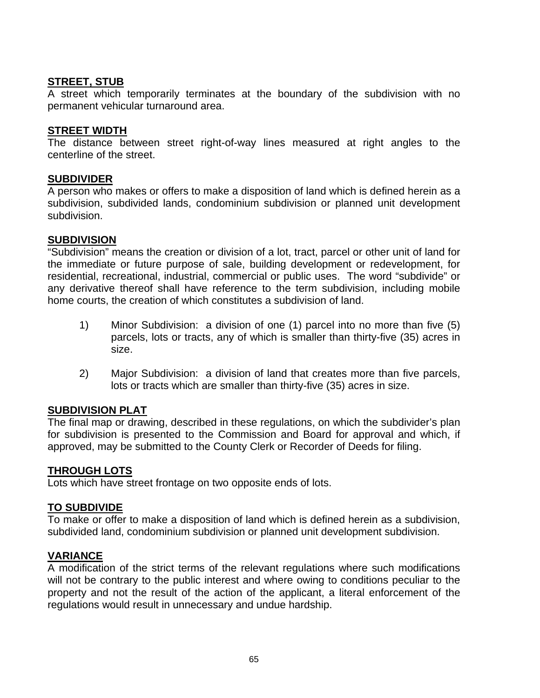## **STREET, STUB**

A street which temporarily terminates at the boundary of the subdivision with no permanent vehicular turnaround area.

### **STREET WIDTH**

The distance between street right-of-way lines measured at right angles to the centerline of the street.

### **SUBDIVIDER**

A person who makes or offers to make a disposition of land which is defined herein as a subdivision, subdivided lands, condominium subdivision or planned unit development subdivision.

### **SUBDIVISION**

"Subdivision" means the creation or division of a lot, tract, parcel or other unit of land for the immediate or future purpose of sale, building development or redevelopment, for residential, recreational, industrial, commercial or public uses. The word "subdivide" or any derivative thereof shall have reference to the term subdivision, including mobile home courts, the creation of which constitutes a subdivision of land.

- 1) Minor Subdivision: a division of one (1) parcel into no more than five (5) parcels, lots or tracts, any of which is smaller than thirty-five (35) acres in size.
- 2) Major Subdivision: a division of land that creates more than five parcels, lots or tracts which are smaller than thirty-five (35) acres in size.

## **SUBDIVISION PLAT**

The final map or drawing, described in these regulations, on which the subdivider's plan for subdivision is presented to the Commission and Board for approval and which, if approved, may be submitted to the County Clerk or Recorder of Deeds for filing.

## **THROUGH LOTS**

Lots which have street frontage on two opposite ends of lots.

## **TO SUBDIVIDE**

To make or offer to make a disposition of land which is defined herein as a subdivision, subdivided land, condominium subdivision or planned unit development subdivision.

## **VARIANCE**

A modification of the strict terms of the relevant regulations where such modifications will not be contrary to the public interest and where owing to conditions peculiar to the property and not the result of the action of the applicant, a literal enforcement of the regulations would result in unnecessary and undue hardship.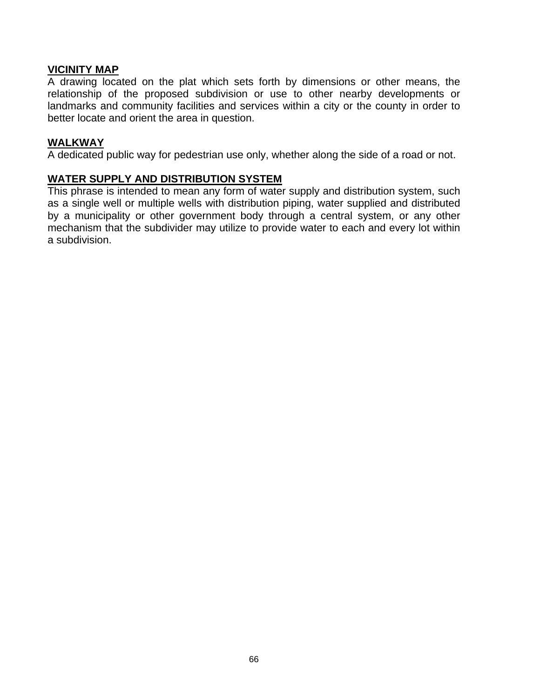## **VICINITY MAP**

A drawing located on the plat which sets forth by dimensions or other means, the relationship of the proposed subdivision or use to other nearby developments or landmarks and community facilities and services within a city or the county in order to better locate and orient the area in question.

### **WALKWAY**

A dedicated public way for pedestrian use only, whether along the side of a road or not.

### **WATER SUPPLY AND DISTRIBUTION SYSTEM**

This phrase is intended to mean any form of water supply and distribution system, such as a single well or multiple wells with distribution piping, water supplied and distributed by a municipality or other government body through a central system, or any other mechanism that the subdivider may utilize to provide water to each and every lot within a subdivision.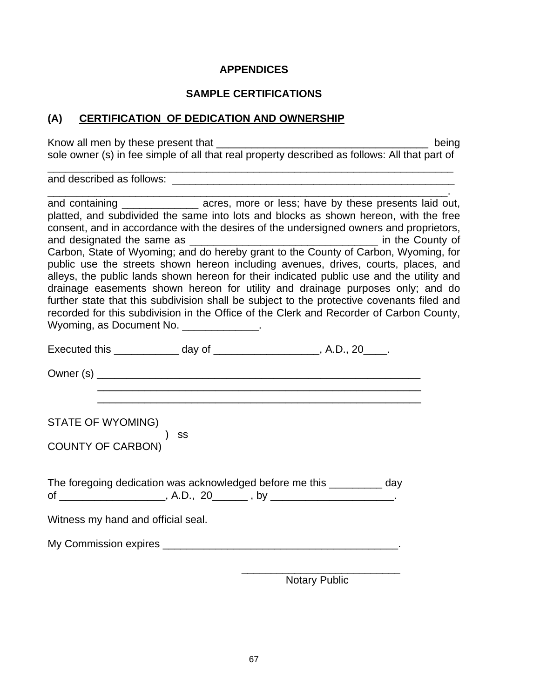# **APPENDICES**

## **SAMPLE CERTIFICATIONS**

# **(A) CERTIFICATION OF DEDICATION AND OWNERSHIP**

Know all men by these present that \_\_\_\_\_\_\_\_\_\_\_\_\_\_\_\_\_\_\_\_\_\_\_\_\_\_\_\_\_\_\_\_\_\_\_\_ being sole owner (s) in fee simple of all that real property described as follows: All that part of

\_\_\_\_\_\_\_\_\_\_\_\_\_\_\_\_\_\_\_\_\_\_\_\_\_\_\_\_\_\_\_\_\_\_\_\_\_\_\_\_\_\_\_\_\_\_\_\_\_\_\_\_\_\_\_\_\_\_\_\_\_\_\_\_\_\_\_\_\_

and described as follows: \_\_\_\_\_\_\_\_\_\_\_\_\_\_\_\_\_\_\_\_\_\_\_\_\_\_\_\_\_\_\_\_\_\_\_\_\_\_\_\_\_\_\_\_\_\_\_\_

| and containing __________________ acres, more or less; have by these presents laid out,<br>platted, and subdivided the same into lots and blocks as shown hereon, with the free<br>consent, and in accordance with the desires of the undersigned owners and proprietors,<br>public use the streets shown hereon including avenues, drives, courts, places, and<br>alleys, the public lands shown hereon for their indicated public use and the utility and<br>drainage easements shown hereon for utility and drainage purposes only; and do<br>further state that this subdivision shall be subject to the protective covenants filed and<br>recorded for this subdivision in the Office of the Clerk and Recorder of Carbon County, |
|----------------------------------------------------------------------------------------------------------------------------------------------------------------------------------------------------------------------------------------------------------------------------------------------------------------------------------------------------------------------------------------------------------------------------------------------------------------------------------------------------------------------------------------------------------------------------------------------------------------------------------------------------------------------------------------------------------------------------------------|
| Wyoming, as Document No. ______________.                                                                                                                                                                                                                                                                                                                                                                                                                                                                                                                                                                                                                                                                                               |
| Executed this ______________ day of _____________________, A.D., 20____.                                                                                                                                                                                                                                                                                                                                                                                                                                                                                                                                                                                                                                                               |
|                                                                                                                                                                                                                                                                                                                                                                                                                                                                                                                                                                                                                                                                                                                                        |
| STATE OF WYOMING)                                                                                                                                                                                                                                                                                                                                                                                                                                                                                                                                                                                                                                                                                                                      |
| $\frac{1}{\sqrt{2}}$ ) ss<br><b>COUNTY OF CARBON)</b>                                                                                                                                                                                                                                                                                                                                                                                                                                                                                                                                                                                                                                                                                  |
| The foregoing dedication was acknowledged before me this _________ day                                                                                                                                                                                                                                                                                                                                                                                                                                                                                                                                                                                                                                                                 |
| Witness my hand and official seal.                                                                                                                                                                                                                                                                                                                                                                                                                                                                                                                                                                                                                                                                                                     |
|                                                                                                                                                                                                                                                                                                                                                                                                                                                                                                                                                                                                                                                                                                                                        |
|                                                                                                                                                                                                                                                                                                                                                                                                                                                                                                                                                                                                                                                                                                                                        |

Notary Public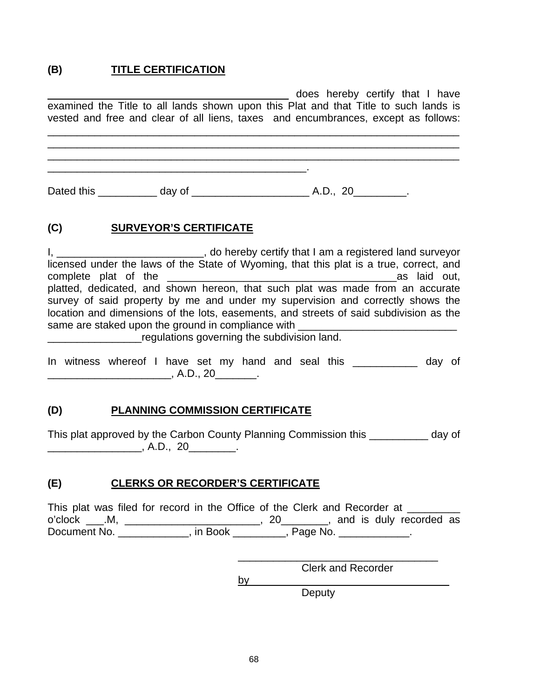#### **(B) TITLE CERTIFICATION**

| examined the Title to all lands shown upon this Plat and that Title to such lands is<br>vested and free and clear of all liens, taxes and encumbrances, except as follows: | does hereby certify that I have |
|----------------------------------------------------------------------------------------------------------------------------------------------------------------------------|---------------------------------|
|                                                                                                                                                                            |                                 |
|                                                                                                                                                                            |                                 |

# **(C) SURVEYOR'S CERTIFICATE**

I, \_\_\_\_\_\_\_\_\_\_\_\_\_\_\_\_\_\_\_\_\_\_\_\_\_\_\_\_, do hereby certify that I am a registered land surveyor licensed under the laws of the State of Wyoming, that this plat is a true, correct, and complete plat of the **with the complete** plat of the **state of the state of the state of the state of the state of the state of the state of the state of the state of the state of the state of the state of the state of the** platted, dedicated, and shown hereon, that such plat was made from an accurate survey of said property by me and under my supervision and correctly shows the location and dimensions of the lots, easements, and streets of said subdivision as the same are staked upon the ground in compliance with **\_\_\_\_\_\_\_\_\_\_\_\_\_\_\_\_\_\_\_\_\_regulations governing the subdivision land.** 

|            |  | In witness whereof I have set my hand and seal this |  |  |  |  |  |  |  |  |  | day of |  |
|------------|--|-----------------------------------------------------|--|--|--|--|--|--|--|--|--|--------|--|
| . A.D., 20 |  |                                                     |  |  |  |  |  |  |  |  |  |        |  |

# **(D) PLANNING COMMISSION CERTIFICATE**

This plat approved by the Carbon County Planning Commission this \_\_\_\_\_\_\_\_\_\_ day of \_\_\_\_\_\_\_\_\_\_\_\_\_\_\_\_, A.D., 20\_\_\_\_\_\_\_\_.

# **(E) CLERKS OR RECORDER'S CERTIFICATE**

This plat was filed for record in the Office of the Clerk and Recorder at \_\_\_\_\_\_\_ o'clock \_\_\_.M, \_\_\_\_\_\_\_\_\_\_\_\_\_\_\_\_\_\_\_\_\_\_\_, 20\_\_\_\_\_\_\_\_, and is duly recorded as Document No. \_\_\_\_\_\_\_\_\_\_\_\_\_, in Book \_\_\_\_\_\_\_\_\_, Page No. \_\_\_\_\_\_\_\_\_\_\_\_.

Clerk and Recorder

 $by$ 

 $\overline{\phantom{a}}$  , and the contract of the contract of the contract of the contract of the contract of the contract of the contract of the contract of the contract of the contract of the contract of the contract of the contrac

Deputy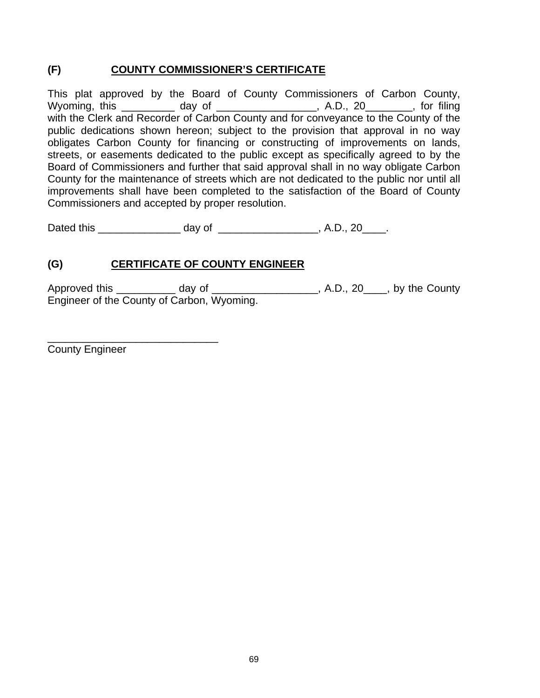# **(F) COUNTY COMMISSIONER'S CERTIFICATE**

This plat approved by the Board of County Commissioners of Carbon County, Wyoming, this \_\_\_\_\_\_\_\_\_ day of \_\_\_\_\_\_\_\_\_\_\_\_\_\_\_\_\_, A.D., 20\_\_\_\_\_\_\_\_, for filing with the Clerk and Recorder of Carbon County and for conveyance to the County of the public dedications shown hereon; subject to the provision that approval in no way obligates Carbon County for financing or constructing of improvements on lands, streets, or easements dedicated to the public except as specifically agreed to by the Board of Commissioners and further that said approval shall in no way obligate Carbon County for the maintenance of streets which are not dedicated to the public nor until all improvements shall have been completed to the satisfaction of the Board of County Commissioners and accepted by proper resolution.

Dated this \_\_\_\_\_\_\_\_\_\_\_\_\_\_\_\_\_\_\_ day of \_\_\_\_\_\_\_\_\_\_\_\_\_\_\_\_\_\_\_, A.D., 20\_\_\_\_\_.

# **(G) CERTIFICATE OF COUNTY ENGINEER**

Approved this \_\_\_\_\_\_\_\_\_\_\_ day of \_\_\_\_\_\_\_\_\_\_\_\_\_\_\_\_\_\_\_, A.D., 20\_\_\_\_, by the County Engineer of the County of Carbon, Wyoming.

County Engineer

\_\_\_\_\_\_\_\_\_\_\_\_\_\_\_\_\_\_\_\_\_\_\_\_\_\_\_\_\_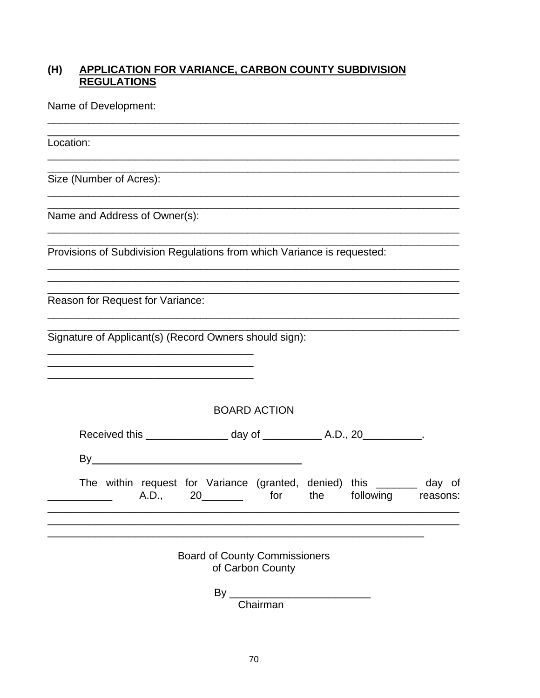#### **APPLICATION FOR VARIANCE, CARBON COUNTY SUBDIVISION**  $(H)$ **REGULATIONS**

Name of Development:

Location:

Size (Number of Acres):

Name and Address of Owner(s):

Provisions of Subdivision Regulations from which Variance is requested:

Reason for Request for Variance:

Signature of Applicant(s) (Record Owners should sign):

<u> 1989 - Johann Barbara, martxa alemaniar amerikan basar da a</u>

**BOARD ACTION** 

|  |  | A.D | 20 |  | <u>the contract of the state of the state of the state of the state of the state of the state of the state of the state of the state of the state of the state of the state of the state of the state of the state of the state </u> |  | The within request for Variance (granted, denied) this _______ | day of<br>the following reasons: |
|--|--|-----|----|--|--------------------------------------------------------------------------------------------------------------------------------------------------------------------------------------------------------------------------------------|--|----------------------------------------------------------------|----------------------------------|
|--|--|-----|----|--|--------------------------------------------------------------------------------------------------------------------------------------------------------------------------------------------------------------------------------------|--|----------------------------------------------------------------|----------------------------------|

**Board of County Commissioners** of Carbon County

 $By_$ 

Chairman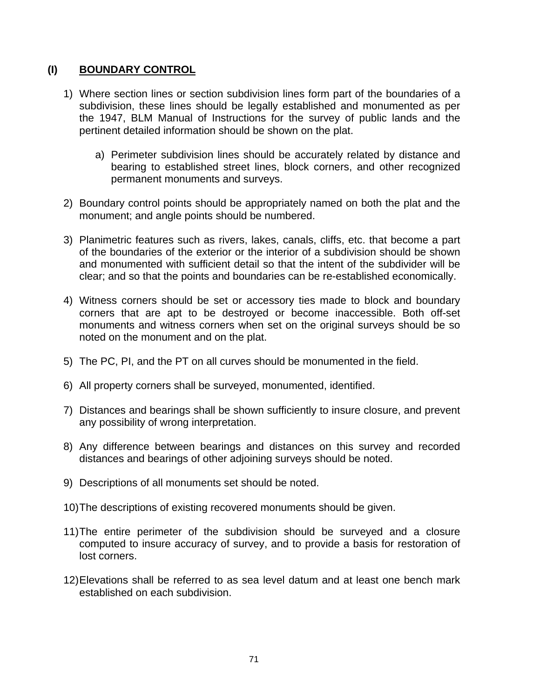# **(I) BOUNDARY CONTROL**

- 1) Where section lines or section subdivision lines form part of the boundaries of a subdivision, these lines should be legally established and monumented as per the 1947, BLM Manual of Instructions for the survey of public lands and the pertinent detailed information should be shown on the plat.
	- a) Perimeter subdivision lines should be accurately related by distance and bearing to established street lines, block corners, and other recognized permanent monuments and surveys.
- 2) Boundary control points should be appropriately named on both the plat and the monument; and angle points should be numbered.
- 3) Planimetric features such as rivers, lakes, canals, cliffs, etc. that become a part of the boundaries of the exterior or the interior of a subdivision should be shown and monumented with sufficient detail so that the intent of the subdivider will be clear; and so that the points and boundaries can be re-established economically.
- 4) Witness corners should be set or accessory ties made to block and boundary corners that are apt to be destroyed or become inaccessible. Both off-set monuments and witness corners when set on the original surveys should be so noted on the monument and on the plat.
- 5) The PC, PI, and the PT on all curves should be monumented in the field.
- 6) All property corners shall be surveyed, monumented, identified.
- 7) Distances and bearings shall be shown sufficiently to insure closure, and prevent any possibility of wrong interpretation.
- 8) Any difference between bearings and distances on this survey and recorded distances and bearings of other adjoining surveys should be noted.
- 9) Descriptions of all monuments set should be noted.
- 10) The descriptions of existing recovered monuments should be given.
- 11) The entire perimeter of the subdivision should be surveyed and a closure computed to insure accuracy of survey, and to provide a basis for restoration of lost corners.
- 12) Elevations shall be referred to as sea level datum and at least one bench mark established on each subdivision.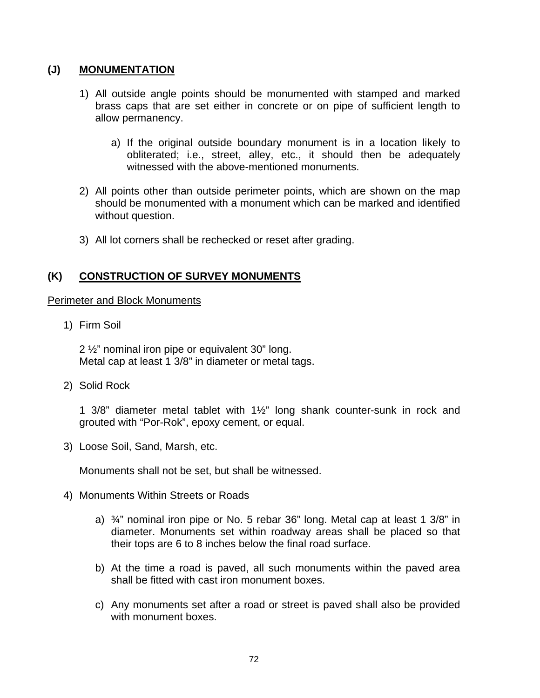## **(J) MONUMENTATION**

- 1) All outside angle points should be monumented with stamped and marked brass caps that are set either in concrete or on pipe of sufficient length to allow permanency.
	- a) If the original outside boundary monument is in a location likely to obliterated; i.e., street, alley, etc., it should then be adequately witnessed with the above-mentioned monuments.
- 2) All points other than outside perimeter points, which are shown on the map should be monumented with a monument which can be marked and identified without question.
- 3) All lot corners shall be rechecked or reset after grading.

#### **(K) CONSTRUCTION OF SURVEY MONUMENTS**

#### Perimeter and Block Monuments

1) Firm Soil

 2 ½" nominal iron pipe or equivalent 30" long. Metal cap at least 1 3/8" in diameter or metal tags.

2) Solid Rock

1 3/8" diameter metal tablet with 1½" long shank counter-sunk in rock and grouted with "Por-Rok", epoxy cement, or equal.

3) Loose Soil, Sand, Marsh, etc.

Monuments shall not be set, but shall be witnessed.

- 4) Monuments Within Streets or Roads
	- a)  $\frac{3}{4}$ " nominal iron pipe or No. 5 rebar 36" long. Metal cap at least 1 3/8" in diameter. Monuments set within roadway areas shall be placed so that their tops are 6 to 8 inches below the final road surface.
	- b) At the time a road is paved, all such monuments within the paved area shall be fitted with cast iron monument boxes.
	- c) Any monuments set after a road or street is paved shall also be provided with monument boxes.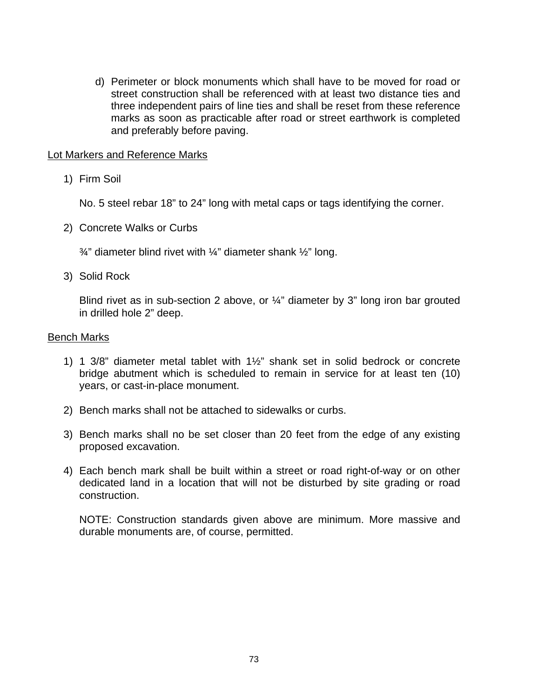d) Perimeter or block monuments which shall have to be moved for road or street construction shall be referenced with at least two distance ties and three independent pairs of line ties and shall be reset from these reference marks as soon as practicable after road or street earthwork is completed and preferably before paving.

#### Lot Markers and Reference Marks

1) Firm Soil

No. 5 steel rebar 18" to 24" long with metal caps or tags identifying the corner.

2) Concrete Walks or Curbs

 $\frac{3}{4}$ " diameter blind rivet with  $\frac{1}{4}$ " diameter shank  $\frac{1}{2}$ " long.

3) Solid Rock

 Blind rivet as in sub-section 2 above, or ¼" diameter by 3" long iron bar grouted in drilled hole 2" deep.

#### Bench Marks

- 1) 1 3/8" diameter metal tablet with 1½" shank set in solid bedrock or concrete bridge abutment which is scheduled to remain in service for at least ten (10) years, or cast-in-place monument.
- 2) Bench marks shall not be attached to sidewalks or curbs.
- 3) Bench marks shall no be set closer than 20 feet from the edge of any existing proposed excavation.
- 4) Each bench mark shall be built within a street or road right-of-way or on other dedicated land in a location that will not be disturbed by site grading or road construction.

 NOTE: Construction standards given above are minimum. More massive and durable monuments are, of course, permitted.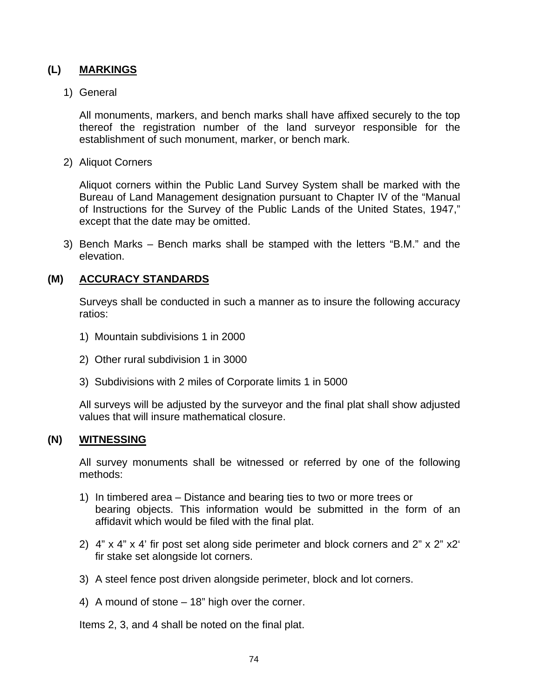# **(L) MARKINGS**

#### 1) General

All monuments, markers, and bench marks shall have affixed securely to the top thereof the registration number of the land surveyor responsible for the establishment of such monument, marker, or bench mark.

2) Aliquot Corners

 Aliquot corners within the Public Land Survey System shall be marked with the Bureau of Land Management designation pursuant to Chapter IV of the "Manual of Instructions for the Survey of the Public Lands of the United States, 1947," except that the date may be omitted.

3) Bench Marks – Bench marks shall be stamped with the letters "B.M." and the elevation.

#### **(M) ACCURACY STANDARDS**

 Surveys shall be conducted in such a manner as to insure the following accuracy ratios:

- 1) Mountain subdivisions 1 in 2000
- 2) Other rural subdivision 1 in 3000
- 3) Subdivisions with 2 miles of Corporate limits 1 in 5000

 All surveys will be adjusted by the surveyor and the final plat shall show adjusted values that will insure mathematical closure.

#### **(N) WITNESSING**

 All survey monuments shall be witnessed or referred by one of the following methods:

- 1) In timbered area Distance and bearing ties to two or more trees or bearing objects. This information would be submitted in the form of an affidavit which would be filed with the final plat.
- 2) 4" x 4" x 4' fir post set along side perimeter and block corners and 2" x 2" x2' fir stake set alongside lot corners.
- 3) A steel fence post driven alongside perimeter, block and lot corners.
- 4) A mound of stone 18" high over the corner.

Items 2, 3, and 4 shall be noted on the final plat.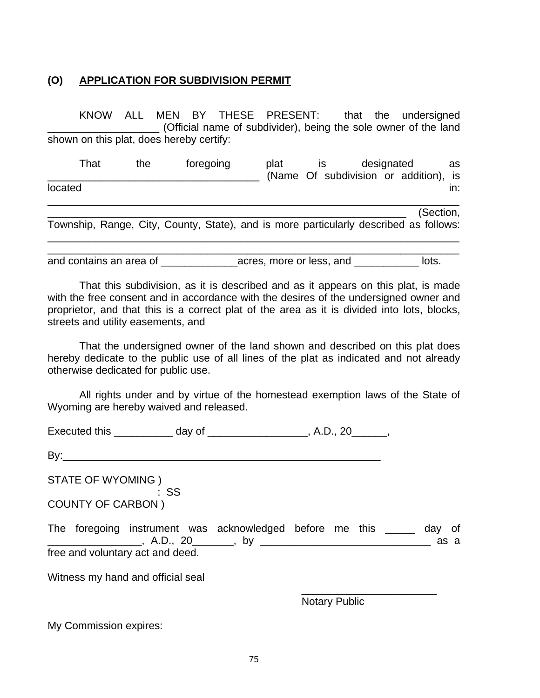#### **(O) APPLICATION FOR SUBDIVISION PERMIT**

KNOW ALL MEN BY THESE PRESENT: that the undersigned \_\_\_\_\_\_\_\_\_\_\_\_\_\_\_\_\_\_\_ (Official name of subdivider), being the sole owner of the land shown on this plat, does hereby certify:

That the foregoing plat is designated as \_\_\_\_\_\_\_\_\_\_\_\_\_\_\_\_\_\_\_\_\_\_\_\_\_\_\_\_\_\_\_\_\_\_\_\_ (Name Of subdivision or addition), is located in: which is a set of the set of the set of the set of the set of the set of the set of the set of the \_\_\_\_\_\_\_\_\_\_\_\_\_\_\_\_\_\_\_\_\_\_\_\_\_\_\_\_\_\_\_\_\_\_\_\_\_\_\_\_\_\_\_\_\_\_\_\_\_\_\_\_\_\_\_\_\_\_\_\_\_\_\_\_\_\_\_\_\_\_

\_\_\_\_\_\_\_\_\_\_\_\_\_\_\_\_\_\_\_\_\_\_\_\_\_\_\_\_\_\_\_\_\_\_\_\_\_\_\_\_\_\_\_\_\_\_\_\_\_\_\_\_\_\_\_\_\_\_\_\_\_ (Section, Township, Range, City, County, State), and is more particularly described as follows: \_\_\_\_\_\_\_\_\_\_\_\_\_\_\_\_\_\_\_\_\_\_\_\_\_\_\_\_\_\_\_\_\_\_\_\_\_\_\_\_\_\_\_\_\_\_\_\_\_\_\_\_\_\_\_\_\_\_\_\_\_\_\_\_\_\_\_\_\_\_

\_\_\_\_\_\_\_\_\_\_\_\_\_\_\_\_\_\_\_\_\_\_\_\_\_\_\_\_\_\_\_\_\_\_\_\_\_\_\_\_\_\_\_\_\_\_\_\_\_\_\_\_\_\_\_\_\_\_\_\_\_\_\_\_\_\_\_\_\_\_ and contains an area of \_\_\_\_\_\_\_\_\_\_\_\_\_\_\_\_acres, more or less, and \_\_\_\_\_\_\_\_\_\_\_\_\_\_ lots.

That this subdivision, as it is described and as it appears on this plat, is made with the free consent and in accordance with the desires of the undersigned owner and proprietor, and that this is a correct plat of the area as it is divided into lots, blocks, streets and utility easements, and

That the undersigned owner of the land shown and described on this plat does hereby dedicate to the public use of all lines of the plat as indicated and not already otherwise dedicated for public use.

All rights under and by virtue of the homestead exemption laws of the State of Wyoming are hereby waived and released.

| <b>Executed this</b> | day o' |  |
|----------------------|--------|--|
|----------------------|--------|--|

By:\_\_\_\_\_\_\_\_\_\_\_\_\_\_\_\_\_\_\_\_\_\_\_\_\_\_\_\_\_\_\_\_\_\_\_\_\_\_\_\_\_\_\_\_\_\_\_\_\_\_\_\_\_\_

STATE OF WYOMING ) : SS

COUNTY OF CARBON )

The foregoing instrument was acknowledged before me this a day of \_\_\_\_\_\_\_\_\_\_\_\_\_\_\_\_, A.D., 20\_\_\_\_\_\_\_, by \_\_\_\_\_\_\_\_\_\_\_\_\_\_\_\_\_\_\_\_\_\_\_\_\_\_\_\_\_ as a free and voluntary act and deed.

 $\overline{\phantom{a}}$  , and the contract of the contract of the contract of the contract of the contract of the contract of the contract of the contract of the contract of the contract of the contract of the contract of the contrac

Witness my hand and official seal

Notary Public

My Commission expires: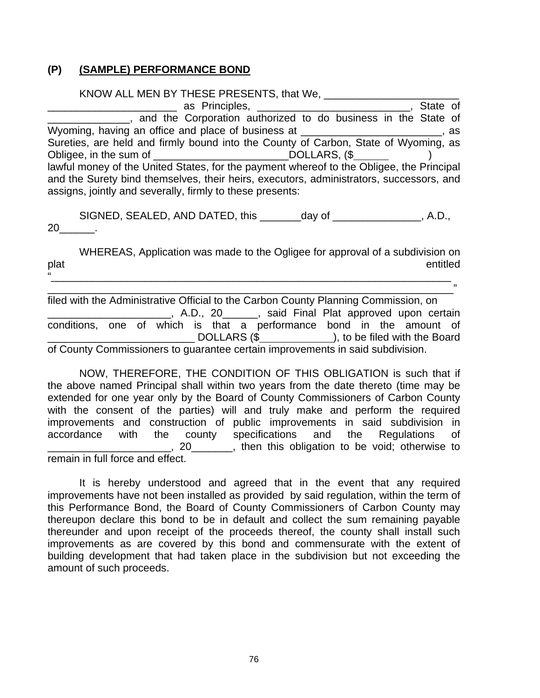# **(P) (SAMPLE) PERFORMANCE BOND**

 KNOW ALL MEN BY THESE PRESENTS, that We, \_\_\_\_\_\_\_\_\_\_\_\_\_\_\_\_\_\_\_\_\_\_\_ \_\_\_\_\_\_\_\_\_\_\_\_\_\_\_\_\_\_\_\_\_\_ as Principles, \_\_\_\_\_\_\_\_\_\_\_\_\_\_\_\_\_\_\_\_\_\_\_\_\_\_, State of \_\_\_\_\_\_\_\_\_\_\_\_\_\_, and the Corporation authorized to do business in the State of Wyoming, having an office and place of business at \_\_\_\_\_\_\_\_\_\_\_\_\_\_\_\_\_\_\_\_\_\_\_\_\_, as Sureties, are held and firmly bound into the County of Carbon, State of Wyoming, as Obligee, in the sum of \_\_\_\_\_\_\_\_\_\_\_\_\_\_\_\_\_\_\_\_\_\_\_\_\_\_\_\_\_\_\_\_\_\_DOLLARS, (\$ lawful money of the United States, for the payment whereof to the Obligee, the Principal and the Surety bind themselves, their heirs, executors, administrators, successors, and assigns, jointly and severally, firmly to these presents:

SIGNED, SEALED, AND DATED, this \_\_\_\_\_\_\_day of \_\_\_\_\_\_\_\_\_\_\_\_\_\_, A.D., 20\_\_\_\_\_\_.

 WHEREAS, Application was made to the Ogligee for approval of a subdivision on plat entitled "\_\_\_\_\_\_\_\_\_\_\_\_\_\_\_\_\_\_\_\_\_\_\_\_\_\_\_\_\_\_\_\_\_\_\_\_\_\_\_\_\_\_\_\_\_\_\_\_\_\_\_\_\_\_\_\_\_\_\_\_\_\_\_\_\_\_\_\_

\_\_\_\_\_\_\_\_\_\_\_\_\_\_\_\_\_\_\_\_\_\_\_\_\_\_\_\_\_\_\_\_\_\_\_\_\_\_\_\_\_\_\_\_\_\_\_\_\_\_\_\_\_\_\_\_\_\_\_\_\_\_\_\_\_\_\_\_\_" filed with the Administrative Official to the Carbon County Planning Commission, on \_\_\_\_\_\_\_\_\_\_\_\_\_\_\_\_\_\_\_\_\_, A.D., 20\_\_\_\_\_\_, said Final Plat approved upon certain conditions, one of which is that a performance bond in the amount of LECTER DUIT AND REFINITION (\$ 1, to be filed with the Board of County Commissioners to guarantee certain improvements in said subdivision.

NOW, THEREFORE, THE CONDITION OF THIS OBLIGATION is such that if the above named Principal shall within two years from the date thereto (time may be extended for one year only by the Board of County Commissioners of Carbon County with the consent of the parties) will and truly make and perform the required improvements and construction of public improvements in said subdivision in accordance with the county specifications and the Regulations of \_\_\_\_\_\_\_\_\_\_\_\_\_\_\_\_\_\_\_\_\_, 20\_\_\_\_\_\_\_, then this obligation to be void; otherwise to remain in full force and effect.

 It is hereby understood and agreed that in the event that any required improvements have not been installed as provided by said regulation, within the term of this Performance Bond, the Board of County Commissioners of Carbon County may thereupon declare this bond to be in default and collect the sum remaining payable thereunder and upon receipt of the proceeds thereof, the county shall install such improvements as are covered by this bond and commensurate with the extent of building development that had taken place in the subdivision but not exceeding the amount of such proceeds.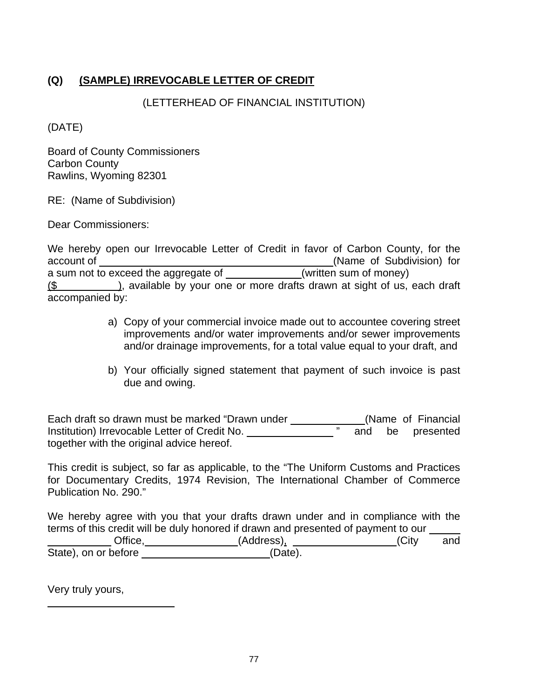# **(Q) (SAMPLE) IRREVOCABLE LETTER OF CREDIT**

## (LETTERHEAD OF FINANCIAL INSTITUTION)

(DATE)

Board of County Commissioners Carbon County Rawlins, Wyoming 82301

RE: (Name of Subdivision)

Dear Commissioners:

We hereby open our Irrevocable Letter of Credit in favor of Carbon County, for the account of (Name of Subdivision) for a sum not to exceed the aggregate of \_\_\_\_\_\_\_\_\_\_\_\_(written sum of money)  $($$  ), available by your one or more drafts drawn at sight of us, each draft accompanied by:

- a) Copy of your commercial invoice made out to accountee covering street improvements and/or water improvements and/or sewer improvements and/or drainage improvements, for a total value equal to your draft, and
- b) Your officially signed statement that payment of such invoice is past due and owing.

Each draft so drawn must be marked "Drawn under \_\_\_\_\_\_\_\_\_\_\_\_\_\_(Name of Financial Institution) Irrevocable Letter of Credit No. " and be presented together with the original advice hereof.

This credit is subject, so far as applicable, to the "The Uniform Customs and Practices for Documentary Credits, 1974 Revision, The International Chamber of Commerce Publication No. 290."

We hereby agree with you that your drafts drawn under and in compliance with the terms of this credit will be duly honored if drawn and presented of payment to our Lacker City and City and City and City and City and City and City and City and City and City and City and City and City and City and City and City and City and City and City and City and City and City and City and City and State), on or before (Date).

Very truly yours,

 $\overline{a}$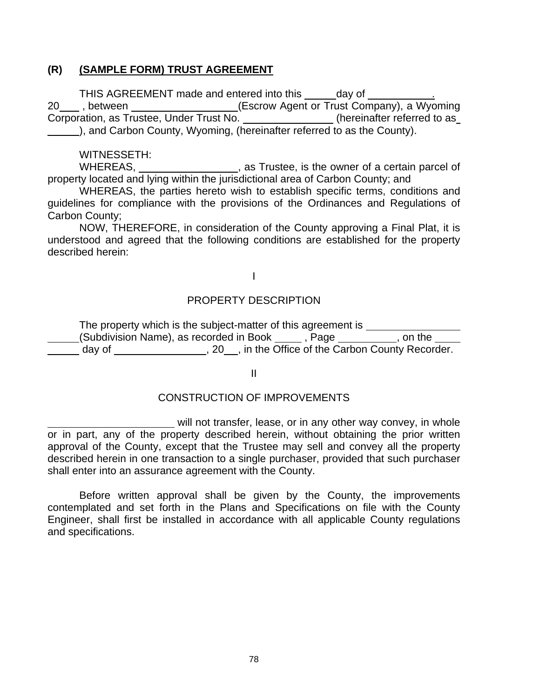#### **(R) (SAMPLE FORM) TRUST AGREEMENT**

THIS AGREEMENT made and entered into this \_\_\_\_\_day of \_\_\_\_\_\_ 20\_\_\_\_, between \_\_\_\_\_\_\_\_\_\_\_\_\_\_\_\_\_\_\_\_(Escrow Agent or Trust Company), a Wyoming Corporation, as Trustee, Under Trust No. \_\_\_\_\_\_\_\_\_\_\_\_\_\_\_\_(hereinafter referred to as ), and Carbon County, Wyoming, (hereinafter referred to as the County).

WITNESSETH:

WHEREAS, \_\_\_\_\_\_\_\_\_\_\_\_\_\_\_\_\_, as Trustee, is the owner of a certain parcel of property located and lying within the jurisdictional area of Carbon County; and

 WHEREAS, the parties hereto wish to establish specific terms, conditions and guidelines for compliance with the provisions of the Ordinances and Regulations of Carbon County;

 NOW, THEREFORE, in consideration of the County approving a Final Plat, it is understood and agreed that the following conditions are established for the property described herein:

# I

#### PROPERTY DESCRIPTION

The property which is the subject-matter of this agreement is \_\_\_\_\_\_\_\_\_\_ (Subdivision Name), as recorded in Book \_\_\_\_\_, Page \_\_\_\_\_\_\_\_, on the day of 120  $\mu$ , 20  $\mu$ , in the Office of the Carbon County Recorder.

II

#### CONSTRUCTION OF IMPROVEMENTS

will not transfer, lease, or in any other way convey, in whole or in part, any of the property described herein, without obtaining the prior written approval of the County, except that the Trustee may sell and convey all the property described herein in one transaction to a single purchaser, provided that such purchaser shall enter into an assurance agreement with the County.

 Before written approval shall be given by the County, the improvements contemplated and set forth in the Plans and Specifications on file with the County Engineer, shall first be installed in accordance with all applicable County regulations and specifications.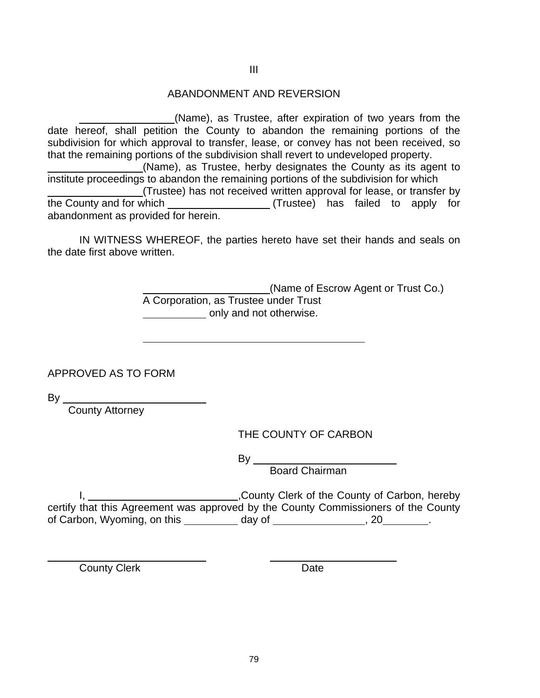#### III

#### ABANDONMENT AND REVERSION

 (Name), as Trustee, after expiration of two years from the date hereof, shall petition the County to abandon the remaining portions of the subdivision for which approval to transfer, lease, or convey has not been received, so that the remaining portions of the subdivision shall revert to undeveloped property.

 (Name), as Trustee, herby designates the County as its agent to institute proceedings to abandon the remaining portions of the subdivision for which (Trustee) has not received written approval for lease, or transfer by the County and for which (Trustee) has failed to apply for

abandonment as provided for herein.

 IN WITNESS WHEREOF, the parties hereto have set their hands and seals on the date first above written.

> (Name of Escrow Agent or Trust Co.) A Corporation, as Trustee under Trust only and not otherwise.

APPROVED AS TO FORM

By

 $\overline{a}$ 

County Attorney

THE COUNTY OF CARBON

and the control of the Bystem of the Bystem of the Bystem of the Bystem of the Bystem of the Bystem of the Bys

Board Chairman

 I, ,County Clerk of the County of Carbon, hereby certify that this Agreement was approved by the County Commissioners of the County of Carbon, Wyoming, on this  $\_\_\_\_\_$  day of  $\_\_\_\_\_\_$ , 20  $\_\_\_\_\_\,.$ 

County Clerk Date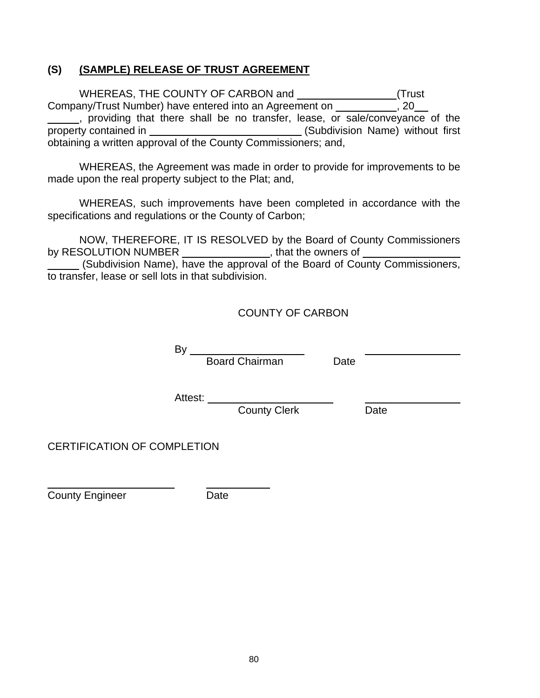#### **(S) (SAMPLE) RELEASE OF TRUST AGREEMENT**

 WHEREAS, THE COUNTY OF CARBON and (Trust Company/Trust Number) have entered into an Agreement on \_\_\_\_\_\_\_\_\_\_\_, 20 , providing that there shall be no transfer, lease, or sale/conveyance of the property contained in (Subdivision Name) without first obtaining a written approval of the County Commissioners; and,

 WHEREAS, the Agreement was made in order to provide for improvements to be made upon the real property subject to the Plat; and,

 WHEREAS, such improvements have been completed in accordance with the specifications and regulations or the County of Carbon;

 NOW, THEREFORE, IT IS RESOLVED by the Board of County Commissioners by RESOLUTION NUMBER \_\_\_\_\_\_\_\_\_\_\_\_\_\_\_, that the owners of

 (Subdivision Name), have the approval of the Board of County Commissioners, to transfer, lease or sell lots in that subdivision.

#### COUNTY OF CARBON

 $By$ <sub>—</sub> **Board Chairman** Date

Attest:

County Clerk Date

CERTIFICATION OF COMPLETION

County Engineer **Date** 

 $\overline{a}$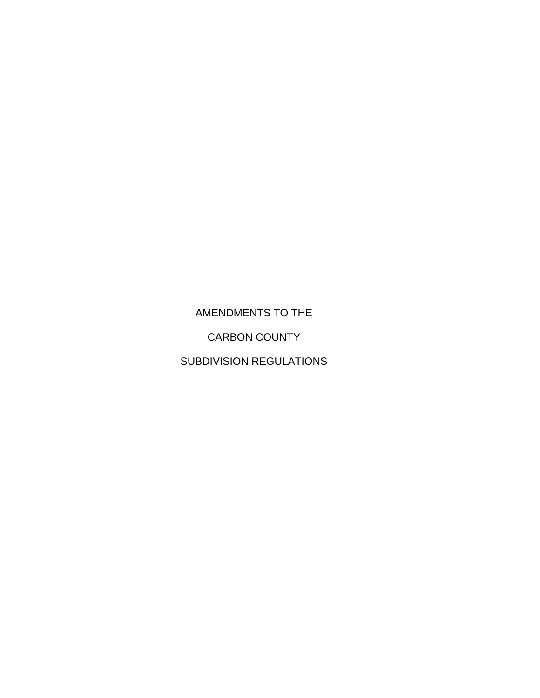AMENDMENTS TO THE CARBON COUNTY SUBDIVISION REGULATIONS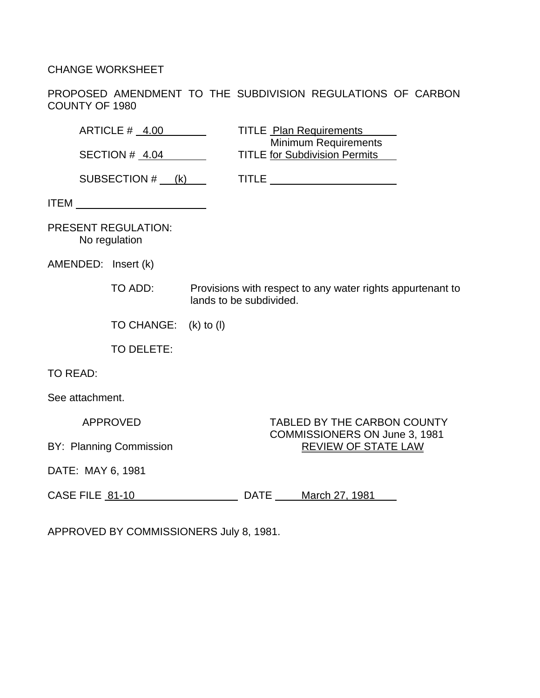CHANGE WORKSHEET

PROPOSED AMENDMENT TO THE SUBDIVISION REGULATIONS OF CARBON COUNTY OF 1980

| ARTICLE # 4.00                              | <b>TITLE</b> Plan Requirements<br>Minimum Requirements                                |
|---------------------------------------------|---------------------------------------------------------------------------------------|
| SECTION # 4.04                              | <b>TITLE for Subdivision Permits</b>                                                  |
| SUBSECTION $#$ (k)                          | TITLE _________________________                                                       |
|                                             |                                                                                       |
| <b>PRESENT REGULATION:</b><br>No regulation |                                                                                       |
| AMENDED: Insert (k)                         |                                                                                       |
| TO ADD:                                     | Provisions with respect to any water rights appurtenant to<br>lands to be subdivided. |
| TO CHANGE: (k) to (l)                       |                                                                                       |
| TO DELETE:                                  |                                                                                       |
| <b>TO READ:</b>                             |                                                                                       |
| See attachment.                             |                                                                                       |
| <b>APPROVED</b>                             | <b>TABLED BY THE CARBON COUNTY</b>                                                    |
| BY: Planning Commission                     | COMMISSIONERS ON June 3, 1981<br><b>REVIEW OF STATE LAW</b>                           |
| DATE: MAY 6, 1981                           |                                                                                       |
| CASE FILE 81-10                             | DATE March 27, 1981                                                                   |

APPROVED BY COMMISSIONERS July 8, 1981.